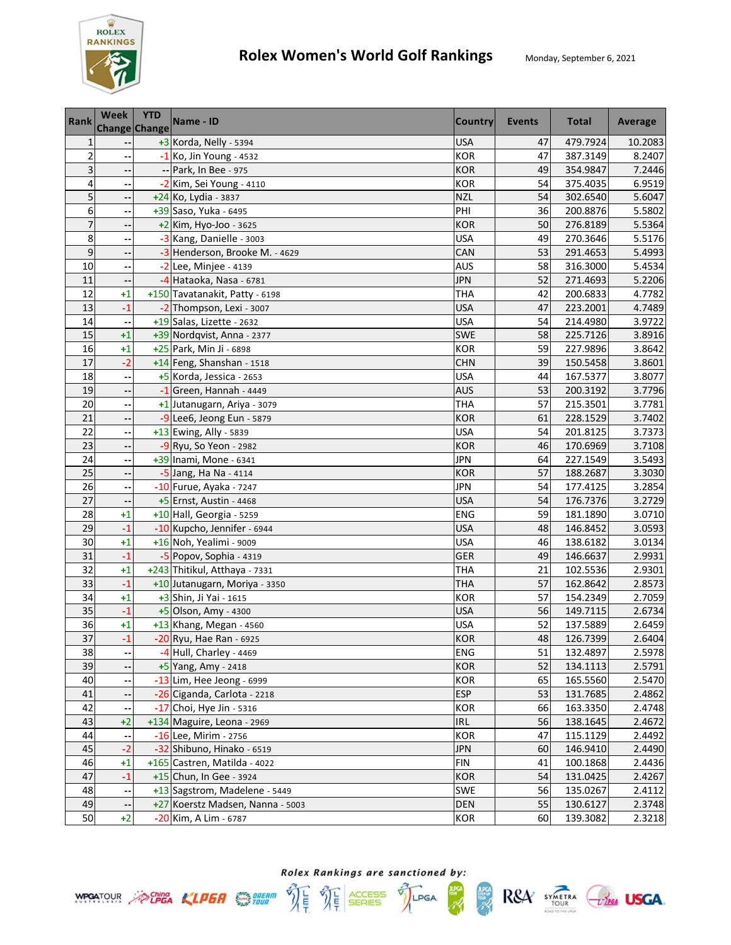

| <b>Rank</b>     | Week<br>Change Change    | <b>YTD</b> | Name - ID                        | <b>Country</b> | <b>Events</b> | <b>Total</b> | Average |
|-----------------|--------------------------|------------|----------------------------------|----------------|---------------|--------------|---------|
| $\mathbf{1}$    |                          |            | +3 Korda, Nelly - 5394           | <b>USA</b>     | 47            | 479.7924     | 10.2083 |
| $\overline{2}$  |                          |            | $-1$ Ko, Jin Young - 4532        | <b>KOR</b>     | 47            | 387.3149     | 8.2407  |
| 3               |                          |            | -- Park, In Bee - 975            | <b>KOR</b>     | 49            | 354.9847     | 7.2446  |
| 4               |                          |            | -2 Kim, Sei Young - 4110         | <b>KOR</b>     | 54            | 375.4035     | 6.9519  |
| 5               |                          |            | +24 Ko, Lydia - 3837             | <b>NZL</b>     | 54            | 302.6540     | 5.6047  |
| 6               |                          |            | +39 Saso, Yuka - 6495            | PHI            | 36            | 200.8876     | 5.5802  |
| $\overline{7}$  |                          |            | $+2$ Kim, Hyo-Joo - 3625         | <b>KOR</b>     | 50            | 276.8189     | 5.5364  |
| 8               |                          |            | -3 Kang, Danielle - 3003         | <b>USA</b>     | 49            | 270.3646     | 5.5176  |
| 9               | ٠.                       |            | -3 Henderson, Brooke M. - 4629   | CAN            | 53            | 291.4653     | 5.4993  |
| 10              |                          |            | $-2$ Lee, Minjee - 4139          | AUS            | 58            | 316.3000     | 5.4534  |
| 11              |                          |            | -4 Hataoka, Nasa - 6781          | <b>JPN</b>     | 52            | 271.4693     | 5.2206  |
| 12              | $+1$                     |            | +150 Tavatanakit, Patty - 6198   | <b>THA</b>     | 42            | 200.6833     | 4.7782  |
| 13              | $-1$                     |            | -2 Thompson, Lexi - 3007         | <b>USA</b>     | 47            | 223.2001     | 4.7489  |
| 14              |                          |            | +19 Salas, Lizette - 2632        | <b>USA</b>     | 54            | 214.4980     | 3.9722  |
| 15              | $+1$                     |            | +39 Nordqvist, Anna - 2377       | <b>SWE</b>     | 58            | 225.7126     | 3.8916  |
| 16              | $+1$                     |            | +25 Park, Min Ji - 6898          | <b>KOR</b>     | 59            | 227.9896     | 3.8642  |
| 17              | $-2$                     |            | +14 Feng, Shanshan - 1518        | <b>CHN</b>     | 39            | 150.5458     | 3.8601  |
| 18              |                          |            | +5 Korda, Jessica - 2653         | <b>USA</b>     | 44            | 167.5377     | 3.8077  |
| 19              |                          |            | -1 Green, Hannah - 4449          | <b>AUS</b>     | 53            | 200.3192     | 3.7796  |
| 20              |                          |            | +1 Jutanugarn, Ariya - 3079      | <b>THA</b>     | 57            | 215.3501     | 3.7781  |
| 21              | $\overline{\phantom{a}}$ |            | -9 Lee6, Jeong Eun - 5879        | <b>KOR</b>     | 61            | 228.1529     | 3.7402  |
| 22              | --                       |            | +13 Ewing, Ally - 5839           | <b>USA</b>     | 54            | 201.8125     | 3.7373  |
| 23              | $\overline{\phantom{a}}$ |            | $-9$ Ryu, So Yeon - 2982         | <b>KOR</b>     | 46            | 170.6969     | 3.7108  |
| 24              |                          |            | +39 Inami, Mone - 6341           | JPN            | 64            | 227.1549     | 3.5493  |
| 25              |                          |            | $-5$ Jang, Ha Na - 4114          | <b>KOR</b>     | 57            | 188.2687     | 3.3030  |
| 26              |                          |            | -10 Furue, Ayaka - 7247          | <b>JPN</b>     | 54            | 177.4125     | 3.2854  |
| $\overline{27}$ |                          |            | +5 Ernst, Austin - 4468          | <b>USA</b>     | 54            | 176.7376     | 3.2729  |
| 28              | $+1$                     |            | +10 Hall, Georgia - 5259         | ENG            | 59            | 181.1890     | 3.0710  |
| 29              | $-1$                     |            | -10 Kupcho, Jennifer - 6944      | <b>USA</b>     | 48            | 146.8452     | 3.0593  |
| 30              | $+1$                     |            | +16 Noh, Yealimi - 9009          | <b>USA</b>     | 46            | 138.6182     | 3.0134  |
| 31              | $-1$                     |            | -5 Popov, Sophia - 4319          | <b>GER</b>     | 49            | 146.6637     | 2.9931  |
| 32              | $+1$                     |            | +243 Thitikul, Atthaya - 7331    | <b>THA</b>     | 21            | 102.5536     | 2.9301  |
| 33              | $-1$                     |            | +10 Jutanugarn, Moriya - 3350    | THA            | 57            | 162.8642     | 2.8573  |
| 34              | $+1$                     |            | +3 Shin, Ji Yai - 1615           | <b>KOR</b>     | 57            | 154.2349     | 2.7059  |
| 35              | $-1$                     |            | +5 Olson, Amy - 4300             | <b>USA</b>     | 56            | 149.7115     | 2.6734  |
| 36              | $+1$                     |            | +13 Khang, Megan - 4560          | <b>USA</b>     | 52            | 137.5889     | 2.6459  |
| 37              | $-1$                     |            | -20 Ryu, Hae Ran - 6925          | <b>KOR</b>     | 48            | 126.7399     | 2.6404  |
| 38              |                          |            | -4 Hull, Charley - 4469          | <b>ENG</b>     | 51            | 132.4897     | 2.5978  |
| 39              |                          |            | +5 Yang, Amy - 2418              | <b>KOR</b>     | 52            | 134.1113     | 2.5791  |
| 40              |                          |            | -13 Lim, Hee Jeong - 6999        | <b>KOR</b>     | 65            | 165.5560     | 2.5470  |
| 41              |                          |            | -26 Ciganda, Carlota - 2218      | <b>ESP</b>     | 53            | 131.7685     | 2.4862  |
| 42              |                          |            | -17 Choi, Hye Jin - 5316         | <b>KOR</b>     | 66            | 163.3350     | 2.4748  |
| 43              | $+2$                     |            | +134 Maguire, Leona - 2969       | <b>IRL</b>     | 56            | 138.1645     | 2.4672  |
| 44              |                          |            | -16 Lee, Mirim - 2756            | KOR            | 47            | 115.1129     | 2.4492  |
| 45              | $-2$                     |            | -32 Shibuno, Hinako - 6519       | <b>JPN</b>     | 60            | 146.9410     | 2.4490  |
| 46              | $+1$                     |            | +165 Castren, Matilda - 4022     | <b>FIN</b>     | 41            | 100.1868     | 2.4436  |
| 47              | $-1$                     |            | +15 Chun, In Gee - 3924          | <b>KOR</b>     | 54            | 131.0425     | 2.4267  |
| 48              | --                       |            | +13 Sagstrom, Madelene - 5449    | <b>SWE</b>     | 56            | 135.0267     | 2.4112  |
| 49              |                          |            | +27 Koerstz Madsen, Nanna - 5003 | DEN            | 55            | 130.6127     | 2.3748  |
| 50              | $+2$                     |            | -20 Kim, A Lim - 6787            | <b>KOR</b>     | 60            | 139.3082     | 2.3218  |

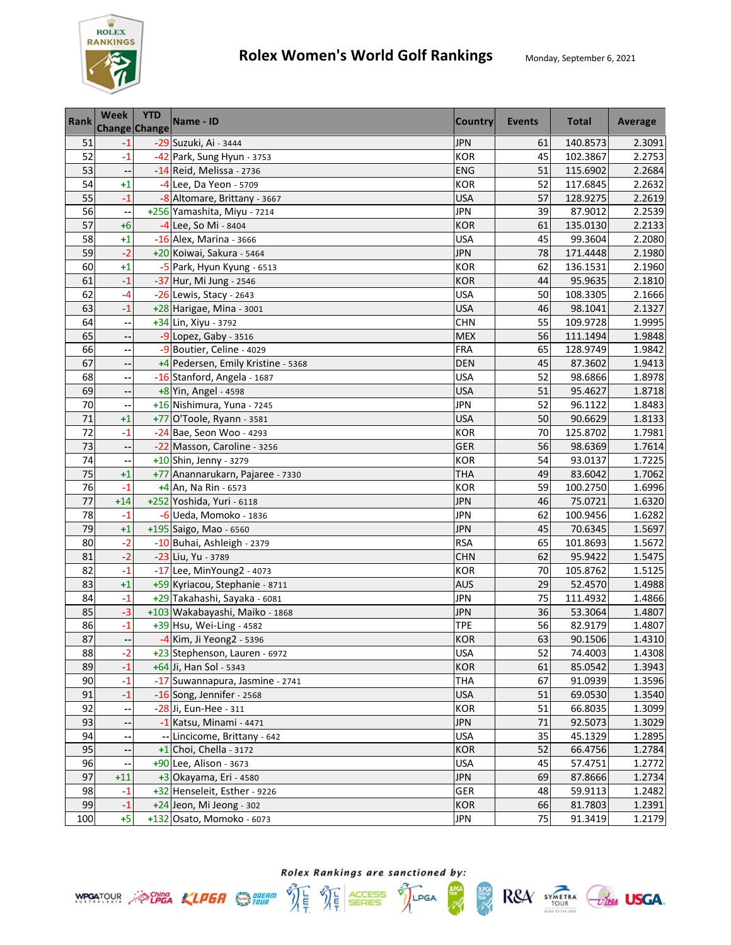

| <b>Rank</b>     | <b>Week</b><br><b>Change Change</b> | <b>YTD</b> | Name - ID                          | <b>Country</b> | Events | <b>Total</b> | Average |
|-----------------|-------------------------------------|------------|------------------------------------|----------------|--------|--------------|---------|
| 51              | $-1$                                |            | -29 Suzuki, Ai - 3444              | <b>JPN</b>     | 61     | 140.8573     | 2.3091  |
| 52              | $-1$                                |            | -42 Park, Sung Hyun - 3753         | <b>KOR</b>     | 45     | 102.3867     | 2.2753  |
| 53              |                                     |            | -14 Reid, Melissa - 2736           | <b>ENG</b>     | 51     | 115.6902     | 2.2684  |
| 54              | $+1$                                |            | -4 Lee, Da Yeon - 5709             | <b>KOR</b>     | 52     | 117.6845     | 2.2632  |
| 55              | $-1$                                |            | -8 Altomare, Brittany - 3667       | <b>USA</b>     | 57     | 128.9275     | 2.2619  |
| 56              |                                     |            | +256 Yamashita, Miyu - 7214        | <b>JPN</b>     | 39     | 87.9012      | 2.2539  |
| 57              | $+6$                                |            | -4 Lee, So Mi - 8404               | <b>KOR</b>     | 61     | 135.0130     | 2.2133  |
| 58              | $+1$                                |            | -16 Alex, Marina - 3666            | <b>USA</b>     | 45     | 99.3604      | 2.2080  |
| 59              | $-2$                                |            | +20 Koiwai, Sakura - 5464          | <b>JPN</b>     | 78     | 171.4448     | 2.1980  |
| 60              | $+1$                                |            | -5 Park, Hyun Kyung - 6513         | <b>KOR</b>     | 62     | 136.1531     | 2.1960  |
| 61              | $-1$                                |            | -37 Hur, Mi Jung - 2546            | <b>KOR</b>     | 44     | 95.9635      | 2.1810  |
| 62              | -4                                  |            | $-26$ Lewis, Stacy - 2643          | <b>USA</b>     | 50     | 108.3305     | 2.1666  |
| 63              | $-1$                                |            | +28 Harigae, Mina - 3001           | <b>USA</b>     | 46     | 98.1041      | 2.1327  |
| 64              |                                     |            | +34 Lin, Xiyu - 3792               | <b>CHN</b>     | 55     | 109.9728     | 1.9995  |
| 65              |                                     |            | $-9$ Lopez, Gaby - 3516            | <b>MEX</b>     | 56     | 111.1494     | 1.9848  |
| 66              |                                     |            | -9 Boutier, Celine - 4029          | <b>FRA</b>     | 65     | 128.9749     | 1.9842  |
| 67              |                                     |            | +4 Pedersen, Emily Kristine - 5368 | <b>DEN</b>     | 45     | 87.3602      | 1.9413  |
| 68              |                                     |            | -16 Stanford, Angela - 1687        | <b>USA</b>     | 52     | 98.6866      | 1.8978  |
| 69              |                                     |            | +8 Yin, Angel - 4598               | <b>USA</b>     | 51     | 95.4627      | 1.8718  |
| 70              |                                     |            | +16 Nishimura, Yuna - 7245         | <b>JPN</b>     | 52     | 96.1122      | 1.8483  |
| 71              | $+1$                                |            | +77 O'Toole, Ryann - 3581          | <b>USA</b>     | 50     | 90.6629      | 1.8133  |
| 72              | $-1$                                |            | -24 Bae, Seon Woo - 4293           | <b>KOR</b>     | 70     | 125.8702     | 1.7981  |
| 73              | $\overline{\phantom{a}}$            |            | -22 Masson, Caroline - 3256        | GER            | 56     | 98.6369      | 1.7614  |
| 74              |                                     |            | +10 Shin, Jenny - 3279             | <b>KOR</b>     | 54     | 93.0137      | 1.7225  |
| 75              | $+1$                                |            | +77 Anannarukarn, Pajaree - 7330   | <b>THA</b>     | 49     | 83.6042      | 1.7062  |
| 76              | $-1$                                |            | $+4$ An, Na Rin - 6573             | <b>KOR</b>     | 59     | 100.2750     | 1.6996  |
| $\overline{77}$ | $+14$                               |            | +252 Yoshida, Yuri - 6118          | <b>JPN</b>     | 46     | 75.0721      | 1.6320  |
| 78              | $-1$                                |            | -6 Ueda, Momoko - 1836             | JPN            | 62     | 100.9456     | 1.6282  |
| 79              | $+1$                                |            | +195 Saigo, Mao - 6560             | <b>JPN</b>     | 45     | 70.6345      | 1.5697  |
| 80              | $-2$                                |            | -10 Buhai, Ashleigh - 2379         | <b>RSA</b>     | 65     | 101.8693     | 1.5672  |
| 81              | $-2$                                |            | -23 Liu, Yu - 3789                 | <b>CHN</b>     | 62     | 95.9422      | 1.5475  |
| 82              | $-1$                                |            | -17 Lee, MinYoung2 - 4073          | <b>KOR</b>     | 70     | 105.8762     | 1.5125  |
| 83              | $+1$                                |            | +59 Kyriacou, Stephanie - 8711     | <b>AUS</b>     | 29     | 52.4570      | 1.4988  |
| 84              | $-1$                                |            | +29 Takahashi, Sayaka - 6081       | <b>JPN</b>     | 75     | 111.4932     | 1.4866  |
| 85              | $-3$                                |            | +103 Wakabayashi, Maiko - 1868     | <b>JPN</b>     | 36     | 53.3064      | 1.4807  |
| 86              | $-1$                                |            | +39 Hsu, Wei-Ling - 4582           | <b>TPE</b>     | 56     | 82.9179      | 1.4807  |
| 87              | ۰.                                  |            | -4 Kim, Ji Yeong2 - 5396           | <b>KOR</b>     | 63     | 90.1506      | 1.4310  |
| 88              | $-2$                                |            | +23 Stephenson, Lauren - 6972      | <b>USA</b>     | 52     | 74.4003      | 1.4308  |
| 89              | $-1$                                |            | +64 Ji, Han Sol - 5343             | KOR            | 61     | 85.0542      | 1.3943  |
| 90              | $-1$                                |            | -17 Suwannapura, Jasmine - 2741    | <b>THA</b>     | 67     | 91.0939      | 1.3596  |
| 91              | $-1$                                |            | -16 Song, Jennifer - 2568          | <b>USA</b>     | 51     | 69.0530      | 1.3540  |
| 92              |                                     |            | -28 Ji, Eun-Hee - 311              | KOR            | 51     | 66.8035      | 1.3099  |
| 93              |                                     |            | -1 Katsu, Minami - 4471            | <b>JPN</b>     | 71     | 92.5073      | 1.3029  |
| 94              |                                     |            | -- Lincicome, Brittany - 642       | <b>USA</b>     | 35     | 45.1329      | 1.2895  |
| 95              |                                     |            | $+1$ Choi, Chella - 3172           | <b>KOR</b>     | 52     | 66.4756      | 1.2784  |
| 96              |                                     |            | +90 Lee, Alison - 3673             | <b>USA</b>     | 45     | 57.4751      | 1.2772  |
| 97              | $+11$                               |            | $+3$ Okayama, Eri - 4580           | <b>JPN</b>     | 69     | 87.8666      | 1.2734  |
| 98              | $-1$                                |            | +32 Henseleit, Esther - 9226       | <b>GER</b>     | 48     | 59.9113      | 1.2482  |
| 99              | $-1$                                |            | +24 Jeon, Mi Jeong - 302           | <b>KOR</b>     | 66     | 81.7803      | 1.2391  |
| 100             | $+5$                                |            | +132 Osato, Momoko - 6073          | <b>JPN</b>     | 75     | 91.3419      | 1.2179  |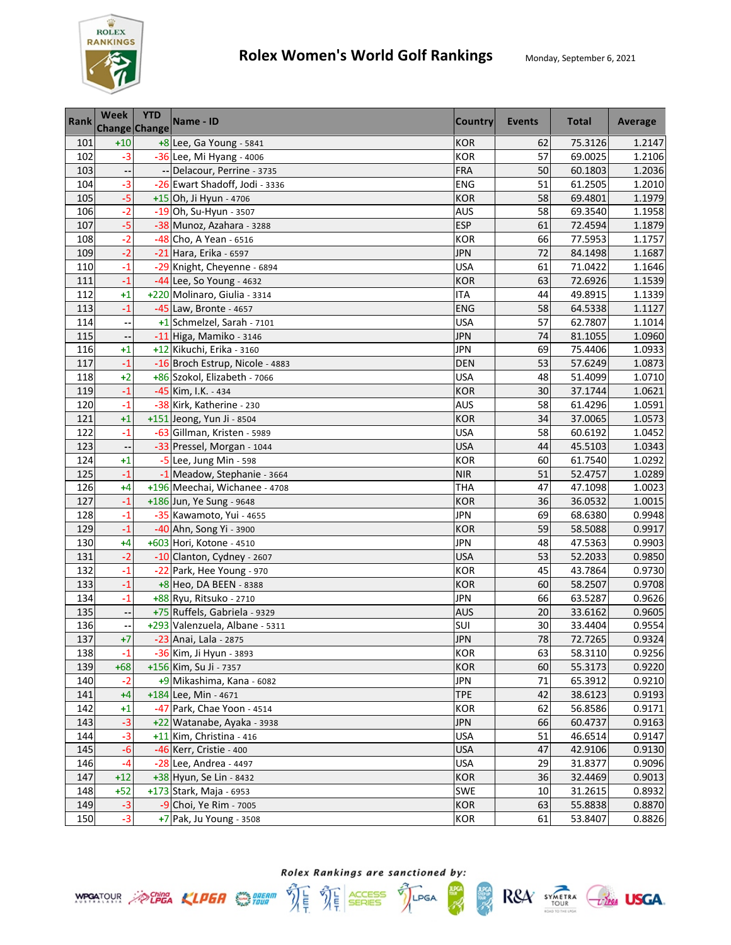

| <b>Rank</b> | <b>Week</b><br><b>Change Change</b> | <b>YTD</b> | Name - ID                       | <b>Country</b> | <b>Events</b> | <b>Total</b> | Average |
|-------------|-------------------------------------|------------|---------------------------------|----------------|---------------|--------------|---------|
| 101         | $+10$                               |            | +8 Lee, Ga Young - 5841         | <b>KOR</b>     | 62            | 75.3126      | 1.2147  |
| 102         | $-3$                                |            | -36 Lee, Mi Hyang - 4006        | <b>KOR</b>     | 57            | 69.0025      | 1.2106  |
| 103         |                                     |            | -- Delacour, Perrine - 3735     | <b>FRA</b>     | 50            | 60.1803      | 1.2036  |
| 104         | $-3$                                |            | -26 Ewart Shadoff, Jodi - 3336  | ENG            | 51            | 61.2505      | 1.2010  |
| 105         | $-5$                                |            | +15 Oh, Ji Hyun - 4706          | <b>KOR</b>     | 58            | 69.4801      | 1.1979  |
| 106         | $-2$                                |            | -19 Oh, Su-Hyun - 3507          | <b>AUS</b>     | 58            | 69.3540      | 1.1958  |
| 107         | $-5$                                |            | -38 Munoz, Azahara - 3288       | <b>ESP</b>     | 61            | 72.4594      | 1.1879  |
| 108         | $-2$                                |            | -48 Cho, A Yean - 6516          | <b>KOR</b>     | 66            | 77.5953      | 1.1757  |
| 109         | $-2$                                |            | -21 Hara, Erika - 6597          | <b>JPN</b>     | 72            | 84.1498      | 1.1687  |
| 110         | $-1$                                |            | -29 Knight, Cheyenne - 6894     | <b>USA</b>     | 61            | 71.0422      | 1.1646  |
| 111         | $-1$                                |            | -44 Lee, So Young - 4632        | <b>KOR</b>     | 63            | 72.6926      | 1.1539  |
| 112         | $+1$                                |            | +220 Molinaro, Giulia - 3314    | ITA            | 44            | 49.8915      | 1.1339  |
| 113         | $-1$                                |            | -45 Law, Bronte - 4657          | <b>ENG</b>     | 58            | 64.5338      | 1.1127  |
| 114         |                                     |            | +1 Schmelzel, Sarah - 7101      | <b>USA</b>     | 57            | 62.7807      | 1.1014  |
| 115         |                                     |            | -11 Higa, Mamiko - 3146         | <b>JPN</b>     | 74            | 81.1055      | 1.0960  |
| 116         | $+1$                                |            | +12 Kikuchi, Erika - 3160       | <b>JPN</b>     | 69            | 75.4406      | 1.0933  |
| 117         | $-1$                                |            | -16 Broch Estrup, Nicole - 4883 | <b>DEN</b>     | 53            | 57.6249      | 1.0873  |
| 118         | $+2$                                |            | +86 Szokol, Elizabeth - 7066    | <b>USA</b>     | 48            | 51.4099      | 1.0710  |
| 119         | $-1$                                |            | -45 Kim, I.K. - 434             | <b>KOR</b>     | 30            | 37.1744      | 1.0621  |
| 120         | $-1$                                |            | -38 Kirk, Katherine - 230       | <b>AUS</b>     | 58            | 61.4296      | 1.0591  |
| 121         | $+1$                                |            | +151 Jeong, Yun Ji - 8504       | <b>KOR</b>     | 34            | 37.0065      | 1.0573  |
| 122         | $-1$                                |            | -63 Gillman, Kristen - 5989     | <b>USA</b>     | 58            | 60.6192      | 1.0452  |
| 123         | $\overline{\phantom{a}}$            |            | -33 Pressel, Morgan - 1044      | <b>USA</b>     | 44            | 45.5103      | 1.0343  |
| 124         | $+1$                                |            | $-5$ Lee, Jung Min - 598        | <b>KOR</b>     | 60            | 61.7540      | 1.0292  |
| 125         | $-1$                                |            | -1 Meadow, Stephanie - 3664     | <b>NIR</b>     | 51            | 52.4757      | 1.0289  |
| 126         | $+4$                                |            | +196 Meechai, Wichanee - 4708   | THA            | 47            | 47.1098      | 1.0023  |
| 127         | $-1$                                |            | +186 Jun, Ye Sung - 9648        | <b>KOR</b>     | 36            | 36.0532      | 1.0015  |
| 128         | $-1$                                |            | -35 Kawamoto, Yui - 4655        | <b>JPN</b>     | 69            | 68.6380      | 0.9948  |
| 129         | $-1$                                |            | -40 Ahn, Song Yi - 3900         | <b>KOR</b>     | 59            | 58.5088      | 0.9917  |
| 130         | $+4$                                |            | +603 Hori, Kotone - 4510        | JPN            | 48            | 47.5363      | 0.9903  |
| 131         | $-2$                                |            | -10 Clanton, Cydney - 2607      | <b>USA</b>     | 53            | 52.2033      | 0.9850  |
| 132         | $-1$                                |            | -22 Park, Hee Young - 970       | <b>KOR</b>     | 45            | 43.7864      | 0.9730  |
| 133         | $-1$                                |            | +8 Heo, DA BEEN - 8388          | <b>KOR</b>     | 60            | 58.2507      | 0.9708  |
| 134         | $-1$                                |            | +88 Ryu, Ritsuko - 2710         | <b>JPN</b>     | 66            | 63.5287      | 0.9626  |
| 135         |                                     |            | +75 Ruffels, Gabriela - 9329    | <b>AUS</b>     | 20            | 33.6162      | 0.9605  |
| 136         | --                                  |            | +293 Valenzuela, Albane - 5311  | SUI            | 30            | 33.4404      | 0.9554  |
| 137         | $+7$                                |            | -23 Anai, Lala - 2875           | <b>JPN</b>     | 78            | 72.7265      | 0.9324  |
| 138         | $-1$                                |            | -36 Kim, Ji Hyun - 3893         | KOR            | 63            | 58.3110      | 0.9256  |
| 139         | $+68$                               |            | +156 Kim, Su Ji - 7357          | <b>KOR</b>     | 60            | 55.3173      | 0.9220  |
| 140         | $-2$                                |            | +9 Mikashima, Kana - 6082       | JPN            | 71            | 65.3912      | 0.9210  |
| 141         | $+4$                                |            | +184 Lee, Min - 4671            | <b>TPE</b>     | 42            | 38.6123      | 0.9193  |
| 142         | $+1$                                |            | -47 Park, Chae Yoon - 4514      | <b>KOR</b>     | 62            | 56.8586      | 0.9171  |
| 143         | $-3$                                |            | +22 Watanabe, Ayaka - 3938      | <b>JPN</b>     | 66            | 60.4737      | 0.9163  |
| 144         | $-3$                                |            | +11 Kim, Christina - 416        | <b>USA</b>     | 51            | 46.6514      | 0.9147  |
| 145         | $-6$                                |            | -46 Kerr, Cristie - 400         | <b>USA</b>     | 47            | 42.9106      | 0.9130  |
| 146         | $-4$                                |            | -28 Lee, Andrea - 4497          | <b>USA</b>     | 29            | 31.8377      | 0.9096  |
| 147         | $+12$                               |            | +38 Hyun, Se Lin - 8432         | <b>KOR</b>     | 36            | 32.4469      | 0.9013  |
| 148         | $+52$                               |            | +173 Stark, Maja - 6953         | <b>SWE</b>     | 10            | 31.2615      | 0.8932  |
| 149         | $-3$                                |            | -9 Choi, Ye Rim - 7005          | <b>KOR</b>     | 63            | 55.8838      | 0.8870  |
| 150         | $-3$                                |            | $+7$ Pak, Ju Young - 3508       | <b>KOR</b>     | 61            | 53.8407      | 0.8826  |



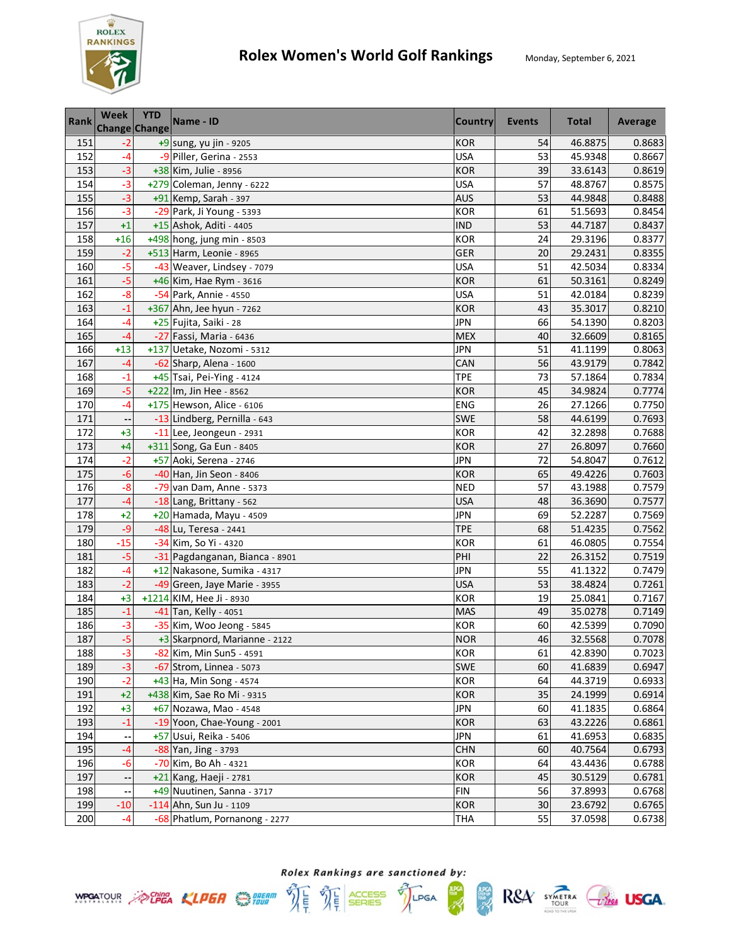

| Rank | <b>Week</b><br>Change Change | <b>YTD</b> | Name - ID                      | <b>Country</b> | <b>Events</b> | <b>Total</b> | Average |
|------|------------------------------|------------|--------------------------------|----------------|---------------|--------------|---------|
| 151  | $-2$                         |            | +9 sung, yu jin - 9205         | <b>KOR</b>     | 54            | 46.8875      | 0.8683  |
| 152  | $-4$                         |            | -9 Piller, Gerina - 2553       | <b>USA</b>     | 53            | 45.9348      | 0.8667  |
| 153  | $-3$                         |            | +38 Kim, Julie - 8956          | <b>KOR</b>     | 39            | 33.6143      | 0.8619  |
| 154  | $-3$                         |            | +279 Coleman, Jenny - 6222     | <b>USA</b>     | 57            | 48.8767      | 0.8575  |
| 155  | $-3$                         |            | +91 Kemp, Sarah - 397          | <b>AUS</b>     | 53            | 44.9848      | 0.8488  |
| 156  | $-3$                         |            | -29 Park, Ji Young - 5393      | <b>KOR</b>     | 61            | 51.5693      | 0.8454  |
| 157  | $+1$                         |            | +15 Ashok, Aditi - 4405        | <b>IND</b>     | 53            | 44.7187      | 0.8437  |
| 158  | $+16$                        |            | +498 hong, jung min - 8503     | <b>KOR</b>     | 24            | 29.3196      | 0.8377  |
| 159  | $-2$                         |            | +513 Harm, Leonie - 8965       | GER            | 20            | 29.2431      | 0.8355  |
| 160  | $-5$                         |            | -43 Weaver, Lindsey - 7079     | <b>USA</b>     | 51            | 42.5034      | 0.8334  |
| 161  | -5                           |            | +46 Kim, Hae Rym - 3616        | <b>KOR</b>     | 61            | 50.3161      | 0.8249  |
| 162  | $-8$                         |            | -54 Park, Annie - 4550         | <b>USA</b>     | 51            | 42.0184      | 0.8239  |
| 163  | $-1$                         |            | +367 Ahn, Jee hyun - 7262      | <b>KOR</b>     | 43            | 35.3017      | 0.8210  |
| 164  | -4                           |            | +25 Fujita, Saiki - 28         | <b>JPN</b>     | 66            | 54.1390      | 0.8203  |
| 165  | $-4$                         |            | -27 Fassi, Maria - 6436        | <b>MEX</b>     | 40            | 32.6609      | 0.8165  |
| 166  | $+13$                        |            | +137 Uetake, Nozomi - 5312     | <b>JPN</b>     | 51            | 41.1199      | 0.8063  |
| 167  | $-4$                         |            | -62 Sharp, Alena - 1600        | CAN            | 56            | 43.9179      | 0.7842  |
| 168  | $-1$                         |            | +45 Tsai, Pei-Ying - 4124      | <b>TPE</b>     | 73            | 57.1864      | 0.7834  |
| 169  | $-5$                         |            | +222 Im, Jin Hee - 8562        | <b>KOR</b>     | 45            | 34.9824      | 0.7774  |
| 170  | $-4$                         |            | +175 Hewson, Alice - 6106      | <b>ENG</b>     | 26            | 27.1266      | 0.7750  |
| 171  | $\overline{\phantom{a}}$     |            | -13 Lindberg, Pernilla - 643   | <b>SWE</b>     | 58            | 44.6199      | 0.7693  |
| 172  | $+3$                         |            | -11 Lee, Jeongeun - 2931       | <b>KOR</b>     | 42            | 32.2898      | 0.7688  |
| 173  | $+4$                         |            | +311 Song, Ga Eun - 8405       | <b>KOR</b>     | 27            | 26.8097      | 0.7660  |
| 174  | $-2$                         |            | +57 Aoki, Serena - 2746        | <b>JPN</b>     | 72            | 54.8047      | 0.7612  |
| 175  | $-6$                         |            | -40 Han, Jin Seon - 8406       | <b>KOR</b>     | 65            | 49.4226      | 0.7603  |
| 176  | $-8$                         |            | -79 van Dam, Anne - 5373       | <b>NED</b>     | 57            | 43.1988      | 0.7579  |
| 177  | $-4$                         |            | -18 Lang, Brittany - 562       | <b>USA</b>     | 48            | 36.3690      | 0.7577  |
| 178  | $+2$                         |            | +20 Hamada, Mayu - 4509        | JPN            | 69            | 52.2287      | 0.7569  |
| 179  | $-9$                         |            | -48 Lu, Teresa - 2441          | <b>TPE</b>     | 68            | 51.4235      | 0.7562  |
| 180  | $-15$                        |            | -34 Kim, So Yi - 4320          | <b>KOR</b>     | 61            | 46.0805      | 0.7554  |
| 181  | -5                           |            | -31 Pagdanganan, Bianca - 8901 | PHI            | 22            | 26.3152      | 0.7519  |
| 182  | $-4$                         |            | +12 Nakasone, Sumika - 4317    | <b>JPN</b>     | 55            | 41.1322      | 0.7479  |
| 183  | $-2$                         |            | -49 Green, Jaye Marie - 3955   | <b>USA</b>     | 53            | 38.4824      | 0.7261  |
| 184  | $+3$                         |            | +1214 KIM, Hee Ji - 8930       | <b>KOR</b>     | 19            | 25.0841      | 0.7167  |
| 185  | $-1$                         |            | -41 Tan, Kelly - 4051          | <b>MAS</b>     | 49            | 35.0278      | 0.7149  |
| 186  | $-3$                         |            | -35 Kim, Woo Jeong - 5845      | KOR            | 60            | 42.5399      | 0.7090  |
| 187  | $-5$                         |            | +3 Skarpnord, Marianne - 2122  | <b>NOR</b>     | 46            | 32.5568      | 0.7078  |
| 188  | $-3$                         |            | -82 Kim, Min Sun5 - 4591       | KOR            | 61            | 42.8390      | 0.7023  |
| 189  | $-3$                         |            | -67 Strom, Linnea - 5073       | <b>SWE</b>     | 60            | 41.6839      | 0.6947  |
| 190  | $-2$                         |            | +43 Ha, Min Song - 4574        | <b>KOR</b>     | 64            | 44.3719      | 0.6933  |
| 191  | $+2$                         |            | +438 Kim, Sae Ro Mi - 9315     | <b>KOR</b>     | 35            | 24.1999      | 0.6914  |
| 192  | $+3$                         |            | +67 Nozawa, Mao - 4548         | <b>JPN</b>     | 60            | 41.1835      | 0.6864  |
| 193  | $-1$                         |            | -19 Yoon, Chae-Young - 2001    | <b>KOR</b>     | 63            | 43.2226      | 0.6861  |
| 194  |                              |            | +57 Usui, Reika - 5406         | <b>JPN</b>     | 61            | 41.6953      | 0.6835  |
| 195  | $-4$                         |            | -88 Yan, Jing - 3793           | <b>CHN</b>     | 60            | 40.7564      | 0.6793  |
| 196  | $-6$                         |            | -70 Kim, Bo Ah - 4321          | <b>KOR</b>     | 64            | 43.4436      | 0.6788  |
| 197  |                              |            | +21 Kang, Haeji - 2781         | <b>KOR</b>     | 45            | 30.5129      | 0.6781  |
| 198  | --                           |            | +49 Nuutinen, Sanna - 3717     | <b>FIN</b>     | 56            | 37.8993      | 0.6768  |
| 199  | $-10$                        |            | $-114$ Ahn, Sun Ju - 1109      | <b>KOR</b>     | 30            | 23.6792      | 0.6765  |
| 200  | $-4$                         |            | -68 Phatlum, Pornanong - 2277  | <b>THA</b>     | 55            | 37.0598      | 0.6738  |

Rolex Rankings are sanctioned by: **WPOATOUR** ACHEA KLPER SUPER THE THE SERIES TILPGA

體

 $RSA$  SYMETRA  $C$ lega USGA.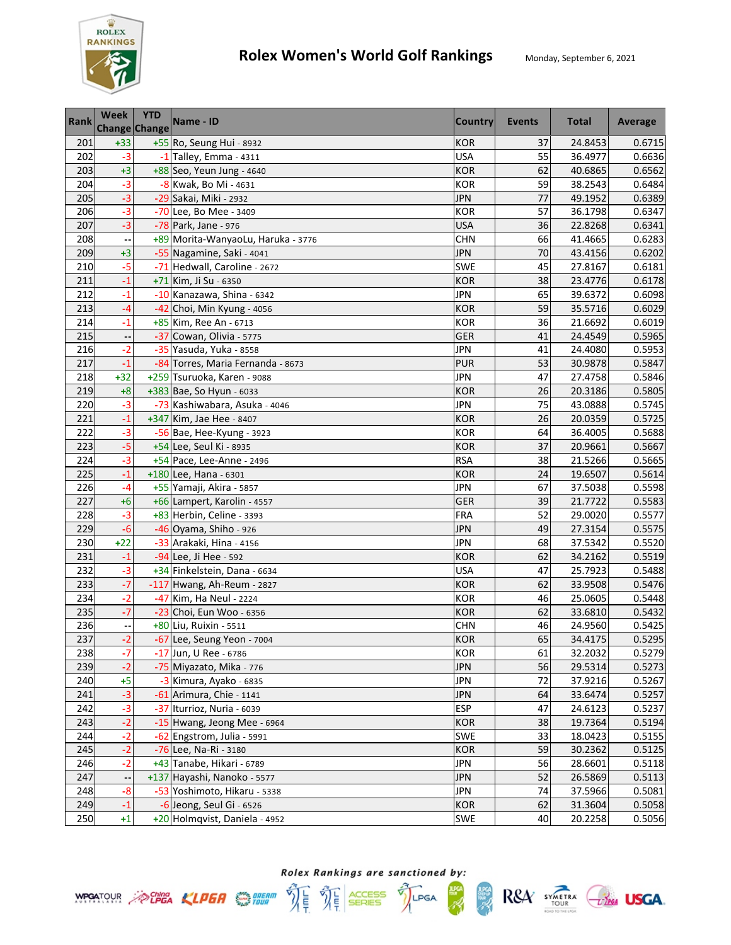

| <b>Rank</b> | Week<br><b>Change Change</b> | <b>YTD</b> | Name - ID                          | <b>Country</b> | <b>Events</b> | <b>Total</b> | Average |
|-------------|------------------------------|------------|------------------------------------|----------------|---------------|--------------|---------|
| 201         | $+33$                        |            | +55 Ro, Seung Hui - 8932           | <b>KOR</b>     | 37            | 24.8453      | 0.6715  |
| 202         | $-3$                         |            | -1 Talley, Emma - 4311             | <b>USA</b>     | 55            | 36.4977      | 0.6636  |
| 203         | $+3$                         |            | +88 Seo, Yeun Jung - 4640          | <b>KOR</b>     | 62            | 40.6865      | 0.6562  |
| 204         | $-3$                         |            | -8 Kwak, Bo Mi - 4631              | <b>KOR</b>     | 59            | 38.2543      | 0.6484  |
| 205         | $-3$                         |            | -29 Sakai, Miki - 2932             | <b>JPN</b>     | 77            | 49.1952      | 0.6389  |
| 206         | $-3$                         |            | -70 Lee, Bo Mee - 3409             | <b>KOR</b>     | 57            | 36.1798      | 0.6347  |
| 207         | $-3$                         |            | -78 Park, Jane - 976               | <b>USA</b>     | 36            | 22.8268      | 0.6341  |
| 208         |                              |            | +89 Morita-WanyaoLu, Haruka - 3776 | <b>CHN</b>     | 66            | 41.4665      | 0.6283  |
| 209         | $+3$                         |            | -55 Nagamine, Saki - 4041          | <b>JPN</b>     | 70            | 43.4156      | 0.6202  |
| 210         | $-5$                         |            | -71 Hedwall, Caroline - 2672       | SWE            | 45            | 27.8167      | 0.6181  |
| 211         | $-1$                         |            | +71 Kim, Ji Su - 6350              | <b>KOR</b>     | 38            | 23.4776      | 0.6178  |
| 212         | $-1$                         |            | -10 Kanazawa, Shina - 6342         | <b>JPN</b>     | 65            | 39.6372      | 0.6098  |
| 213         | -4                           |            | -42 Choi, Min Kyung - 4056         | <b>KOR</b>     | 59            | 35.5716      | 0.6029  |
| 214         | $-1$                         |            | +85 Kim, Ree An - 6713             | <b>KOR</b>     | 36            | 21.6692      | 0.6019  |
| 215         |                              |            | -37 Cowan, Olivia - 5775           | <b>GER</b>     | 41            | 24.4549      | 0.5965  |
| 216         | $-2$                         |            | -35 Yasuda, Yuka - 8558            | <b>JPN</b>     | 41            | 24.4080      | 0.5953  |
| 217         | $-1$                         |            | -84 Torres, Maria Fernanda - 8673  | <b>PUR</b>     | 53            | 30.9878      | 0.5847  |
| 218         | $+32$                        |            | +259 Tsuruoka, Karen - 9088        | <b>JPN</b>     | 47            | 27.4758      | 0.5846  |
| 219         | $+8$                         |            | +383 Bae, So Hyun - 6033           | <b>KOR</b>     | 26            | 20.3186      | 0.5805  |
| 220         | $-3$                         |            | -73 Kashiwabara, Asuka - 4046      | <b>JPN</b>     | 75            | 43.0888      | 0.5745  |
| 221         | $-1$                         |            | +347 Kim, Jae Hee - 8407           | <b>KOR</b>     | 26            | 20.0359      | 0.5725  |
| 222         | $-3$                         |            | -56 Bae, Hee-Kyung - 3923          | <b>KOR</b>     | 64            | 36.4005      | 0.5688  |
| 223         | $-5$                         |            | +54 Lee, Seul Ki - 8935            | <b>KOR</b>     | 37            | 20.9661      | 0.5667  |
| 224         | $-3$                         |            | +54 Pace, Lee-Anne - 2496          | <b>RSA</b>     | 38            | 21.5266      | 0.5665  |
| 225         | $-1$                         |            | $+180$ Lee, Hana - 6301            | <b>KOR</b>     | 24            | 19.6507      | 0.5614  |
| 226         | -4                           |            | +55 Yamaji, Akira - 5857           | JPN            | 67            | 37.5038      | 0.5598  |
| 227         | $+6$                         |            | +66 Lampert, Karolin - 4557        | <b>GER</b>     | 39            | 21.7722      | 0.5583  |
| 228         | $-3$                         |            | +83 Herbin, Celine - 3393          | <b>FRA</b>     | 52            | 29.0020      | 0.5577  |
| 229         | $-6$                         |            | -46 Oyama, Shiho - 926             | JPN            | 49            | 27.3154      | 0.5575  |
| 230         | $+22$                        |            | -33 Arakaki, Hina - 4156           | JPN            | 68            | 37.5342      | 0.5520  |
| 231         | $-1$                         |            | -94 Lee, Ji Hee - 592              | <b>KOR</b>     | 62            | 34.2162      | 0.5519  |
| 232         | $-3$                         |            | +34 Finkelstein, Dana - 6634       | <b>USA</b>     | 47            | 25.7923      | 0.5488  |
| 233         | $-7$                         |            | -117 Hwang, Ah-Reum - 2827         | <b>KOR</b>     | 62            | 33.9508      | 0.5476  |
| 234         | $-2$                         |            | -47 Kim, Ha Neul - 2224            | <b>KOR</b>     | 46            | 25.0605      | 0.5448  |
| 235         | $-7$                         |            | -23 Choi, Eun Woo - 6356           | <b>KOR</b>     | 62            | 33.6810      | 0.5432  |
| 236         | $\overline{\phantom{a}}$     |            | +80 Liu, Ruixin - 5511             | <b>CHN</b>     | 46            | 24.9560      | 0.5425  |
| 237         | $-2$                         |            | -67 Lee, Seung Yeon - 7004         | <b>KOR</b>     | 65            | 34.4175      | 0.5295  |
| 238         | $-7$                         |            | -17 Jun, U Ree - 6786              | KOR            | 61            | 32.2032      | 0.5279  |
| 239         | $-2$                         |            | -75 Miyazato, Mika - 776           | JPN            | 56            | 29.5314      | 0.5273  |
| 240         | $+5$                         |            | -3 Kimura, Ayako - 6835            | JPN            | 72            | 37.9216      | 0.5267  |
| 241         | $-3$                         |            | -61 Arimura, Chie - 1141           | <b>JPN</b>     | 64            | 33.6474      | 0.5257  |
| 242         | $-3$                         |            | -37 Iturrioz, Nuria - 6039         | <b>ESP</b>     | 47            | 24.6123      | 0.5237  |
| 243         | $-2$                         |            | -15 Hwang, Jeong Mee - 6964        | <b>KOR</b>     | 38            | 19.7364      | 0.5194  |
| 244         | $-2$                         |            | -62 Engstrom, Julia - 5991         | <b>SWE</b>     | 33            | 18.0423      | 0.5155  |
| 245         | $-2$                         |            | -76 Lee, Na-Ri - 3180              | <b>KOR</b>     | 59            | 30.2362      | 0.5125  |
| 246         | $-2$                         |            | +43 Tanabe, Hikari - 6789          | <b>JPN</b>     | 56            | 28.6601      | 0.5118  |
| 247         |                              |            | +137 Hayashi, Nanoko - 5577        | <b>JPN</b>     | 52            | 26.5869      | 0.5113  |
| 248         | $-8$                         |            | -53 Yoshimoto, Hikaru - 5338       | <b>JPN</b>     | 74            | 37.5966      | 0.5081  |
| 249         | $-1$                         |            | -6 Jeong, Seul Gi - 6526           | <b>KOR</b>     | 62            | 31.3604      | 0.5058  |
| 250         | $+1$                         |            | +20 Holmqvist, Daniela - 4952      | <b>SWE</b>     | 40            | 20.2258      | 0.5056  |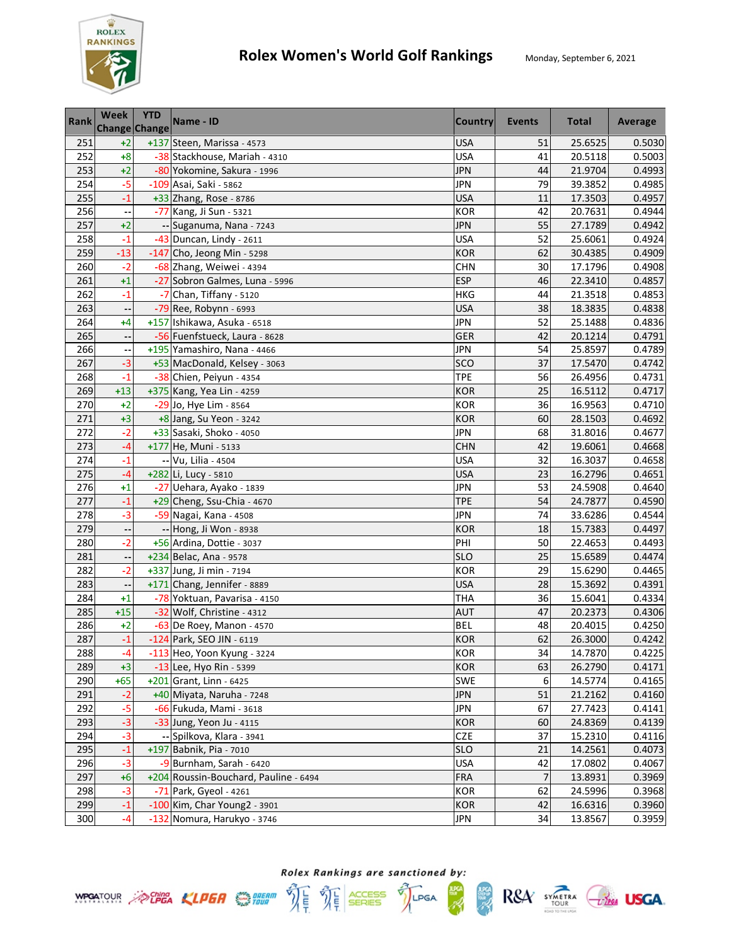

| <b>Rank</b> | Week<br><b>Change Change</b> | <b>YTD</b> | Name - ID                             | <b>Country</b> | <b>Events</b>  | <b>Total</b> | Average |
|-------------|------------------------------|------------|---------------------------------------|----------------|----------------|--------------|---------|
| 251         | $+2$                         |            | +137 Steen, Marissa - 4573            | <b>USA</b>     | 51             | 25.6525      | 0.5030  |
| 252         | $+8$                         |            | -38 Stackhouse, Mariah - 4310         | <b>USA</b>     | 41             | 20.5118      | 0.5003  |
| 253         | $+2$                         |            | -80 Yokomine, Sakura - 1996           | <b>JPN</b>     | 44             | 21.9704      | 0.4993  |
| 254         | $-5$                         |            | -109 Asai, Saki - 5862                | <b>JPN</b>     | 79             | 39.3852      | 0.4985  |
| 255         | $-1$                         |            | +33 Zhang, Rose - 8786                | <b>USA</b>     | 11             | 17.3503      | 0.4957  |
| 256         |                              |            | -77 Kang, Ji Sun - 5321               | <b>KOR</b>     | 42             | 20.7631      | 0.4944  |
| 257         | $+2$                         |            | -- Suganuma, Nana - 7243              | <b>JPN</b>     | 55             | 27.1789      | 0.4942  |
| 258         | $-1$                         |            | $-43$ Duncan, Lindy - 2611            | <b>USA</b>     | 52             | 25.6061      | 0.4924  |
| 259         | $-13$                        |            | $-147$ Cho, Jeong Min - 5298          | <b>KOR</b>     | 62             | 30.4385      | 0.4909  |
| 260         | $-2$                         |            | -68 Zhang, Weiwei - 4394              | <b>CHN</b>     | 30             | 17.1796      | 0.4908  |
| 261         | $+1$                         |            | -27 Sobron Galmes, Luna - 5996        | <b>ESP</b>     | 46             | 22.3410      | 0.4857  |
| 262         | $-1$                         |            | -7 Chan, Tiffany - 5120               | <b>HKG</b>     | 44             | 21.3518      | 0.4853  |
| 263         |                              |            | -79 Ree, Robynn - 6993                | <b>USA</b>     | 38             | 18.3835      | 0.4838  |
| 264         | $+4$                         |            | +157 Ishikawa, Asuka - 6518           | <b>JPN</b>     | 52             | 25.1488      | 0.4836  |
| 265         |                              |            | -56 Fuenfstueck, Laura - 8628         | <b>GER</b>     | 42             | 20.1214      | 0.4791  |
| 266         |                              |            | +195 Yamashiro, Nana - 4466           | <b>JPN</b>     | 54             | 25.8597      | 0.4789  |
| 267         | $-3$                         |            | +53 MacDonald, Kelsey - 3063          | SCO            | 37             | 17.5470      | 0.4742  |
| 268         | $-1$                         |            | -38 Chien, Peiyun - 4354              | <b>TPE</b>     | 56             | 26.4956      | 0.4731  |
| 269         | $+13$                        |            | +375 Kang, Yea Lin - 4259             | <b>KOR</b>     | 25             | 16.5112      | 0.4717  |
| 270         | $+2$                         |            | -29 Jo, Hye Lim - 8564                | <b>KOR</b>     | 36             | 16.9563      | 0.4710  |
| 271         | $+3$                         |            | +8 Jang, Su Yeon - 3242               | <b>KOR</b>     | 60             | 28.1503      | 0.4692  |
| 272         | $-2$                         |            | +33 Sasaki, Shoko - 4050              | <b>JPN</b>     | 68             | 31.8016      | 0.4677  |
| 273         | $-4$                         |            | +177 He, Muni - 5133                  | <b>CHN</b>     | 42             | 19.6061      | 0.4668  |
| 274         | $-1$                         |            | -- Vu, Lilia - 4504                   | USA            | 32             | 16.3037      | 0.4658  |
| 275         | $-4$                         |            | +282 Li, Lucy - 5810                  | <b>USA</b>     | 23             | 16.2796      | 0.4651  |
| 276         | $+1$                         |            | -27 Uehara, Ayako - 1839              | JPN            | 53             | 24.5908      | 0.4640  |
| 277         | $-1$                         |            | +29 Cheng, Ssu-Chia - 4670            | <b>TPE</b>     | 54             | 24.7877      | 0.4590  |
| 278         | $-3$                         |            | -59 Nagai, Kana - 4508                | <b>JPN</b>     | 74             | 33.6286      | 0.4544  |
| 279         |                              |            | -- Hong, Ji Won - 8938                | <b>KOR</b>     | 18             | 15.7383      | 0.4497  |
| 280         | $-2$                         |            | +56 Ardina, Dottie - 3037             | PHI            | 50             | 22.4653      | 0.4493  |
| 281         |                              |            | +234 Belac, Ana - 9578                | <b>SLO</b>     | 25             | 15.6589      | 0.4474  |
| 282         | $-2$                         |            | +337 Jung, Ji min - 7194              | <b>KOR</b>     | 29             | 15.6290      | 0.4465  |
| 283         |                              |            | +171 Chang, Jennifer - 8889           | <b>USA</b>     | 28             | 15.3692      | 0.4391  |
| 284         | $+1$                         |            | -78 Yoktuan, Pavarisa - 4150          | <b>THA</b>     | 36             | 15.6041      | 0.4334  |
| 285         | $+15$                        |            | -32 Wolf, Christine - 4312            | <b>AUT</b>     | 47             | 20.2373      | 0.4306  |
| 286         | $+2$                         |            | -63 De Roey, Manon - 4570             | <b>BEL</b>     | 48             | 20.4015      | 0.4250  |
| 287         | $-1$                         |            | -124 Park. SEO JIN - 6119             | <b>KOR</b>     | 62             | 26.3000      | 0.4242  |
| 288         | -4                           |            | -113 Heo, Yoon Kyung - 3224           | KOR            | 34             | 14.7870      | 0.4225  |
| 289         | $+3$                         |            | -13 Lee, Hyo Rin - 5399               | <b>KOR</b>     | 63             | 26.2790      | 0.4171  |
| 290         | $+65$                        |            | $+201$ Grant, Linn - 6425             | SWE            | 6              | 14.5774      | 0.4165  |
| 291         | $-2$                         |            | +40 Miyata, Naruha - 7248             | <b>JPN</b>     | 51             | 21.2162      | 0.4160  |
| 292         | $-5$                         |            | -66 Fukuda, Mami - 3618               | <b>JPN</b>     | 67             | 27.7423      | 0.4141  |
| 293         | $-3$                         |            | -33 Jung, Yeon Ju - 4115              | <b>KOR</b>     | 60             | 24.8369      | 0.4139  |
| 294         | $-3$                         |            | -- Spilkova, Klara - 3941             | <b>CZE</b>     | 37             | 15.2310      | 0.4116  |
| 295         | $-1$                         |            | +197 Babnik, Pia - 7010               | <b>SLO</b>     | 21             | 14.2561      | 0.4073  |
| 296         | $-3$                         |            | -9 Burnham, Sarah - 6420              | <b>USA</b>     | 42             | 17.0802      | 0.4067  |
| 297         | $+6$                         |            | +204 Roussin-Bouchard, Pauline - 6494 | <b>FRA</b>     | $\overline{7}$ | 13.8931      | 0.3969  |
| 298         | $-3$                         |            | -71 Park, Gyeol - 4261                | <b>KOR</b>     | 62             | 24.5996      | 0.3968  |
| 299         | $-1$                         |            | -100 Kim, Char Young2 - 3901          | <b>KOR</b>     | 42             | 16.6316      | 0.3960  |
| 300         | -4                           |            | -132 Nomura, Harukyo - 3746           | JPN            | 34             | 13.8567      | 0.3959  |







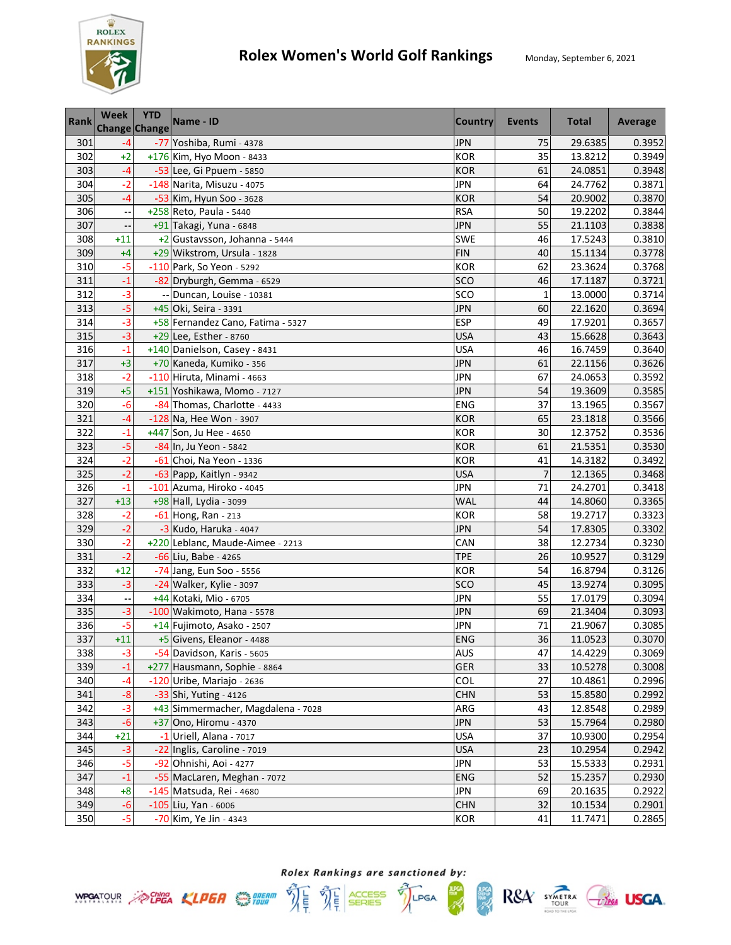

| <b>Rank</b> | <b>Week</b><br>Change Change | <b>YTD</b> | Name - ID                          | <b>Country</b> | <b>Events</b>  | <b>Total</b> | Average |
|-------------|------------------------------|------------|------------------------------------|----------------|----------------|--------------|---------|
| 301         | $-4$                         |            | -77 Yoshiba, Rumi - 4378           | <b>JPN</b>     | 75             | 29.6385      | 0.3952  |
| 302         | $+2$                         |            | +176 Kim, Hyo Moon - 8433          | <b>KOR</b>     | 35             | 13.8212      | 0.3949  |
| 303         | $-4$                         |            | -53 Lee, Gi Ppuem - 5850           | <b>KOR</b>     | 61             | 24.0851      | 0.3948  |
| 304         | $-2$                         |            | -148 Narita, Misuzu - 4075         | <b>JPN</b>     | 64             | 24.7762      | 0.3871  |
| 305         | -4                           |            | -53 Kim, Hyun Soo - 3628           | <b>KOR</b>     | 54             | 20.9002      | 0.3870  |
| 306         |                              |            | +258 Reto, Paula - 5440            | <b>RSA</b>     | 50             | 19.2202      | 0.3844  |
| 307         |                              |            | +91 Takagi, Yuna - 6848            | <b>JPN</b>     | 55             | 21.1103      | 0.3838  |
| 308         | $+11$                        |            | +2 Gustavsson, Johanna - 5444      | SWE            | 46             | 17.5243      | 0.3810  |
| 309         | $+4$                         |            | +29 Wikstrom, Ursula - 1828        | <b>FIN</b>     | 40             | 15.1134      | 0.3778  |
| 310         | $-5$                         |            | -110 Park, So Yeon - 5292          | <b>KOR</b>     | 62             | 23.3624      | 0.3768  |
| 311         | $-1$                         |            | -82 Dryburgh, Gemma - 6529         | SCO            | 46             | 17.1187      | 0.3721  |
| 312         | $-3$                         |            | -- Duncan, Louise - 10381          | SCO            | $\mathbf{1}$   | 13.0000      | 0.3714  |
| 313         | $-5$                         |            | +45 Oki, Seira - 3391              | <b>JPN</b>     | 60             | 22.1620      | 0.3694  |
| 314         | $-3$                         |            | +58 Fernandez Cano, Fatima - 5327  | <b>ESP</b>     | 49             | 17.9201      | 0.3657  |
| 315         | $-3$                         |            | +29 Lee, Esther - 8760             | <b>USA</b>     | 43             | 15.6628      | 0.3643  |
| 316         | $-1$                         |            | +140 Danielson, Casey - 8431       | <b>USA</b>     | 46             | 16.7459      | 0.3640  |
| 317         | $+3$                         |            | +70 Kaneda, Kumiko - 356           | <b>JPN</b>     | 61             | 22.1156      | 0.3626  |
| 318         | $-2$                         |            | $-110$ Hiruta, Minami - 4663       | <b>JPN</b>     | 67             | 24.0653      | 0.3592  |
| 319         | $+5$                         |            | +151 Yoshikawa, Momo - 7127        | <b>JPN</b>     | 54             | 19.3609      | 0.3585  |
| 320         | $-6$                         |            | -84 Thomas, Charlotte - 4433       | ENG            | 37             | 13.1965      | 0.3567  |
| 321         | $-4$                         |            | -128 Na, Hee Won - 3907            | <b>KOR</b>     | 65             | 23.1818      | 0.3566  |
| 322         | $-1$                         |            | +447 Son, Ju Hee - 4650            | <b>KOR</b>     | 30             | 12.3752      | 0.3536  |
| 323         | $-5$                         |            | -84 In, Ju Yeon - 5842             | <b>KOR</b>     | 61             | 21.5351      | 0.3530  |
| 324         | $-2$                         |            | -61 Choi, Na Yeon - 1336           | <b>KOR</b>     | 41             | 14.3182      | 0.3492  |
| 325         | $-2$                         |            | -63 Papp, Kaitlyn - 9342           | <b>USA</b>     | $\overline{7}$ | 12.1365      | 0.3468  |
| 326         | $-1$                         |            | -101 Azuma, Hiroko - 4045          | <b>JPN</b>     | 71             | 24.2701      | 0.3418  |
| 327         | $+13$                        |            | +98 Hall, Lydia - 3099             | WAL            | 44             | 14.8060      | 0.3365  |
| 328         | $-2$                         |            | -61 Hong, Ran - 213                | <b>KOR</b>     | 58             | 19.2717      | 0.3323  |
| 329         | $-2$                         |            | -3 Kudo, Haruka - 4047             | <b>JPN</b>     | 54             | 17.8305      | 0.3302  |
| 330         | $-2$                         |            | +220 Leblanc, Maude-Aimee - 2213   | CAN            | 38             | 12.2734      | 0.3230  |
| 331         | $-2$                         |            | -66 Liu, Babe - 4265               | <b>TPE</b>     | 26             | 10.9527      | 0.3129  |
| 332         | $+12$                        |            | -74 Jang, Eun Soo - 5556           | <b>KOR</b>     | 54             | 16.8794      | 0.3126  |
| 333         | $-3$                         |            | -24 Walker, Kylie - 3097           | SCO            | 45             | 13.9274      | 0.3095  |
| 334         |                              |            | +44 Kotaki, Mio - 6705             | <b>JPN</b>     | 55             | 17.0179      | 0.3094  |
| 335         | $-3$                         |            | -100 Wakimoto, Hana - 5578         | <b>JPN</b>     | 69             | 21.3404      | 0.3093  |
| 336         | $-5$                         |            | +14 Fujimoto, Asako - 2507         | <b>JPN</b>     | 71             | 21.9067      | 0.3085  |
| 337         | $+11$                        |            | +5 Givens, Eleanor - 4488          | <b>ENG</b>     | 36             | 11.0523      | 0.3070  |
| 338         | $-3$                         |            | -54 Davidson, Karis - 5605         | AUS            | 47             | 14.4229      | 0.3069  |
| 339         | $-1$                         |            | +277 Hausmann, Sophie - 8864       | GER            | 33             | 10.5278      | 0.3008  |
| 340         | -4                           |            | -120 Uribe, Mariajo - 2636         | COL            | 27             | 10.4861      | 0.2996  |
| 341         | $-8$                         |            | -33 Shi, Yuting - 4126             | <b>CHN</b>     | 53             | 15.8580      | 0.2992  |
| 342         | -3                           |            | +43 Simmermacher, Magdalena - 7028 | ARG            | 43             | 12.8548      | 0.2989  |
| 343         | -6                           |            | +37 Ono, Hiromu - 4370             | <b>JPN</b>     | 53             | 15.7964      | 0.2980  |
| 344         | $+21$                        |            | -1 Uriell, Alana - 7017            | <b>USA</b>     | 37             | 10.9300      | 0.2954  |
| 345         | $-3$                         |            | -22 Inglis, Caroline - 7019        | <b>USA</b>     | 23             | 10.2954      | 0.2942  |
| 346         | $-5$                         |            | -92 Ohnishi, Aoi - 4277            | <b>JPN</b>     | 53             | 15.5333      | 0.2931  |
| 347         | $-1$                         |            | -55 MacLaren, Meghan - 7072        | <b>ENG</b>     | 52             | 15.2357      | 0.2930  |
| 348         | $+8$                         |            | -145 Matsuda, Rei - 4680           | <b>JPN</b>     | 69             | 20.1635      | 0.2922  |
| 349         | $-6$                         |            | $-105$ Liu, Yan - 6006             | <b>CHN</b>     | 32             | 10.1534      | 0.2901  |
| 350         | $-5$                         |            | -70 Kim, Ye Jin - 4343             | <b>KOR</b>     | 41             | 11.7471      | 0.2865  |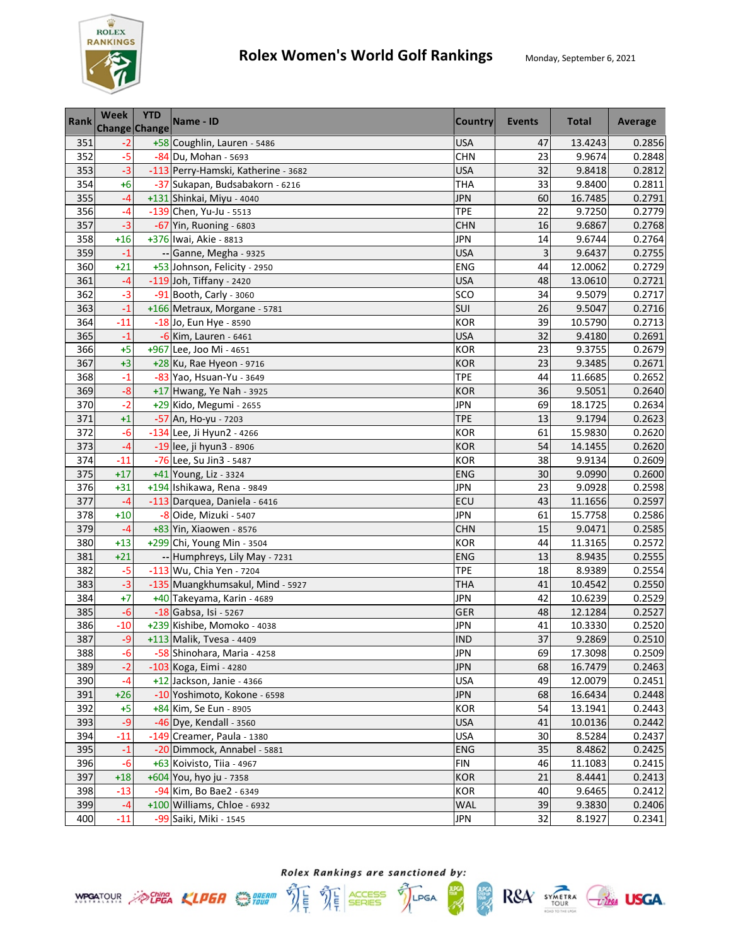

| <b>Rank</b> | <b>Week</b><br>Change Change | <b>YTD</b> | Name - ID                           | Country    | <b>Events</b> | <b>Total</b> | Average |
|-------------|------------------------------|------------|-------------------------------------|------------|---------------|--------------|---------|
| 351         | $-2$                         |            | +58 Coughlin, Lauren - 5486         | <b>USA</b> | 47            | 13.4243      | 0.2856  |
| 352         | $-5$                         |            | -84 Du, Mohan - 5693                | <b>CHN</b> | 23            | 9.9674       | 0.2848  |
| 353         | $-3$                         |            | -113 Perry-Hamski, Katherine - 3682 | <b>USA</b> | 32            | 9.8418       | 0.2812  |
| 354         | $+6$                         |            | -37 Sukapan, Budsabakorn - 6216     | <b>THA</b> | 33            | 9.8400       | 0.2811  |
| 355         | -4                           |            | +131 Shinkai, Miyu - 4040           | <b>JPN</b> | 60            | 16.7485      | 0.2791  |
| 356         | $-4$                         |            | $-139$ Chen, Yu-Ju - 5513           | <b>TPE</b> | 22            | 9.7250       | 0.2779  |
| 357         | $-3$                         |            | -67 Yin, Ruoning - 6803             | <b>CHN</b> | 16            | 9.6867       | 0.2768  |
| 358         | $+16$                        |            | +376 Iwai, Akie - 8813              | <b>JPN</b> | 14            | 9.6744       | 0.2764  |
| 359         | $-1$                         |            | -- Ganne, Megha - 9325              | <b>USA</b> | 3             | 9.6437       | 0.2755  |
| 360         | $+21$                        |            | +53 Johnson, Felicity - 2950        | ENG        | 44            | 12.0062      | 0.2729  |
| 361         | $-4$                         |            | -119 Joh, Tiffany - 2420            | <b>USA</b> | 48            | 13.0610      | 0.2721  |
| 362         | $-3$                         |            | -91 Booth, Carly - 3060             | SCO        | 34            | 9.5079       | 0.2717  |
| 363         | $-1$                         |            | +166 Metraux, Morgane - 5781        | SUI        | 26            | 9.5047       | 0.2716  |
| 364         | $-11$                        |            | -18 Jo, Eun Hye - 8590              | <b>KOR</b> | 39            | 10.5790      | 0.2713  |
| 365         | $-1$                         |            | -6 Kim, Lauren - 6461               | <b>USA</b> | 32            | 9.4180       | 0.2691  |
| 366         | $+5$                         |            | +967 Lee, Joo Mi - 4651             | <b>KOR</b> | 23            | 9.3755       | 0.2679  |
| 367         | $+3$                         |            | +28 Ku, Rae Hyeon - 9716            | <b>KOR</b> | 23            | 9.3485       | 0.2671  |
| 368         | $-1$                         |            | -83 Yao, Hsuan-Yu - 3649            | <b>TPE</b> | 44            | 11.6685      | 0.2652  |
| 369         | $-8$                         |            | +17 Hwang, Ye Nah - 3925            | <b>KOR</b> | 36            | 9.5051       | 0.2640  |
| 370         | $-2$                         |            | +29 Kido, Megumi - 2655             | <b>JPN</b> | 69            | 18.1725      | 0.2634  |
| 371         | $+1$                         |            | -57 An, Ho-yu - 7203                | <b>TPE</b> | 13            | 9.1794       | 0.2623  |
| 372         | $-6$                         |            | -134 Lee, Ji Hyun2 - 4266           | <b>KOR</b> | 61            | 15.9830      | 0.2620  |
| 373         | $-4$                         |            | -19 lee, ji hyun3 - 8906            | <b>KOR</b> | 54            | 14.1455      | 0.2620  |
| 374         | $-11$                        |            | -76 Lee, Su Jin3 - 5487             | <b>KOR</b> | 38            | 9.9134       | 0.2609  |
| 375         | $+17$                        |            | +41 Young, Liz - 3324               | <b>ENG</b> | 30            | 9.0990       | 0.2600  |
| 376         | $+31$                        |            | +194 Ishikawa, Rena - 9849          | <b>JPN</b> | 23            | 9.0928       | 0.2598  |
| 377         | $-4$                         |            | -113 Darquea, Daniela - 6416        | ECU        | 43            | 11.1656      | 0.2597  |
| 378         | $+10$                        |            | -8 Oide, Mizuki - 5407              | <b>JPN</b> | 61            | 15.7758      | 0.2586  |
| 379         | $-4$                         |            | +83 Yin, Xiaowen - 8576             | <b>CHN</b> | 15            | 9.0471       | 0.2585  |
| 380         | $+13$                        |            | +299 Chi, Young Min - 3504          | <b>KOR</b> | 44            | 11.3165      | 0.2572  |
| 381         | $+21$                        |            | -- Humphreys, Lily May - 7231       | ENG        | 13            | 8.9435       | 0.2555  |
| 382         | $-5$                         |            | -113 Wu, Chia Yen - 7204            | <b>TPE</b> | 18            | 8.9389       | 0.2554  |
| 383         | $-3$                         |            | -135 Muangkhumsakul, Mind - 5927    | <b>THA</b> | 41            | 10.4542      | 0.2550  |
| 384         | $+7$                         |            | +40 Takeyama, Karin - 4689          | <b>JPN</b> | 42            | 10.6239      | 0.2529  |
| 385         | $-6$                         |            | -18 Gabsa, Isi - 5267               | GER        | 48            | 12.1284      | 0.2527  |
| 386         | $-10$                        |            | +239 Kishibe, Momoko - 4038         | <b>JPN</b> | 41            | 10.3330      | 0.2520  |
| 387         | $-9$                         |            | +113 Malik, Tvesa - 4409            | <b>IND</b> | 37            | 9.2869       | 0.2510  |
| 388         | $-6$                         |            | -58 Shinohara, Maria - 4258         | <b>JPN</b> | 69            | 17.3098      | 0.2509  |
| 389         | $-2$                         |            | -103 Koga, Eimi - 4280              | <b>JPN</b> | 68            | 16.7479      | 0.2463  |
| 390         | $-4$                         |            | +12 Jackson, Janie - 4366           | <b>USA</b> | 49            | 12.0079      | 0.2451  |
| 391         | $+26$                        |            | -10 Yoshimoto, Kokone - 6598        | JPN        | 68            | 16.6434      | 0.2448  |
| 392         | $+5$                         |            | +84 Kim, Se Eun - 8905              | KOR        | 54            | 13.1941      | 0.2443  |
| 393         | $-9$                         |            | -46 Dye, Kendall - 3560             | <b>USA</b> | 41            | 10.0136      | 0.2442  |
| 394         | $-11$                        |            | -149 Creamer, Paula - 1380          | <b>USA</b> | 30            | 8.5284       | 0.2437  |
| 395         | $-1$                         |            | -20 Dimmock, Annabel - 5881         | <b>ENG</b> | 35            | 8.4862       | 0.2425  |
| 396         | -6                           |            | +63 Koivisto, Tiia - 4967           | <b>FIN</b> | 46            | 11.1083      | 0.2415  |
| 397         | $+18$                        |            | +604 You, hyo ju - 7358             | <b>KOR</b> | 21            | 8.4441       | 0.2413  |
| 398         | $-13$                        |            | -94 Kim, Bo Bae2 - 6349             | <b>KOR</b> | 40            | 9.6465       | 0.2412  |
| 399         | $-4$                         |            | $+100$ Williams, Chloe - 6932       | WAL        | 39            | 9.3830       | 0.2406  |
| 400         | $-11$                        |            | -99 Saiki, Miki - 1545              | <b>JPN</b> | 32            | 8.1927       | 0.2341  |



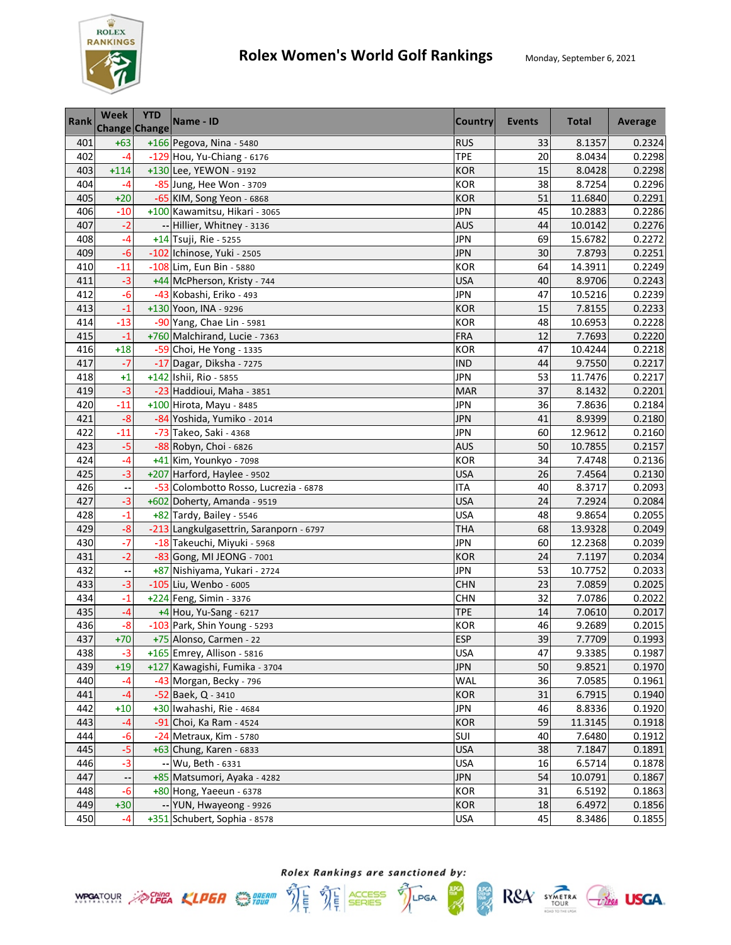

| <b>Rank</b> | Week<br><b>Change Change</b> | <b>YTD</b> | Name - ID                                                   | <b>Country</b>           | Events   | <b>Total</b>     | Average          |
|-------------|------------------------------|------------|-------------------------------------------------------------|--------------------------|----------|------------------|------------------|
| 401         | $+63$                        |            | +166 Pegova, Nina - 5480                                    | <b>RUS</b>               | 33       | 8.1357           | 0.2324           |
| 402         | $-4$                         |            | -129 Hou, Yu-Chiang - 6176                                  | <b>TPE</b>               | 20       | 8.0434           | 0.2298           |
| 403         | $+114$                       |            | +130 Lee, YEWON - 9192                                      | <b>KOR</b>               | 15       | 8.0428           | 0.2298           |
| 404         | $-4$                         |            | -85 Jung, Hee Won - 3709                                    | <b>KOR</b>               | 38       | 8.7254           | 0.2296           |
| 405         | $+20$                        |            | -65 KIM, Song Yeon - 6868                                   | <b>KOR</b>               | 51       | 11.6840          | 0.2291           |
| 406         | $-10$                        |            | +100 Kawamitsu, Hikari - 3065                               | <b>JPN</b>               | 45       | 10.2883          | 0.2286           |
| 407         | $-2$                         |            | -- Hillier, Whitney - 3136                                  | <b>AUS</b>               | 44       | 10.0142          | 0.2276           |
| 408         | $-4$                         |            | +14 Tsuji, Rie - 5255                                       | <b>JPN</b>               | 69       | 15.6782          | 0.2272           |
| 409         | $-6$                         |            | -102 Ichinose, Yuki - 2505                                  | <b>JPN</b>               | 30       | 7.8793           | 0.2251           |
| 410         | $-11$                        |            | -108 Lim, Eun Bin - 5880                                    | <b>KOR</b>               | 64       | 14.3911          | 0.2249           |
| 411         | $-3$                         |            | +44 McPherson, Kristy - 744                                 | <b>USA</b>               | 40       | 8.9706           | 0.2243           |
| 412         | $-6$                         |            | -43 Kobashi, Eriko - 493                                    | <b>JPN</b>               | 47       | 10.5216          | 0.2239           |
| 413         | $-1$                         |            | +130 Yoon, INA - 9296                                       | <b>KOR</b>               | 15       | 7.8155           | 0.2233           |
| 414         | $-13$                        |            | -90 Yang, Chae Lin - 5981                                   | <b>KOR</b>               | 48       | 10.6953          | 0.2228           |
| 415         | $-1$                         |            | +760 Malchirand, Lucie - 7363                               | <b>FRA</b>               | 12       | 7.7693           | 0.2220           |
| 416         | $+18$                        |            | -59 Choi, He Yong - 1335                                    | <b>KOR</b>               | 47       | 10.4244          | 0.2218           |
| 417         | $-7$                         |            | -17 Dagar, Diksha - 7275                                    | <b>IND</b>               | 44       | 9.7550           | 0.2217           |
| 418         | $+1$                         |            | +142 Ishii, Rio - 5855                                      | <b>JPN</b>               | 53       | 11.7476          | 0.2217           |
| 419         | $-3$                         |            | -23 Haddioui, Maha - 3851                                   | <b>MAR</b>               | 37       | 8.1432           | 0.2201           |
| 420         | $-11$                        |            | +100 Hirota, Mayu - 8485                                    | <b>JPN</b>               | 36       | 7.8636           | 0.2184           |
| 421         | $-8$                         |            | -84 Yoshida, Yumiko - 2014                                  | <b>JPN</b>               | 41       | 8.9399           | 0.2180           |
| 422         | $-11$                        |            | -73 Takeo, Saki - 4368                                      | <b>JPN</b>               | 60       | 12.9612          | 0.2160           |
| 423         | $-5$                         |            | -88 Robyn, Choi - 6826                                      | <b>AUS</b>               | 50       | 10.7855          | 0.2157           |
| 424         | $-4$                         |            | +41 Kim, Younkyo - 7098                                     | <b>KOR</b>               | 34       | 7.4748           | 0.2136           |
| 425         | $-3$                         |            | +207 Harford, Haylee - 9502                                 | <b>USA</b>               | 26       | 7.4564           | 0.2130           |
| 426         | н,                           |            | -53 Colombotto Rosso, Lucrezia - 6878                       | <b>ITA</b>               | 40       | 8.3717           | 0.2093           |
| 427         | $-3$                         |            | +602 Doherty, Amanda - 9519                                 | <b>USA</b>               | 24       | 7.2924           | 0.2084           |
| 428         | $-1$                         |            | +82 Tardy, Bailey - 5546                                    | <b>USA</b>               | 48       | 9.8654           | 0.2055           |
| 429         | $-8$                         |            | -213 Langkulgasettrin, Saranporn - 6797                     | <b>THA</b>               | 68       | 13.9328          | 0.2049           |
| 430         | $-7$                         |            | -18 Takeuchi, Miyuki - 5968                                 | <b>JPN</b>               | 60       | 12.2368          | 0.2039           |
| 431         | $-2$                         |            | -83 Gong, MI JEONG - 7001                                   | <b>KOR</b>               | 24       | 7.1197           | 0.2034           |
| 432         |                              |            | +87 Nishiyama, Yukari - 2724                                | <b>JPN</b>               | 53       | 10.7752          | 0.2033           |
| 433         | $-3$                         |            | -105 Liu, Wenbo - 6005                                      | <b>CHN</b>               | 23       | 7.0859           | 0.2025           |
| 434         | $-1$<br>$-4$                 |            | +224 Feng, Simin - 3376                                     | <b>CHN</b><br><b>TPE</b> | 32       | 7.0786           | 0.2022           |
| 435         | $-8$                         |            | +4 Hou, Yu-Sang - 6217<br>-103 Park, Shin Young - 5293      | <b>KOR</b>               | 14<br>46 | 7.0610<br>9.2689 | 0.2017<br>0.2015 |
| 436<br>437  | $+70$                        |            | +75 Alonso, Carmen - 22                                     | <b>ESP</b>               | 39       | 7.7709           | 0.1993           |
|             |                              |            |                                                             |                          | 47       |                  |                  |
| 438<br>439  | $-3$<br>$+19$                |            | +165 Emrey, Allison - 5816<br>+127 Kawagishi, Fumika - 3704 | <b>USA</b><br>JPN        | 50       | 9.3385<br>9.8521 | 0.1987<br>0.1970 |
| 440         | $-4$                         |            | -43 Morgan, Becky - 796                                     | WAL                      | 36       | 7.0585           | 0.1961           |
| 441         | -4                           |            | -52 Baek, Q - 3410                                          | <b>KOR</b>               | 31       | 6.7915           | 0.1940           |
| 442         | $+10$                        |            | +30 Iwahashi, Rie - 4684                                    | <b>JPN</b>               | 46       | 8.8336           | 0.1920           |
| 443         | $-4$                         |            | -91 Choi, Ka Ram - 4524                                     | KOR                      | 59       | 11.3145          | 0.1918           |
| 444         | $-6$                         |            | -24 Metraux, Kim - 5780                                     | SUI                      | 40       | 7.6480           | 0.1912           |
| 445         | $-5$                         |            | +63 Chung, Karen - 6833                                     | <b>USA</b>               | 38       | 7.1847           | 0.1891           |
| 446         | $-3$                         |            | -- Wu, Beth - 6331                                          | <b>USA</b>               | 16       | 6.5714           | 0.1878           |
| 447         |                              |            | +85 Matsumori, Ayaka - 4282                                 | <b>JPN</b>               | 54       | 10.0791          | 0.1867           |
| 448         | $-6$                         |            | +80 Hong, Yaeeun - 6378                                     | <b>KOR</b>               | 31       | 6.5192           | 0.1863           |
| 449         | $+30$                        |            | -- YUN, Hwayeong - 9926                                     | <b>KOR</b>               | 18       | 6.4972           | 0.1856           |
| 450         | $-4$                         |            | +351 Schubert, Sophia - 8578                                | <b>USA</b>               | 45       | 8.3486           | 0.1855           |

Rolex Rankings are sanctioned by: **WPOATOUR** ACHEA KLPER SUPER THE THE SERIES TILPGA

體

 $RSA$  SYMETRA  $C$ lega USGA.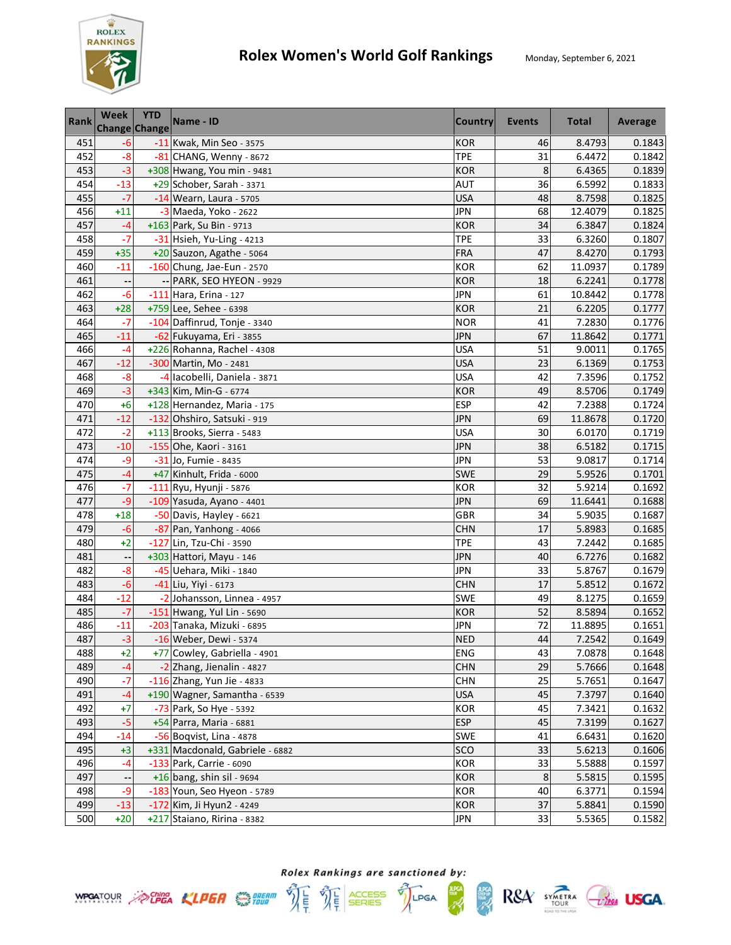

| <b>Rank</b> | <b>Week</b><br>Change Change | <b>YTD</b> | Name - ID                       | Country    | <b>Events</b> | <b>Total</b> | Average |
|-------------|------------------------------|------------|---------------------------------|------------|---------------|--------------|---------|
| 451         | $-6$                         |            | -11 Kwak, Min Seo - 3575        | <b>KOR</b> | 46            | 8.4793       | 0.1843  |
| 452         | $-8$                         |            | -81 CHANG, Wenny - 8672         | <b>TPE</b> | 31            | 6.4472       | 0.1842  |
| 453         | $-3$                         |            | +308 Hwang, You min - 9481      | <b>KOR</b> | 8             | 6.4365       | 0.1839  |
| 454         | $-13$                        |            | +29 Schober, Sarah - 3371       | <b>AUT</b> | 36            | 6.5992       | 0.1833  |
| 455         | $-7$                         |            | -14 Wearn, Laura - 5705         | <b>USA</b> | 48            | 8.7598       | 0.1825  |
| 456         | $+11$                        |            | -3 Maeda, Yoko - 2622           | <b>JPN</b> | 68            | 12.4079      | 0.1825  |
| 457         | $-4$                         |            | +163 Park, Su Bin - 9713        | <b>KOR</b> | 34            | 6.3847       | 0.1824  |
| 458         | $-7$                         |            | -31 Hsieh, Yu-Ling - 4213       | <b>TPE</b> | 33            | 6.3260       | 0.1807  |
| 459         | $+35$                        |            | +20 Sauzon, Agathe - 5064       | <b>FRA</b> | 47            | 8.4270       | 0.1793  |
| 460         | $-11$                        |            | -160 Chung, Jae-Eun - 2570      | <b>KOR</b> | 62            | 11.0937      | 0.1789  |
| 461         | $\overline{\phantom{a}}$     | --         | PARK, SEO HYEON - 9929          | <b>KOR</b> | 18            | 6.2241       | 0.1778  |
| 462         | $-6$                         |            | -111 Hara, Erina - 127          | <b>JPN</b> | 61            | 10.8442      | 0.1778  |
| 463         | $+28$                        |            | +759 Lee, Sehee - 6398          | <b>KOR</b> | 21            | 6.2205       | 0.1777  |
| 464         | $-7$                         |            | -104 Daffinrud, Tonje - 3340    | <b>NOR</b> | 41            | 7.2830       | 0.1776  |
| 465         | $-11$                        |            | -62 Fukuyama, Eri - 3855        | <b>JPN</b> | 67            | 11.8642      | 0.1771  |
| 466         | $-4$                         |            | +226 Rohanna, Rachel - 4308     | <b>USA</b> | 51            | 9.0011       | 0.1765  |
| 467         | $-12$                        |            | -300 Martin, Mo - 2481          | <b>USA</b> | 23            | 6.1369       | 0.1753  |
| 468         | $-8$                         |            | -4 lacobelli, Daniela - 3871    | <b>USA</b> | 42            | 7.3596       | 0.1752  |
| 469         | $-3$                         |            | +343 Kim, Min-G - 6774          | <b>KOR</b> | 49            | 8.5706       | 0.1749  |
| 470         | $+6$                         |            | +128 Hernandez, Maria - 175     | <b>ESP</b> | 42            | 7.2388       | 0.1724  |
| 471         | $-12$                        |            | -132 Ohshiro, Satsuki - 919     | <b>JPN</b> | 69            | 11.8678      | 0.1720  |
| 472         | $-2$                         |            | +113 Brooks, Sierra - 5483      | <b>USA</b> | 30            | 6.0170       | 0.1719  |
| 473         | $-10$                        |            | -155 Ohe, Kaori - 3161          | <b>JPN</b> | 38            | 6.5182       | 0.1715  |
| 474         | -9                           |            | -31 Jo, Fumie - 8435            | <b>JPN</b> | 53            | 9.0817       | 0.1714  |
| 475         | $-4$                         |            | +47 Kinhult, Frida - 6000       | <b>SWE</b> | 29            | 5.9526       | 0.1701  |
| 476         | $-7$                         |            | -111 Ryu, Hyunji - 5876         | <b>KOR</b> | 32            | 5.9214       | 0.1692  |
| 477         | -9                           |            | -109 Yasuda, Ayano - 4401       | <b>JPN</b> | 69            | 11.6441      | 0.1688  |
| 478         | $+18$                        |            | -50 Davis, Hayley - 6621        | GBR        | 34            | 5.9035       | 0.1687  |
| 479         | $-6$                         |            | -87 Pan, Yanhong - 4066         | <b>CHN</b> | 17            | 5.8983       | 0.1685  |
| 480         | $+2$                         |            | -127 Lin, Tzu-Chi - 3590        | <b>TPE</b> | 43            | 7.2442       | 0.1685  |
| 481         | $\overline{\phantom{a}}$     |            | +303 Hattori, Mayu - 146        | <b>JPN</b> | 40            | 6.7276       | 0.1682  |
| 482         | $-8$                         |            | -45 Uehara, Miki - 1840         | <b>JPN</b> | 33            | 5.8767       | 0.1679  |
| 483         | $-6$                         |            | -41 Liu, Yiyi - 6173            | <b>CHN</b> | 17            | 5.8512       | 0.1672  |
| 484         | $-12$                        |            | -2 Johansson, Linnea - 4957     | <b>SWE</b> | 49            | 8.1275       | 0.1659  |
| 485         | $-7$                         |            | -151 Hwang, Yul Lin - 5690      | <b>KOR</b> | 52            | 8.5894       | 0.1652  |
| 486         | $-11$                        |            | -203 Tanaka, Mizuki - 6895      | <b>JPN</b> | 72            | 11.8895      | 0.1651  |
| 487         | $-3$                         |            | -16 Weber, Dewi - 5374          | <b>NED</b> | 44            | 7.2542       | 0.1649  |
| 488         | $+2$                         |            | +77 Cowley, Gabriella - 4901    | <b>ENG</b> | 43            | 7.0878       | 0.1648  |
| 489         | -4                           |            | -2 Zhang, Jienalin - 4827       | <b>CHN</b> | 29            | 5.7666       | 0.1648  |
| 490         | $-7$                         |            | -116 Zhang, Yun Jie - 4833      | <b>CHN</b> | 25            | 5.7651       | 0.1647  |
| 491         | $-4$                         |            | +190 Wagner, Samantha - 6539    | <b>USA</b> | 45            | 7.3797       | 0.1640  |
| 492         | $+7$                         |            | -73 Park, So Hye - 5392         | KOR        | 45            | 7.3421       | 0.1632  |
| 493         | $-5$                         |            | +54 Parra, Maria - 6881         | <b>ESP</b> | 45            | 7.3199       | 0.1627  |
| 494         | $-14$                        |            | $-56$ Boqvist, Lina - 4878      | <b>SWE</b> | 41            | 6.6431       | 0.1620  |
| 495         | $+3$                         |            | +331 Macdonald, Gabriele - 6882 | <b>SCO</b> | 33            | 5.6213       | 0.1606  |
| 496         | $-4$                         |            | -133 Park, Carrie - 6090        | <b>KOR</b> | 33            | 5.5888       | 0.1597  |
| 497         |                              |            | $+16$ bang, shin sil - 9694     | <b>KOR</b> | 8             | 5.5815       | 0.1595  |
| 498         | -9                           |            | -183 Youn, Seo Hyeon - 5789     | <b>KOR</b> | 40            | 6.3771       | 0.1594  |
| 499         | $-13$                        |            | -172 Kim, Ji Hyun2 - 4249       | <b>KOR</b> | 37            | 5.8841       | 0.1590  |
| 500         | $+20$                        |            | +217 Staiano, Ririna - 8382     | <b>JPN</b> | 33            | 5.5365       | 0.1582  |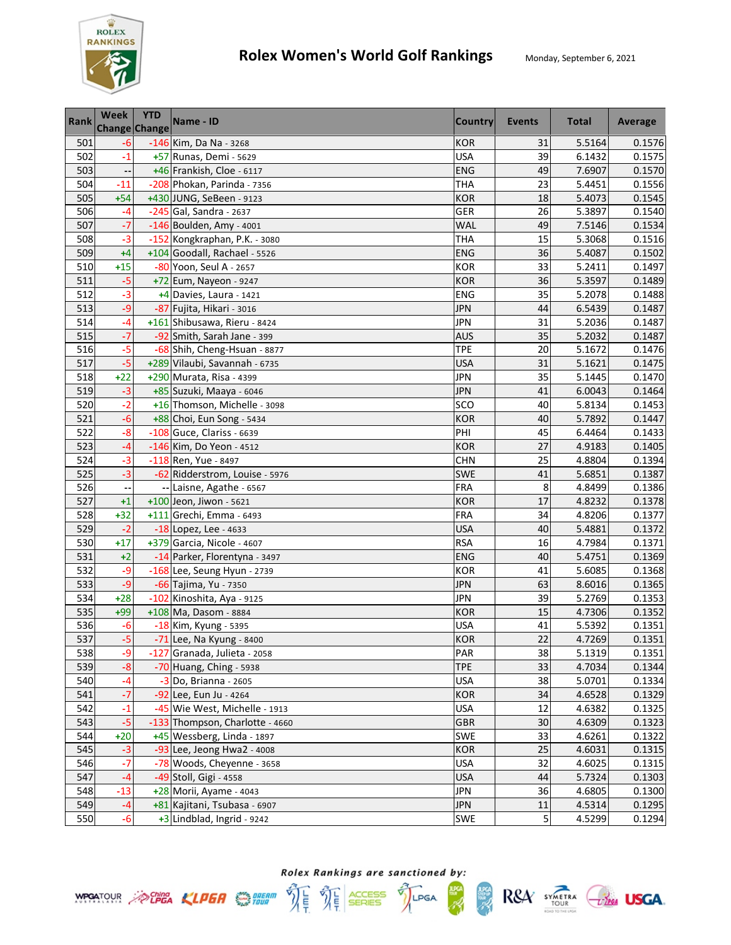

| <b>Rank</b> | Week<br><b>Change Change</b> | <b>YTD</b> | Name - ID                       | <b>Country</b> | Events | <b>Total</b> | Average |
|-------------|------------------------------|------------|---------------------------------|----------------|--------|--------------|---------|
| 501         | $-6$                         |            | -146 Kim, Da Na - 3268          | <b>KOR</b>     | 31     | 5.5164       | 0.1576  |
| 502         | $-1$                         |            | +57 Runas, Demi - 5629          | <b>USA</b>     | 39     | 6.1432       | 0.1575  |
| 503         |                              |            | +46 Frankish, Cloe - 6117       | <b>ENG</b>     | 49     | 7.6907       | 0.1570  |
| 504         | $-11$                        |            | -208 Phokan, Parinda - 7356     | <b>THA</b>     | 23     | 5.4451       | 0.1556  |
| 505         | $+54$                        |            | +430 JUNG, SeBeen - 9123        | <b>KOR</b>     | 18     | 5.4073       | 0.1545  |
| 506         | $-4$                         |            | $-245$ Gal, Sandra - 2637       | GER            | 26     | 5.3897       | 0.1540  |
| 507         | $-7$                         |            | -146 Boulden, Amy - 4001        | <b>WAL</b>     | 49     | 7.5146       | 0.1534  |
| 508         | $-3$                         |            | -152 Kongkraphan, P.K. - 3080   | <b>THA</b>     | 15     | 5.3068       | 0.1516  |
| 509         | $+4$                         |            | +104 Goodall, Rachael - 5526    | <b>ENG</b>     | 36     | 5.4087       | 0.1502  |
| 510         | $+15$                        |            | -80 Yoon, Seul A - 2657         | <b>KOR</b>     | 33     | 5.2411       | 0.1497  |
| 511         | $-5$                         |            | +72 Eum, Nayeon - 9247          | <b>KOR</b>     | 36     | 5.3597       | 0.1489  |
| 512         | $-3$                         |            | +4 Davies, Laura - 1421         | ENG            | 35     | 5.2078       | 0.1488  |
| 513         | $-9$                         |            | -87 Fujita, Hikari - 3016       | <b>JPN</b>     | 44     | 6.5439       | 0.1487  |
| 514         | -4                           |            | +161 Shibusawa, Rieru - 8424    | JPN            | 31     | 5.2036       | 0.1487  |
| 515         | $-7$                         |            | -92 Smith, Sarah Jane - 399     | <b>AUS</b>     | 35     | 5.2032       | 0.1487  |
| 516         | $-5$                         |            | -68 Shih, Cheng-Hsuan - 8877    | <b>TPE</b>     | 20     | 5.1672       | 0.1476  |
| 517         | $-5$                         |            | +289 Vilaubi, Savannah - 6735   | <b>USA</b>     | 31     | 5.1621       | 0.1475  |
| 518         | $+22$                        |            | +290 Murata, Risa - 4399        | <b>JPN</b>     | 35     | 5.1445       | 0.1470  |
| 519         | $-3$                         |            | +85 Suzuki, Maaya - 6046        | <b>JPN</b>     | 41     | 6.0043       | 0.1464  |
| 520         | $-2$                         |            | +16 Thomson, Michelle - 3098    | SCO            | 40     | 5.8134       | 0.1453  |
| 521         | $-6$                         |            | +88 Choi, Eun Song - 5434       | <b>KOR</b>     | 40     | 5.7892       | 0.1447  |
| 522         | $-8$                         |            | -108 Guce, Clariss - 6639       | PHI            | 45     | 6.4464       | 0.1433  |
| 523         | $-4$                         |            | -146 Kim, Do Yeon - 4512        | <b>KOR</b>     | 27     | 4.9183       | 0.1405  |
| 524         | $-3$                         |            | -118 Ren, Yue - 8497            | <b>CHN</b>     | 25     | 4.8804       | 0.1394  |
| 525         | $-3$                         |            | -62 Ridderstrom, Louise - 5976  | SWE            | 41     | 5.6851       | 0.1387  |
| 526         | $\overline{\phantom{a}}$     |            | -- Laisne, Agathe - 6567        | <b>FRA</b>     | 8      | 4.8499       | 0.1386  |
| 527         | $+1$                         |            | $+100$ Jeon, Jiwon - 5621       | <b>KOR</b>     | 17     | 4.8232       | 0.1378  |
| 528         | $+32$                        |            | +111 Grechi, Emma - 6493        | <b>FRA</b>     | 34     | 4.8206       | 0.1377  |
| 529         | $-2$                         |            | $-18$ Lopez, Lee - 4633         | <b>USA</b>     | 40     | 5.4881       | 0.1372  |
| 530         | $+17$                        |            | +379 Garcia, Nicole - 4607      | <b>RSA</b>     | 16     | 4.7984       | 0.1371  |
| 531         | $+2$                         |            | -14 Parker, Florentyna - 3497   | <b>ENG</b>     | 40     | 5.4751       | 0.1369  |
| 532         | $-9$                         |            | -168 Lee, Seung Hyun - 2739     | <b>KOR</b>     | 41     | 5.6085       | 0.1368  |
| 533         | $-9$                         |            | -66 Tajima, Yu - 7350           | <b>JPN</b>     | 63     | 8.6016       | 0.1365  |
| 534         | $+28$                        |            | -102 Kinoshita, Aya - 9125      | <b>JPN</b>     | 39     | 5.2769       | 0.1353  |
| 535         | $+99$                        |            | +108 Ma, Dasom - 8884           | <b>KOR</b>     | 15     | 4.7306       | 0.1352  |
| 536         | $-6$                         |            | -18 Kim, Kyung - 5395           | <b>USA</b>     | 41     | 5.5392       | 0.1351  |
| 537         | $-5$                         |            | -71 Lee, Na Kyung - 8400        | <b>KOR</b>     | 22     | 4.7269       | 0.1351  |
| 538         | -9                           |            | -127 Granada, Julieta - 2058    | PAR            | 38     | 5.1319       | 0.1351  |
| 539         | $-8$                         |            | -70 Huang, Ching - 5938         | <b>TPE</b>     | 33     | 4.7034       | 0.1344  |
| 540         | $-4$                         |            | $-3$ Do, Brianna - 2605         | <b>USA</b>     | 38     | 5.0701       | 0.1334  |
| 541         | $-7$                         |            | -92 Lee, Eun Ju - 4264          | KOR            | 34     | 4.6528       | 0.1329  |
| 542         | $-1$                         |            | -45 Wie West, Michelle - 1913   | <b>USA</b>     | 12     | 4.6382       | 0.1325  |
| 543         | $-5$                         |            | -133 Thompson, Charlotte - 4660 | GBR            | 30     | 4.6309       | 0.1323  |
| 544         | $+20$                        |            | +45 Wessberg, Linda - 1897      | SWE            | 33     | 4.6261       | 0.1322  |
| 545         | $-3$                         |            | -93 Lee, Jeong Hwa2 - 4008      | <b>KOR</b>     | 25     | 4.6031       | 0.1315  |
| 546         | $-7$                         |            | -78 Woods, Cheyenne - 3658      | <b>USA</b>     | 32     | 4.6025       | 0.1315  |
| 547         | $-4$                         |            | -49 Stoll, Gigi - 4558          | <b>USA</b>     | 44     | 5.7324       | 0.1303  |
| 548         | $-13$                        |            | +28 Morii, Ayame - 4043         | <b>JPN</b>     | 36     | 4.6805       | 0.1300  |
| 549         | $-4$                         |            | +81 Kajitani, Tsubasa - 6907    | <b>JPN</b>     | 11     | 4.5314       | 0.1295  |
| 550         | $-6$                         |            | $+3$ Lindblad, Ingrid - 9242    | <b>SWE</b>     | 5      | 4.5299       | 0.1294  |





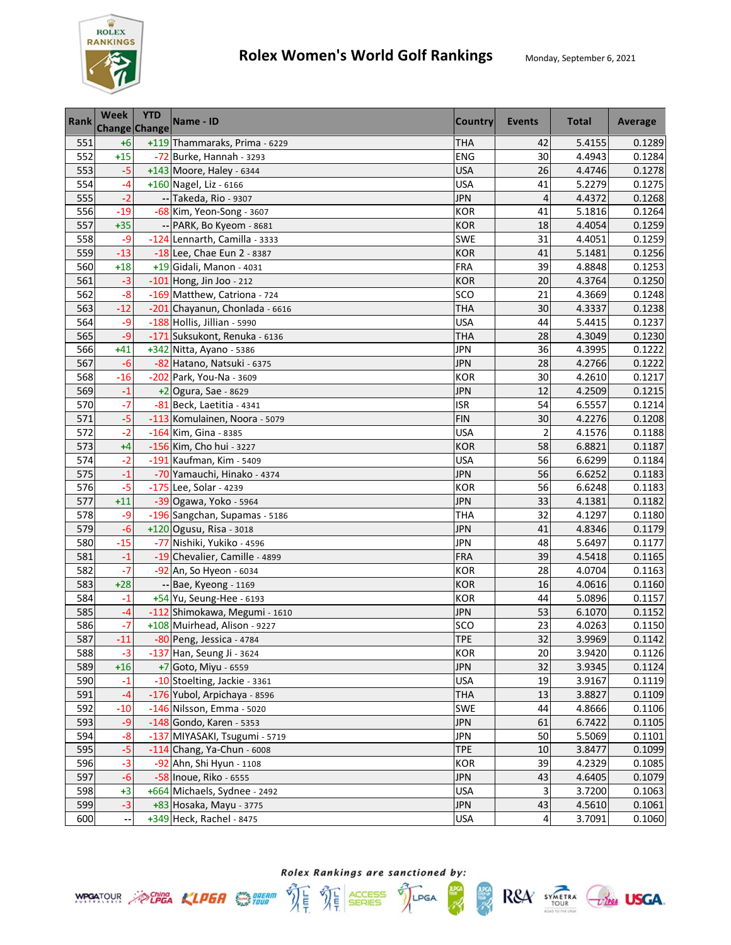

| Rank | <b>Week</b><br>Change Change | <b>YTD</b> | Name - ID                      | <b>Country</b> | <b>Events</b>  | <b>Total</b> | Average |
|------|------------------------------|------------|--------------------------------|----------------|----------------|--------------|---------|
| 551  | $+6$                         |            | +119 Thammaraks, Prima - 6229  | <b>THA</b>     | 42             | 5.4155       | 0.1289  |
| 552  | $+15$                        |            | $-72$ Burke, Hannah - 3293     | <b>ENG</b>     | 30             | 4.4943       | 0.1284  |
| 553  | $-5$                         |            | +143 Moore, Haley - 6344       | <b>USA</b>     | 26             | 4.4746       | 0.1278  |
| 554  | -4                           |            | +160 Nagel, Liz - 6166         | <b>USA</b>     | 41             | 5.2279       | 0.1275  |
| 555  | $-2$                         |            | -- Takeda, Rio - 9307          | <b>JPN</b>     | 4              | 4.4372       | 0.1268  |
| 556  | $-19$                        |            | -68 Kim, Yeon-Song - 3607      | <b>KOR</b>     | 41             | 5.1816       | 0.1264  |
| 557  | $+35$                        |            | -- PARK, Bo Kyeom - 8681       | <b>KOR</b>     | 18             | 4.4054       | 0.1259  |
| 558  | $-9$                         |            | -124 Lennarth, Camilla - 3333  | <b>SWE</b>     | 31             | 4.4051       | 0.1259  |
| 559  | $-13$                        |            | -18 Lee, Chae Eun 2 - 8387     | <b>KOR</b>     | 41             | 5.1481       | 0.1256  |
| 560  | $+18$                        |            | +19 Gidali, Manon - 4031       | <b>FRA</b>     | 39             | 4.8848       | 0.1253  |
| 561  | $-3$                         |            | $-101$ Hong, Jin Joo - 212     | <b>KOR</b>     | 20             | 4.3764       | 0.1250  |
| 562  | $-8$                         |            | -169 Matthew, Catriona - 724   | SCO            | 21             | 4.3669       | 0.1248  |
| 563  | $-12$                        |            | -201 Chayanun, Chonlada - 6616 | <b>THA</b>     | 30             | 4.3337       | 0.1238  |
| 564  | $-9$                         |            | -188 Hollis, Jillian - 5990    | <b>USA</b>     | 44             | 5.4415       | 0.1237  |
| 565  | $-9$                         |            | -171 Suksukont, Renuka - 6136  | <b>THA</b>     | 28             | 4.3049       | 0.1230  |
| 566  | $+41$                        |            | +342 Nitta, Ayano - 5386       | <b>JPN</b>     | 36             | 4.3995       | 0.1222  |
| 567  | $-6$                         |            | -82 Hatano, Natsuki - 6375     | <b>JPN</b>     | 28             | 4.2766       | 0.1222  |
| 568  | $-16$                        |            | -202 Park, You-Na - 3609       | <b>KOR</b>     | 30             | 4.2610       | 0.1217  |
| 569  | $-1$                         |            | +2 Ogura, Sae - 8629           | <b>JPN</b>     | 12             | 4.2509       | 0.1215  |
| 570  | $-7$                         |            | -81 Beck, Laetitia - 4341      | <b>ISR</b>     | 54             | 6.5557       | 0.1214  |
| 571  | $-5$                         |            | -113 Komulainen, Noora - 5079  | <b>FIN</b>     | 30             | 4.2276       | 0.1208  |
| 572  | $-2$                         |            | -164 Kim, Gina - 8385          | <b>USA</b>     | $\overline{2}$ | 4.1576       | 0.1188  |
| 573  | $+4$                         |            | -156 Kim, Cho hui - 3227       | <b>KOR</b>     | 58             | 6.8821       | 0.1187  |
| 574  | $-2$                         |            | -191 Kaufman, Kim - 5409       | <b>USA</b>     | 56             | 6.6299       | 0.1184  |
| 575  | $-1$                         |            | -70 Yamauchi, Hinako - 4374    | JPN            | 56             | 6.6252       | 0.1183  |
| 576  | $-5$                         |            | -175 Lee, Solar - 4239         | <b>KOR</b>     | 56             | 6.6248       | 0.1183  |
| 577  | $+11$                        |            | -39 Ogawa, Yoko - 5964         | <b>JPN</b>     | 33             | 4.1381       | 0.1182  |
| 578  | -9                           |            | -196 Sangchan, Supamas - 5186  | <b>THA</b>     | 32             | 4.1297       | 0.1180  |
| 579  | $-6$                         |            | +120 Ogusu, Risa - 3018        | <b>JPN</b>     | 41             | 4.8346       | 0.1179  |
| 580  | $-15$                        |            | -77 Nishiki, Yukiko - 4596     | <b>JPN</b>     | 48             | 5.6497       | 0.1177  |
| 581  | $-1$                         |            | -19 Chevalier, Camille - 4899  | FRA            | 39             | 4.5418       | 0.1165  |
| 582  | $-7$                         |            | -92 An, So Hyeon - 6034        | <b>KOR</b>     | 28             | 4.0704       | 0.1163  |
| 583  | $+28$                        |            | -- Bae, Kyeong - 1169          | <b>KOR</b>     | 16             | 4.0616       | 0.1160  |
| 584  | $-1$                         |            | +54 Yu, Seung-Hee - 6193       | <b>KOR</b>     | 44             | 5.0896       | 0.1157  |
| 585  | $-4$                         |            | -112 Shimokawa, Megumi - 1610  | <b>JPN</b>     | 53             | 6.1070       | 0.1152  |
| 586  | $-7$                         |            | +108 Muirhead, Alison - 9227   | SCO            | 23             | 4.0263       | 0.1150  |
| 587  | $-11$                        |            | -80 Peng, Jessica - 4784       | <b>TPE</b>     | 32             | 3.9969       | 0.1142  |
| 588  | $-3$                         |            | -137 Han, Seung Ji - 3624      | KOR            | 20             | 3.9420       | 0.1126  |
| 589  | $+16$                        |            | +7 Goto, Miyu - 6559           | <b>JPN</b>     | 32             | 3.9345       | 0.1124  |
| 590  | $-1$                         |            | -10 Stoelting, Jackie - 3361   | <b>USA</b>     | 19             | 3.9167       | 0.1119  |
| 591  | $-4$                         |            | -176 Yubol, Arpichaya - 8596   | <b>THA</b>     | 13             | 3.8827       | 0.1109  |
| 592  | $-10$                        |            | -146 Nilsson, Emma - 5020      | SWE            | 44             | 4.8666       | 0.1106  |
| 593  | -9                           |            | -148 Gondo, Karen - 5353       | <b>JPN</b>     | 61             | 6.7422       | 0.1105  |
| 594  | $-8$                         |            | -137 MIYASAKI, Tsugumi - 5719  | <b>JPN</b>     | 50             | 5.5069       | 0.1101  |
| 595  | $-5$                         |            | $-114$ Chang, Ya-Chun - 6008   | <b>TPE</b>     | 10             | 3.8477       | 0.1099  |
| 596  | $-3$                         |            | -92 Ahn, Shi Hyun - 1108       | <b>KOR</b>     | 39             | 4.2329       | 0.1085  |
| 597  | $-6$                         |            | -58 Inoue, Riko - 6555         | <b>JPN</b>     | 43             | 4.6405       | 0.1079  |
| 598  | $+3$                         |            | +664 Michaels, Sydnee - 2492   | <b>USA</b>     | 3              | 3.7200       | 0.1063  |
| 599  | $-3$                         |            | +83 Hosaka, Mayu - 3775        | <b>JPN</b>     | 43             | 4.5610       | 0.1061  |
| 600  |                              |            | +349 Heck, Rachel - 8475       | <b>USA</b>     | 4              | 3.7091       | 0.1060  |



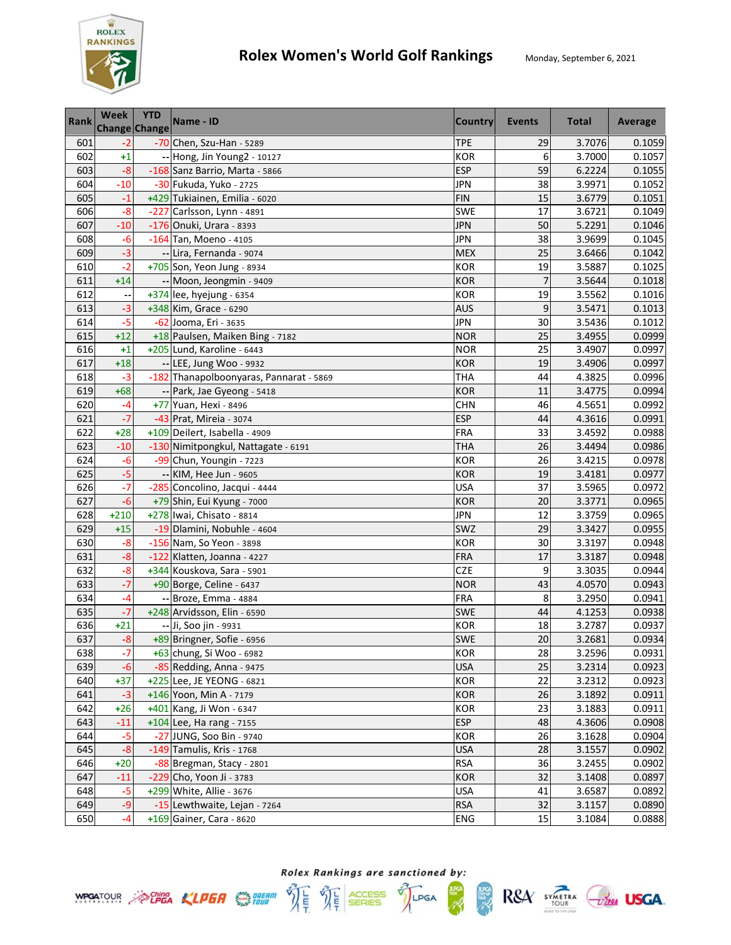

| <b>Rank</b> | Week<br><b>Change Change</b> | <b>YTD</b> | Name - ID                               | <b>Country</b> | <b>Events</b>  | <b>Total</b> | Average |
|-------------|------------------------------|------------|-----------------------------------------|----------------|----------------|--------------|---------|
| 601         | $-2$                         |            | -70 Chen, Szu-Han - 5289                | <b>TPE</b>     | 29             | 3.7076       | 0.1059  |
| 602         | $+1$                         |            | -- Hong, Jin Young2 - 10127             | <b>KOR</b>     | 6              | 3.7000       | 0.1057  |
| 603         | $-8$                         |            | -168 Sanz Barrio, Marta - 5866          | <b>ESP</b>     | 59             | 6.2224       | 0.1055  |
| 604         | $-10$                        |            | -30 Fukuda, Yuko - 2725                 | <b>JPN</b>     | 38             | 3.9971       | 0.1052  |
| 605         | $-1$                         |            | +429 Tukiainen, Emilia - 6020           | <b>FIN</b>     | 15             | 3.6779       | 0.1051  |
| 606         | $-8$                         |            | -227 Carlsson, Lynn - 4891              | <b>SWE</b>     | 17             | 3.6721       | 0.1049  |
| 607         | $-10$                        |            | -176 Onuki, Urara - 8393                | <b>JPN</b>     | 50             | 5.2291       | 0.1046  |
| 608         | $-6$                         |            | $-164$ Tan, Moeno - 4105                | <b>JPN</b>     | 38             | 3.9699       | 0.1045  |
| 609         | $-3$                         |            | -- Lira, Fernanda - 9074                | <b>MEX</b>     | 25             | 3.6466       | 0.1042  |
| 610         | $-2$                         |            | +705 Son, Yeon Jung - 8934              | <b>KOR</b>     | 19             | 3.5887       | 0.1025  |
| 611         | $+14$                        |            | -- Moon, Jeongmin - 9409                | <b>KOR</b>     | $\overline{7}$ | 3.5644       | 0.1018  |
| 612         |                              |            | $+374$ lee, hyejung - 6354              | <b>KOR</b>     | 19             | 3.5562       | 0.1016  |
| 613         | $-3$                         |            | +348 Kim, Grace - 6290                  | <b>AUS</b>     | 9              | 3.5471       | 0.1013  |
| 614         | $-5$                         |            | -62 Jooma, Eri - 3635                   | <b>JPN</b>     | 30             | 3.5436       | 0.1012  |
| 615         | $+12$                        |            | +18 Paulsen, Maiken Bing - 7182         | <b>NOR</b>     | 25             | 3.4955       | 0.0999  |
| 616         | $+1$                         |            | +205 Lund, Karoline - 6443              | <b>NOR</b>     | 25             | 3.4907       | 0.0997  |
| 617         | $+18$                        |            | -- LEE, Jung Woo - 9932                 | <b>KOR</b>     | 19             | 3.4906       | 0.0997  |
| 618         | $-3$                         |            | -182 Thanapolboonyaras, Pannarat - 5869 | <b>THA</b>     | 44             | 4.3825       | 0.0996  |
| 619         | $+68$                        |            | -- Park, Jae Gyeong - 5418              | <b>KOR</b>     | 11             | 3.4775       | 0.0994  |
| 620         | $-4$                         |            | +77 Yuan, Hexi - 8496                   | <b>CHN</b>     | 46             | 4.5651       | 0.0992  |
| 621         | $-7$                         |            | -43 Prat, Mireia - 3074                 | <b>ESP</b>     | 44             | 4.3616       | 0.0991  |
| 622         | $+28$                        |            | +109 Deilert, Isabella - 4909           | <b>FRA</b>     | 33             | 3.4592       | 0.0988  |
| 623         | $-10$                        |            | -130 Nimitpongkul, Nattagate - 6191     | <b>THA</b>     | 26             | 3.4494       | 0.0986  |
| 624         | $-6$                         |            | -99 Chun, Youngin - 7223                | <b>KOR</b>     | 26             | 3.4215       | 0.0978  |
| 625         | $-5$                         |            | -- KIM, Hee Jun - 9605                  | <b>KOR</b>     | 19             | 3.4181       | 0.0977  |
| 626         | $-7$                         |            | -285 Concolino, Jacqui - 4444           | <b>USA</b>     | 37             | 3.5965       | 0.0972  |
| 627         | $-6$                         |            | +79 Shin, Eui Kyung - 7000              | <b>KOR</b>     | 20             | 3.3771       | 0.0965  |
| 628         | $+210$                       |            | +278 Iwai, Chisato - 8814               | <b>JPN</b>     | 12             | 3.3759       | 0.0965  |
| 629         | $+15$                        |            | -19 Dlamini, Nobuhle - 4604             | SWZ            | 29             | 3.3427       | 0.0955  |
| 630         | $-8$                         |            | -156 Nam, So Yeon - 3898                | <b>KOR</b>     | 30             | 3.3197       | 0.0948  |
| 631         | $-8$                         |            | -122 Klatten, Joanna - 4227             | <b>FRA</b>     | 17             | 3.3187       | 0.0948  |
| 632         | $-8$                         |            | +344 Kouskova, Sara - 5901              | CZE            | 9              | 3.3035       | 0.0944  |
| 633         | $-7$                         |            | +90 Borge, Celine - 6437                | <b>NOR</b>     | 43             | 4.0570       | 0.0943  |
| 634         | $-4$                         |            | -- Broze, Emma - 4884                   | <b>FRA</b>     | 8              | 3.2950       | 0.0941  |
| 635         | $-7$                         |            | +248 Arvidsson, Elin - 6590             | SWE            | 44             | 4.1253       | 0.0938  |
| 636         | $+21$                        |            | -- Ji, Soo jin - 9931                   | <b>KOR</b>     | 18             | 3.2787       | 0.0937  |
| 637         | $-8$                         |            | +89 Bringner, Sofie - 6956              | <b>SWE</b>     | 20             | 3.2681       | 0.0934  |
| 638         | $-7$                         |            | +63 chung, Si Woo - 6982                | KOR            | 28             | 3.2596       | 0.0931  |
| 639         | $-6$                         |            | -85 Redding, Anna - 9475                | <b>USA</b>     | 25             | 3.2314       | 0.0923  |
| 640         | $+37$                        |            | +225 Lee, JE YEONG - 6821               | KOR            | 22             | 3.2312       | 0.0923  |
| 641         | $-3$                         |            | +146 Yoon, Min A - 7179                 | <b>KOR</b>     | 26             | 3.1892       | 0.0911  |
| 642         | $+26$                        |            | +401 Kang, Ji Won - 6347                | <b>KOR</b>     | 23             | 3.1883       | 0.0911  |
| 643         | $-11$                        |            | $+104$ Lee, Ha rang - 7155              | <b>ESP</b>     | 48             | 4.3606       | 0.0908  |
| 644         | $-5$                         |            | -27 JUNG, Soo Bin - 9740                | <b>KOR</b>     | 26             | 3.1628       | 0.0904  |
| 645         | $-8$                         |            | -149 Tamulis, Kris - 1768               | <b>USA</b>     | 28             | 3.1557       | 0.0902  |
| 646         | $+20$                        |            | -88 Bregman, Stacy - 2801               | <b>RSA</b>     | 36             | 3.2455       | 0.0902  |
| 647         | $-11$                        |            | -229 Cho, Yoon Ji - 3783                | <b>KOR</b>     | 32             | 3.1408       | 0.0897  |
| 648         | $-5$                         |            | +299 White, Allie - 3676                | <b>USA</b>     | 41             | 3.6587       | 0.0892  |
| 649         | $-9$                         |            | -15 Lewthwaite, Lejan - 7264            | <b>RSA</b>     | 32             | 3.1157       | 0.0890  |
| 650         | $-4$                         |            | +169 Gainer, Cara - 8620                | <b>ENG</b>     | 15             | 3.1084       | 0.0888  |

Rolex Rankings are sanctioned by: **WPOATOUR** ACHEA KLPER SUPER THE THE SERIES TILPGA

體

 $RSA$  SYMETRA  $C$ lega USGA.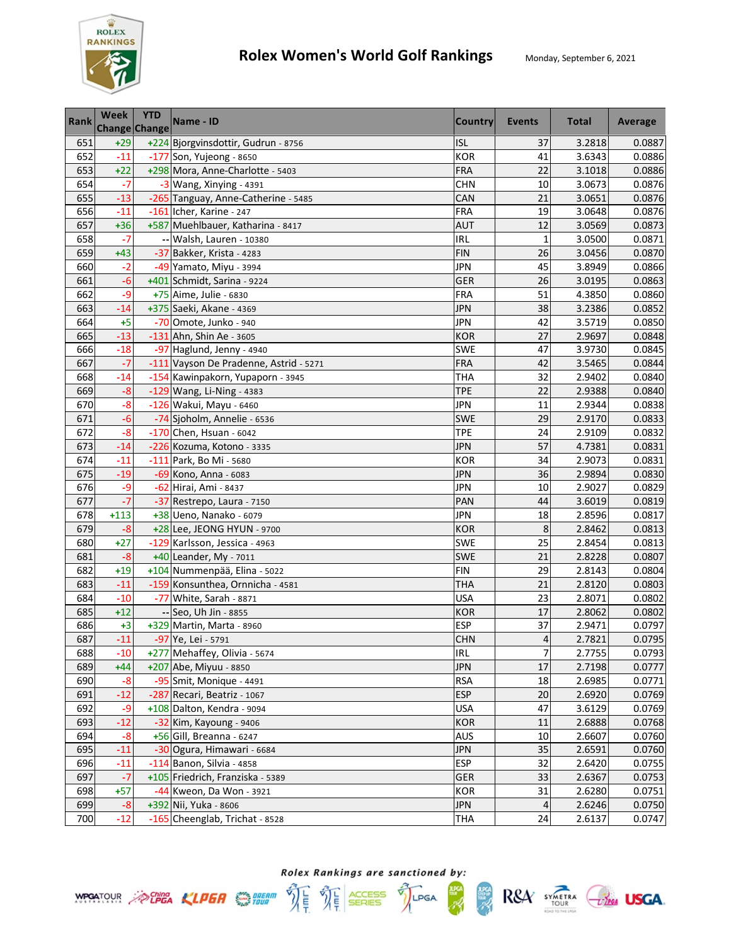

| <b>Rank</b> | Week<br><b>Change Change</b> | <b>YTD</b> | Name - ID                              | <b>Country</b> | <b>Events</b>   | <b>Total</b> | Average |
|-------------|------------------------------|------------|----------------------------------------|----------------|-----------------|--------------|---------|
| 651         | $+29$                        |            | +224 Bjorgvinsdottir, Gudrun - 8756    | <b>ISL</b>     | 37              | 3.2818       | 0.0887  |
| 652         | $-11$                        |            | -177 Son, Yujeong - 8650               | <b>KOR</b>     | 41              | 3.6343       | 0.0886  |
| 653         | $+22$                        |            | +298 Mora, Anne-Charlotte - 5403       | <b>FRA</b>     | 22              | 3.1018       | 0.0886  |
| 654         | $-7$                         |            | $-3$ Wang, Xinying - 4391              | <b>CHN</b>     | 10              | 3.0673       | 0.0876  |
| 655         | $-13$                        |            | -265 Tanguay, Anne-Catherine - 5485    | CAN            | 21              | 3.0651       | 0.0876  |
| 656         | $-11$                        |            | -161 Icher, Karine - 247               | FRA            | 19              | 3.0648       | 0.0876  |
| 657         | $+36$                        |            | +587 Muehlbauer, Katharina - 8417      | <b>AUT</b>     | 12              | 3.0569       | 0.0873  |
| 658         | $-7$                         |            | -- Walsh, Lauren - 10380               | IRL            | $\mathbf{1}$    | 3.0500       | 0.0871  |
| 659         | $+43$                        |            | -37 Bakker, Krista - 4283              | <b>FIN</b>     | 26              | 3.0456       | 0.0870  |
| 660         | $-2$                         |            | -49 Yamato, Miyu - 3994                | <b>JPN</b>     | 45              | 3.8949       | 0.0866  |
| 661         | $-6$                         |            | +401 Schmidt, Sarina - 9224            | <b>GER</b>     | 26              | 3.0195       | 0.0863  |
| 662         | $-9$                         |            | +75 Aime, Julie - 6830                 | <b>FRA</b>     | 51              | 4.3850       | 0.0860  |
| 663         | $-14$                        |            | +375 Saeki, Akane - 4369               | JPN            | 38              | 3.2386       | 0.0852  |
| 664         | $+5$                         |            | -70 Omote, Junko - 940                 | <b>JPN</b>     | 42              | 3.5719       | 0.0850  |
| 665         | $-13$                        |            | -131 Ahn, Shin Ae - 3605               | <b>KOR</b>     | 27              | 2.9697       | 0.0848  |
| 666         | $-18$                        |            | -97 Haglund, Jenny - 4940              | <b>SWE</b>     | 47              | 3.9730       | 0.0845  |
| 667         | $-7$                         |            | -111 Vayson De Pradenne, Astrid - 5271 | <b>FRA</b>     | 42              | 3.5465       | 0.0844  |
| 668         | $-14$                        |            | -154 Kawinpakorn, Yupaporn - 3945      | <b>THA</b>     | 32              | 2.9402       | 0.0840  |
| 669         | $-8$                         |            | -129 Wang, Li-Ning - 4383              | <b>TPE</b>     | 22              | 2.9388       | 0.0840  |
| 670         | $-8$                         |            | -126 Wakui, Mayu - 6460                | <b>JPN</b>     | 11              | 2.9344       | 0.0838  |
| 671         | $-6$                         |            | -74 Sjoholm, Annelie - 6536            | <b>SWE</b>     | 29              | 2.9170       | 0.0833  |
| 672         | $-8$                         |            | $-170$ Chen, Hsuan - 6042              | <b>TPE</b>     | 24              | 2.9109       | 0.0832  |
| 673         | $-14$                        |            | -226 Kozuma, Kotono - 3335             | <b>JPN</b>     | 57              | 4.7381       | 0.0831  |
| 674         | $-11$                        |            | -111 Park, Bo Mi - 5680                | <b>KOR</b>     | 34              | 2.9073       | 0.0831  |
| 675         | $-19$                        |            | -69 Kono, Anna - 6083                  | JPN            | 36              | 2.9894       | 0.0830  |
| 676         | -9                           |            | -62 Hirai, Ami - 8437                  | <b>JPN</b>     | 10              | 2.9027       | 0.0829  |
| 677         | $-7$                         |            | -37 Restrepo, Laura - 7150             | PAN            | 44              | 3.6019       | 0.0819  |
| 678         | $+113$                       |            | +38 Ueno, Nanako - 6079                | <b>JPN</b>     | 18              | 2.8596       | 0.0817  |
| 679         | $-8$                         |            | +28 Lee, JEONG HYUN - 9700             | <b>KOR</b>     | 8               | 2.8462       | 0.0813  |
| 680         | $+27$                        |            | -129 Karlsson, Jessica - 4963          | SWE            | $\overline{25}$ | 2.8454       | 0.0813  |
| 681         | $-8$                         |            | +40 Leander, My - 7011                 | SWE            | 21              | 2.8228       | 0.0807  |
| 682         | $+19$                        |            | +104 Nummenpää, Elina - 5022           | <b>FIN</b>     | 29              | 2.8143       | 0.0804  |
| 683         | $-11$                        |            | -159 Konsunthea, Ornnicha - 4581       | <b>THA</b>     | 21              | 2.8120       | 0.0803  |
| 684         | $-10$                        |            | -77 White, Sarah - 8871                | <b>USA</b>     | 23              | 2.8071       | 0.0802  |
| 685         | $+12$                        |            | -- Seo, Uh Jin - 8855                  | <b>KOR</b>     | 17              | 2.8062       | 0.0802  |
| 686         | $+3$                         |            | +329 Martin, Marta - 8960              | <b>ESP</b>     | 37              | 2.9471       | 0.0797  |
| 687         | $-11$                        |            | $-97$ Ye, Lei - 5791                   | <b>CHN</b>     | $\overline{4}$  | 2.7821       | 0.0795  |
| 688         | $-10$                        |            | +277 Mehaffey, Olivia - 5674           | IRL            | 7               | 2.7755       | 0.0793  |
| 689         | $+44$                        |            | +207 Abe, Miyuu - 8850                 | <b>JPN</b>     | 17              | 2.7198       | 0.0777  |
| 690         | $-8$                         |            | -95 Smit, Monique - 4491               | <b>RSA</b>     | 18              | 2.6985       | 0.0771  |
| 691         | $-12$                        |            | -287 Recari, Beatriz - 1067            | <b>ESP</b>     | 20              | 2.6920       | 0.0769  |
| 692         | -9                           |            | +108 Dalton, Kendra - 9094             | <b>USA</b>     | 47              | 3.6129       | 0.0769  |
| 693         | $-12$                        |            | -32 Kim, Kayoung - 9406                | <b>KOR</b>     | 11              | 2.6888       | 0.0768  |
| 694         | $-8$                         |            | +56 Gill, Breanna - 6247               | AUS            | 10              | 2.6607       | 0.0760  |
| 695         | $-11$                        |            | -30 Ogura, Himawari - 6684             | <b>JPN</b>     | 35              | 2.6591       | 0.0760  |
| 696         | $-11$                        |            | $-114$ Banon, Silvia - 4858            | <b>ESP</b>     | 32              | 2.6420       | 0.0755  |
| 697         | $-7$                         |            | +105 Friedrich, Franziska - 5389       | <b>GER</b>     | 33              | 2.6367       | 0.0753  |
| 698         | $+57$                        |            | -44 Kweon, Da Won - 3921               | <b>KOR</b>     | 31              | 2.6280       | 0.0751  |
| 699         | $-8$                         |            | +392 Nii, Yuka - 8606                  | <b>JPN</b>     | 4               | 2.6246       | 0.0750  |
| 700         | $-12$                        |            | -165 Cheenglab, Trichat - 8528         | <b>THA</b>     | 24              | 2.6137       | 0.0747  |

Rolex Rankings are sanctioned by: **WPOATOUR** ACHEA KLPER SUPER THE THE SERIES TILPGA

體

 $RSA$  SYMETRA  $C$ lega USGA.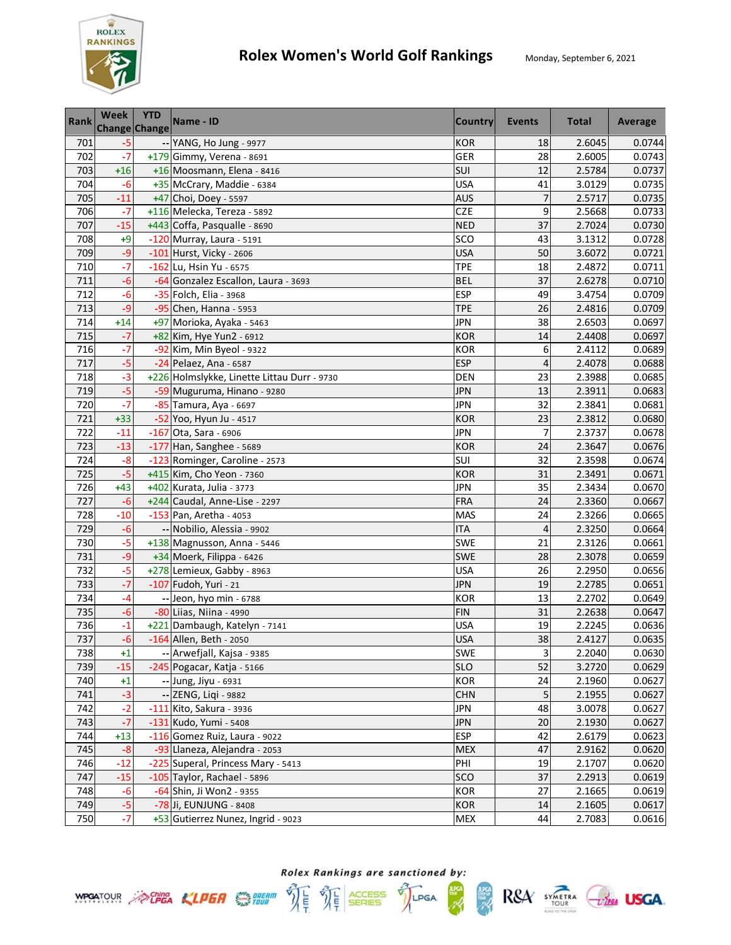

| <b>Rank</b> | <b>Week</b><br>Change Change | <b>YTD</b> | Name - ID                                   | Country    | <b>Events</b> | <b>Total</b> | Average |
|-------------|------------------------------|------------|---------------------------------------------|------------|---------------|--------------|---------|
| 701         | $-5$                         |            | -- YANG, Ho Jung - 9977                     | <b>KOR</b> | 18            | 2.6045       | 0.0744  |
| 702         | $-7$                         |            | +179 Gimmy, Verena - 8691                   | GER        | 28            | 2.6005       | 0.0743  |
| 703         | $+16$                        |            | +16 Moosmann, Elena - 8416                  | SUI        | 12            | 2.5784       | 0.0737  |
| 704         | $-6$                         |            | +35 McCrary, Maddie - 6384                  | <b>USA</b> | 41            | 3.0129       | 0.0735  |
| 705         | $-11$                        |            | +47 Choi, Doey - 5597                       | <b>AUS</b> | 7             | 2.5717       | 0.0735  |
| 706         | $-7$                         |            | +116 Melecka, Tereza - 5892                 | <b>CZE</b> | 9             | 2.5668       | 0.0733  |
| 707         | $-15$                        |            | +443 Coffa, Pasqualle - 8690                | <b>NED</b> | 37            | 2.7024       | 0.0730  |
| 708         | $+9$                         |            | -120 Murray, Laura - 5191                   | SCO        | 43            | 3.1312       | 0.0728  |
| 709         | $-9$                         |            | -101 Hurst, Vicky - 2606                    | <b>USA</b> | 50            | 3.6072       | 0.0721  |
| 710         | $-7$                         |            | -162 Lu, Hsin Yu - 6575                     | <b>TPE</b> | 18            | 2.4872       | 0.0711  |
| 711         | $-6$                         |            | -64 Gonzalez Escallon, Laura - 3693         | <b>BEL</b> | 37            | 2.6278       | 0.0710  |
| 712         | $-6$                         |            | -35 Folch, Elia - 3968                      | <b>ESP</b> | 49            | 3.4754       | 0.0709  |
| 713         | $-9$                         |            | -95 Chen, Hanna - 5953                      | <b>TPE</b> | 26            | 2.4816       | 0.0709  |
| 714         | $+14$                        |            | +97 Morioka, Ayaka - 5463                   | <b>JPN</b> | 38            | 2.6503       | 0.0697  |
| 715         | $-7$                         |            | +82 Kim, Hye Yun2 - 6912                    | <b>KOR</b> | 14            | 2.4408       | 0.0697  |
| 716         | $-7$                         |            | -92 Kim, Min Byeol - 9322                   | <b>KOR</b> | 6             | 2.4112       | 0.0689  |
| 717         | $-5$                         |            | -24 Pelaez, Ana - 6587                      | <b>ESP</b> | 4             | 2.4078       | 0.0688  |
| 718         | $-3$                         |            | +226 Holmslykke, Linette Littau Durr - 9730 | <b>DEN</b> | 23            | 2.3988       | 0.0685  |
| 719         | $-5$                         |            | -59 Muguruma, Hinano - 9280                 | <b>JPN</b> | 13            | 2.3911       | 0.0683  |
| 720         | $-7$                         |            | -85 Tamura, Aya - 6697                      | <b>JPN</b> | 32            | 2.3841       | 0.0681  |
| 721         | $+33$                        |            | -52 Yoo, Hyun Ju - 4517                     | <b>KOR</b> | 23            | 2.3812       | 0.0680  |
| 722         | $-11$                        |            | -167 Ota, Sara - 6906                       | <b>JPN</b> | 7             | 2.3737       | 0.0678  |
| 723         | $-13$                        |            | -177 Han, Sanghee - 5689                    | <b>KOR</b> | 24            | 2.3647       | 0.0676  |
| 724         | $-8$                         |            | -123 Rominger, Caroline - 2573              | SUI        | 32            | 2.3598       | 0.0674  |
| 725         | $-5$                         |            | +415 Kim, Cho Yeon - 7360                   | <b>KOR</b> | 31            | 2.3491       | 0.0671  |
| 726         | $+43$                        |            | +402 Kurata, Julia - 3773                   | <b>JPN</b> | 35            | 2.3434       | 0.0670  |
| 727         | $-6$                         |            | +244 Caudal, Anne-Lise - 2297               | FRA        | 24            | 2.3360       | 0.0667  |
| 728         | $-10$                        |            | $-153$ Pan, Aretha - 4053                   | <b>MAS</b> | 24            | 2.3266       | 0.0665  |
| 729         | $-6$                         |            | -- Nobilio, Alessia - 9902                  | <b>ITA</b> | 4             | 2.3250       | 0.0664  |
| 730         | $-5$                         |            | +138 Magnusson, Anna - 5446                 | <b>SWE</b> | 21            | 2.3126       | 0.0661  |
| 731         | $-9$                         |            | +34 Moerk, Filippa - 6426                   | SWE        | 28            | 2.3078       | 0.0659  |
| 732         | $-5$                         |            | +278 Lemieux, Gabby - 8963                  | <b>USA</b> | 26            | 2.2950       | 0.0656  |
| 733         | $-7$                         |            | -107 Fudoh, Yuri - 21                       | <b>JPN</b> | 19            | 2.2785       | 0.0651  |
| 734         | -4                           |            | -- Jeon, hyo min - 6788                     | <b>KOR</b> | 13            | 2.2702       | 0.0649  |
| 735         | $-6$                         |            | -80 Liias, Niina - 4990                     | <b>FIN</b> | 31            | 2.2638       | 0.0647  |
| 736         | $-1$                         |            | +221 Dambaugh, Katelyn - 7141               | <b>USA</b> | 19            | 2.2245       | 0.0636  |
| 737         | $-6$                         |            | -164 Allen, Beth - 2050                     | <b>USA</b> | 38            | 2.4127       | 0.0635  |
| 738         | $+1$                         |            | -- Arwefjall, Kajsa - 9385                  | <b>SWE</b> | 3             | 2.2040       | 0.0630  |
| 739         | $-15$                        |            | -245 Pogacar, Katja - 5166                  | <b>SLO</b> | 52            | 3.2720       | 0.0629  |
| 740         | $+1$                         |            | -- Jung, Jiyu - 6931                        | KOR        | 24            | 2.1960       | 0.0627  |
| 741         | $-3$                         |            | -- ZENG, Liqi - 9882                        | <b>CHN</b> | 5             | 2.1955       | 0.0627  |
| 742         | $-2$                         |            | -111 Kito, Sakura - 3936                    | <b>JPN</b> | 48            | 3.0078       | 0.0627  |
| 743         | $-7$                         |            | -131 Kudo, Yumi - 5408                      | <b>JPN</b> | 20            | 2.1930       | 0.0627  |
| 744         | $+13$                        |            | -116 Gomez Ruiz, Laura - 9022               | <b>ESP</b> | 42            | 2.6179       | 0.0623  |
| 745         | $-8$                         |            | -93 Llaneza, Alejandra - 2053               | <b>MEX</b> | 47            | 2.9162       | 0.0620  |
| 746         | $-12$                        |            | -225 Superal, Princess Mary - 5413          | PHI        | 19            | 2.1707       | 0.0620  |
| 747         | $-15$                        |            | -105 Taylor, Rachael - 5896                 | <b>SCO</b> | 37            | 2.2913       | 0.0619  |
| 748         | $-6$                         |            | -64 Shin, Ji Won2 - 9355                    | KOR        | 27            | 2.1665       | 0.0619  |
| 749         | $-5$                         |            | -78 Ji, EUNJUNG - 8408                      | <b>KOR</b> | 14            | 2.1605       | 0.0617  |
| 750         | $-7$                         |            | +53 Gutierrez Nunez, Ingrid - 9023          | <b>MEX</b> | 44            | 2.7083       | 0.0616  |





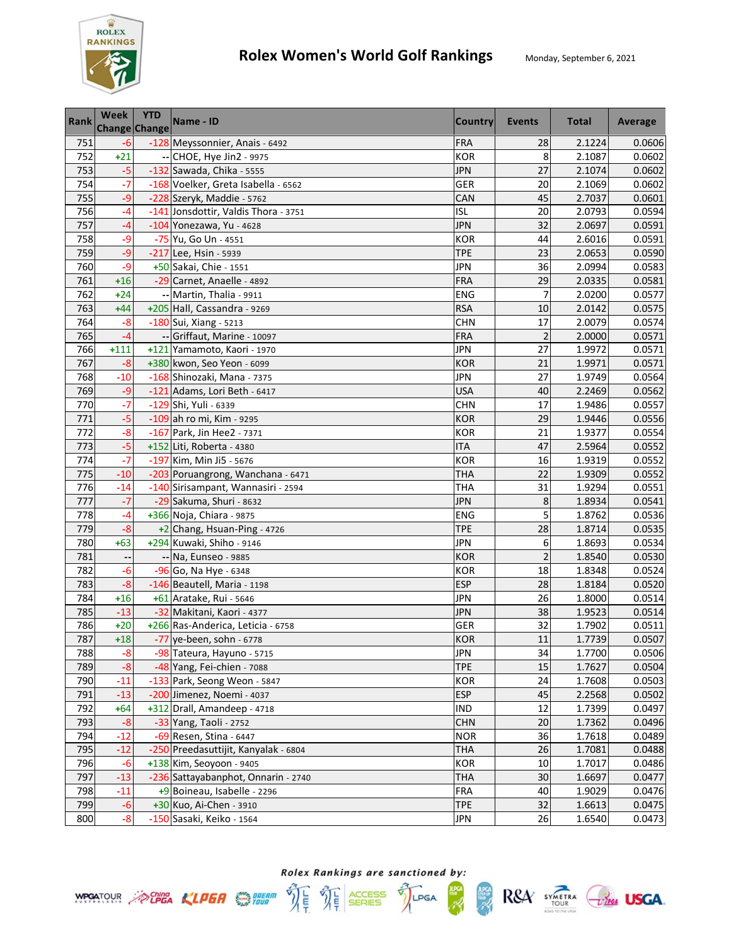

| <b>Rank</b> | <b>Week</b><br>Change Change | <b>YTD</b> | Name - ID                            | <b>Country</b> | <b>Events</b>  | <b>Total</b> | Average |
|-------------|------------------------------|------------|--------------------------------------|----------------|----------------|--------------|---------|
| 751         | $-6$                         |            | -128 Meyssonnier, Anais - 6492       | <b>FRA</b>     | 28             | 2.1224       | 0.0606  |
| 752         | $+21$                        |            | -- CHOE, Hye Jin2 - 9975             | <b>KOR</b>     | 8              | 2.1087       | 0.0602  |
| 753         | $-5$                         |            | -132 Sawada, Chika - 5555            | <b>JPN</b>     | 27             | 2.1074       | 0.0602  |
| 754         | $-7$                         |            | -168 Voelker, Greta Isabella - 6562  | GER            | 20             | 2.1069       | 0.0602  |
| 755         | -9                           |            | -228 Szeryk, Maddie - 5762           | CAN            | 45             | 2.7037       | 0.0601  |
| 756         | $-4$                         |            | -141 Jonsdottir, Valdis Thora - 3751 | <b>ISL</b>     | 20             | 2.0793       | 0.0594  |
| 757         | $-4$                         |            | -104 Yonezawa, Yu - 4628             | <b>JPN</b>     | 32             | 2.0697       | 0.0591  |
| 758         | -9                           |            | -75 Yu, Go Un - 4551                 | <b>KOR</b>     | 44             | 2.6016       | 0.0591  |
| 759         | -9                           |            | -217 Lee, Hsin - 5939                | <b>TPE</b>     | 23             | 2.0653       | 0.0590  |
| 760         | -9                           |            | +50 Sakai, Chie - 1551               | <b>JPN</b>     | 36             | 2.0994       | 0.0583  |
| 761         | $+16$                        |            | -29 Carnet, Anaelle - 4892           | FRA            | 29             | 2.0335       | 0.0581  |
| 762         | $+24$                        |            | -- Martin, Thalia - 9911             | ENG            | 7              | 2.0200       | 0.0577  |
| 763         | $+44$                        |            | +205 Hall, Cassandra - 9269          | <b>RSA</b>     | 10             | 2.0142       | 0.0575  |
| 764         | $-8$                         |            | -180 Sui, Xiang - 5213               | <b>CHN</b>     | 17             | 2.0079       | 0.0574  |
| 765         | $-4$                         |            | -- Griffaut, Marine - 10097          | <b>FRA</b>     | $\overline{2}$ | 2.0000       | 0.0571  |
| 766         | $+111$                       |            | +121 Yamamoto, Kaori - 1970          | <b>JPN</b>     | 27             | 1.9972       | 0.0571  |
| 767         | $-8$                         |            | +380 kwon, Seo Yeon - 6099           | <b>KOR</b>     | 21             | 1.9971       | 0.0571  |
| 768         | $-10$                        |            | -168 Shinozaki, Mana - 7375          | <b>JPN</b>     | 27             | 1.9749       | 0.0564  |
| 769         | $-9$                         |            | -121 Adams, Lori Beth - 6417         | <b>USA</b>     | 40             | 2.2469       | 0.0562  |
| 770         | $-7$                         |            | -129 Shi, Yuli - 6339                | <b>CHN</b>     | 17             | 1.9486       | 0.0557  |
| 771         | $-5$                         |            | -109 ah ro mi, Kim - 9295            | <b>KOR</b>     | 29             | 1.9446       | 0.0556  |
| 772         | $-8$                         |            | -167 Park, Jin Hee2 - 7371           | <b>KOR</b>     | 21             | 1.9377       | 0.0554  |
| 773         | $-5$                         |            | +152 Liti, Roberta - 4380            | <b>ITA</b>     | 47             | 2.5964       | 0.0552  |
| 774         | $-7$                         |            | -197 Kim, Min Ji5 - 5676             | <b>KOR</b>     | 16             | 1.9319       | 0.0552  |
| 775         | $-10$                        |            | -203 Poruangrong, Wanchana - 6471    | <b>THA</b>     | 22             | 1.9309       | 0.0552  |
| 776         | $-14$                        |            | -140 Sirisampant, Wannasiri - 2594   | <b>THA</b>     | 31             | 1.9294       | 0.0551  |
| 777         | $-7$                         |            | -29 Sakuma, Shuri - 8632             | <b>JPN</b>     | 8              | 1.8934       | 0.0541  |
| 778         | $-4$                         |            | +366 Noja, Chiara - 9875             | <b>ENG</b>     | 5              | 1.8762       | 0.0536  |
| 779         | $-8$                         |            | +2 Chang, Hsuan-Ping - 4726          | <b>TPE</b>     | 28             | 1.8714       | 0.0535  |
| 780         | $+63$                        |            | +294 Kuwaki, Shiho - 9146            | <b>JPN</b>     | 6              | 1.8693       | 0.0534  |
| 781         |                              |            | -- Na, Eunseo - 9885                 | <b>KOR</b>     | $\overline{c}$ | 1.8540       | 0.0530  |
| 782         | $-6$                         |            | -96 Go, Na Hye - 6348                | <b>KOR</b>     | 18             | 1.8348       | 0.0524  |
| 783         | $-8$                         |            | -146 Beautell, Maria - 1198          | <b>ESP</b>     | 28             | 1.8184       | 0.0520  |
| 784         | $+16$                        |            | +61 Aratake, Rui - 5646              | <b>JPN</b>     | 26             | 1.8000       | 0.0514  |
| 785         | $-13$                        |            | -32 Makitani, Kaori - 4377           | <b>JPN</b>     | 38             | 1.9523       | 0.0514  |
| 786         | $+20$                        |            | +266 Ras-Anderica, Leticia - 6758    | GER            | 32             | 1.7902       | 0.0511  |
| 787         | $+18$                        |            | -77 ye-been, sohn - 6778             | <b>KOR</b>     | 11             | 1.7739       | 0.0507  |
| 788         | $-8$                         |            | -98 Tateura, Hayuno - 5715           | <b>JPN</b>     | 34             | 1.7700       | 0.0506  |
| 789         | $-8$                         |            | -48 Yang, Fei-chien - 7088           | <b>TPE</b>     | 15             | 1.7627       | 0.0504  |
| 790         | $-11$                        |            | -133 Park, Seong Weon - 5847         | <b>KOR</b>     | 24             | 1.7608       | 0.0503  |
| 791         | $-13$                        |            | -200 Jimenez, Noemi - 4037           | <b>ESP</b>     | 45             | 2.2568       | 0.0502  |
| 792         | $+64$                        |            | +312 Drall, Amandeep - 4718          | <b>IND</b>     | 12             | 1.7399       | 0.0497  |
| 793         | $-8$                         |            | -33 Yang, Taoli - 2752               | <b>CHN</b>     | 20             | 1.7362       | 0.0496  |
| 794         | $-12$                        |            | -69 Resen, Stina - 6447              | <b>NOR</b>     | 36             | 1.7618       | 0.0489  |
| 795         | $-12$                        |            | -250 Preedasuttijit, Kanyalak - 6804 | <b>THA</b>     | 26             | 1.7081       | 0.0488  |
| 796         | $-6$                         |            | +138 Kim, Seoyoon - 9405             | <b>KOR</b>     | 10             | 1.7017       | 0.0486  |
| 797         | $-13$                        |            | -236 Sattayabanphot, Onnarin - 2740  | <b>THA</b>     | 30             | 1.6697       | 0.0477  |
| 798         | $-11$                        |            | +9 Boineau, Isabelle - 2296          | <b>FRA</b>     | 40             | 1.9029       | 0.0476  |
| 799         | $-6$                         |            | +30 Kuo, Ai-Chen - 3910              | <b>TPE</b>     | 32             | 1.6613       | 0.0475  |
| 800         | $-8$                         |            | -150 Sasaki, Keiko - 1564            | <b>JPN</b>     | 26             | 1.6540       | 0.0473  |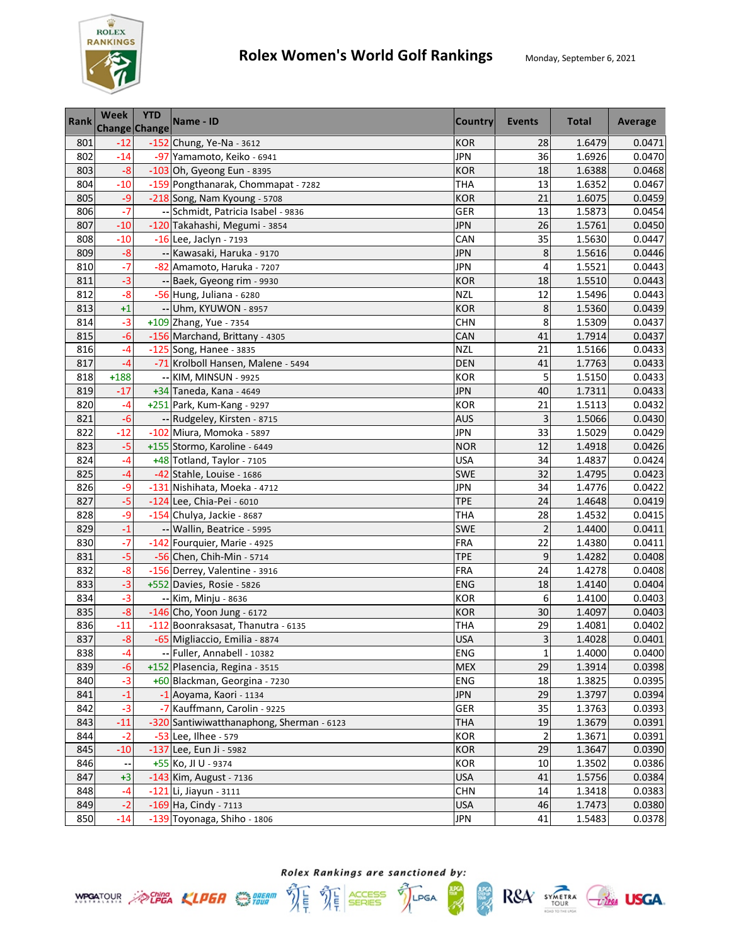

| <b>Rank</b> | Week<br><b>Change Change</b> | <b>YTD</b> | Name - ID                                 | <b>Country</b> | <b>Events</b>   | <b>Total</b> | Average |
|-------------|------------------------------|------------|-------------------------------------------|----------------|-----------------|--------------|---------|
| 801         | $-12$                        |            | -152 Chung, Ye-Na - 3612                  | <b>KOR</b>     | 28              | 1.6479       | 0.0471  |
| 802         | $-14$                        |            | -97 Yamamoto, Keiko - 6941                | <b>JPN</b>     | 36              | 1.6926       | 0.0470  |
| 803         | $-8$                         |            | -103 Oh, Gyeong Eun - 8395                | <b>KOR</b>     | 18              | 1.6388       | 0.0468  |
| 804         | $-10$                        |            | -159 Pongthanarak, Chommapat - 7282       | <b>THA</b>     | 13              | 1.6352       | 0.0467  |
| 805         | $-9$                         |            | -218 Song, Nam Kyoung - 5708              | <b>KOR</b>     | 21              | 1.6075       | 0.0459  |
| 806         | $-7$                         |            | -- Schmidt, Patricia Isabel - 9836        | GER            | 13              | 1.5873       | 0.0454  |
| 807         | $-10$                        |            | -120 Takahashi, Megumi - 3854             | <b>JPN</b>     | 26              | 1.5761       | 0.0450  |
| 808         | $-10$                        |            | -16 Lee, Jaclyn - 7193                    | CAN            | 35              | 1.5630       | 0.0447  |
| 809         | $-8$                         |            | -- Kawasaki, Haruka - 9170                | <b>JPN</b>     | 8               | 1.5616       | 0.0446  |
| 810         | $-7$                         |            | -82 Amamoto, Haruka - 7207                | <b>JPN</b>     | 4               | 1.5521       | 0.0443  |
| 811         | $-3$                         |            | -- Baek, Gyeong rim - 9930                | <b>KOR</b>     | 18              | 1.5510       | 0.0443  |
| 812         | $-8$                         |            | -56 Hung, Juliana - 6280                  | <b>NZL</b>     | 12              | 1.5496       | 0.0443  |
| 813         | $+1$                         |            | -- Uhm, KYUWON - 8957                     | <b>KOR</b>     | 8               | 1.5360       | 0.0439  |
| 814         | $-3$                         |            | +109 Zhang, Yue - 7354                    | <b>CHN</b>     | 8               | 1.5309       | 0.0437  |
| 815         | -6                           |            | -156 Marchand, Brittany - 4305            | CAN            | 41              | 1.7914       | 0.0437  |
| 816         | -4                           |            | -125 Song, Hanee - 3835                   | <b>NZL</b>     | 21              | 1.5166       | 0.0433  |
| 817         | $-4$                         |            | -71 Krolboll Hansen, Malene - 5494        | <b>DEN</b>     | 41              | 1.7763       | 0.0433  |
| 818         | $+188$                       |            | -- KIM, MINSUN - 9925                     | <b>KOR</b>     | 5               | 1.5150       | 0.0433  |
| 819         | $-17$                        |            | +34 Taneda, Kana - 4649                   | <b>JPN</b>     | 40              | 1.7311       | 0.0433  |
| 820         | $-4$                         |            | +251 Park, Kum-Kang - 9297                | <b>KOR</b>     | 21              | 1.5113       | 0.0432  |
| 821         | $-6$                         |            | -- Rudgeley, Kirsten - 8715               | <b>AUS</b>     | 3               | 1.5066       | 0.0430  |
| 822         | $-12$                        |            | -102 Miura, Momoka - 5897                 | <b>JPN</b>     | 33              | 1.5029       | 0.0429  |
| 823         | $-5$                         |            | +155 Stormo, Karoline - 6449              | <b>NOR</b>     | 12              | 1.4918       | 0.0426  |
| 824         | -4                           |            | +48 Totland, Taylor - 7105                | USA            | 34              | 1.4837       | 0.0424  |
| 825         | $-4$                         |            | -42 Stahle, Louise - 1686                 | <b>SWE</b>     | 32              | 1.4795       | 0.0423  |
| 826         | -9                           |            | -131 Nishihata, Moeka - 4712              | JPN            | 34              | 1.4776       | 0.0422  |
| 827         | $-5$                         |            | -124 Lee, Chia-Pei - 6010                 | <b>TPE</b>     | 24              | 1.4648       | 0.0419  |
| 828         | $-9$                         |            | -154 Chulya, Jackie - 8687                | <b>THA</b>     | 28              | 1.4532       | 0.0415  |
| 829         | $-1$                         |            | -- Wallin, Beatrice - 5995                | <b>SWE</b>     | $\overline{c}$  | 1.4400       | 0.0411  |
| 830         | $-7$                         |            | -142 Fourquier, Marie - 4925              | <b>FRA</b>     | $\overline{22}$ | 1.4380       | 0.0411  |
| 831         | $-5$                         |            | -56 Chen, Chih-Min - 5714                 | <b>TPE</b>     | 9               | 1.4282       | 0.0408  |
| 832         | $-8$                         |            | -156 Derrey, Valentine - 3916             | <b>FRA</b>     | 24              | 1.4278       | 0.0408  |
| 833         | $-3$                         |            | $+552$ Davies, Rosie - 5826               | <b>ENG</b>     | 18              | 1.4140       | 0.0404  |
| 834         | $-3$                         |            | -- Kim, Minju - 8636                      | <b>KOR</b>     | 6               | 1.4100       | 0.0403  |
| 835         | $-8$                         |            | -146 Cho, Yoon Jung - 6172                | <b>KOR</b>     | 30              | 1.4097       | 0.0403  |
| 836         | $-11$                        |            | -112 Boonraksasat, Thanutra - 6135        | <b>THA</b>     | 29              | 1.4081       | 0.0402  |
| 837         | $-8$                         |            | -65 Migliaccio, Emilia - 8874             | <b>USA</b>     | 3               | 1.4028       | 0.0401  |
| 838         | -4                           |            | -- Fuller, Annabell - 10382               | ENG            | $\mathbf{1}$    | 1.4000       | 0.0400  |
| 839         | $-6$                         |            | +152 Plasencia, Regina - 3515             | <b>MEX</b>     | 29              | 1.3914       | 0.0398  |
| 840         | $-3$                         |            | +60 Blackman, Georgina - 7230             | ENG            | 18              | 1.3825       | 0.0395  |
| 841         | $-1$                         |            | -1 Aoyama, Kaori - 1134                   | <b>JPN</b>     | 29              | 1.3797       | 0.0394  |
| 842         | $-3$                         |            | -7 Kauffmann, Carolin - 9225              | GER            | 35              | 1.3763       | 0.0393  |
| 843         | $-11$                        |            | -320 Santiwiwatthanaphong, Sherman - 6123 | <b>THA</b>     | 19              | 1.3679       | 0.0391  |
| 844         | $-2$                         |            | -53 Lee, Ilhee - 579                      | <b>KOR</b>     | $\overline{2}$  | 1.3671       | 0.0391  |
| 845         | $-10$                        |            | -137 Lee, Eun Ji - 5982                   | <b>KOR</b>     | 29              | 1.3647       | 0.0390  |
| 846         |                              |            | +55 Ko, JI U - 9374                       | KOR            | 10              | 1.3502       | 0.0386  |
| 847         | $+3$                         |            | -143 Kim, August - 7136                   | <b>USA</b>     | 41              | 1.5756       | 0.0384  |
| 848         | $-4$                         |            | $-121$  Li, Jiayun - 3111                 | <b>CHN</b>     | 14              | 1.3418       | 0.0383  |
| 849         | $-2$                         |            | $-169$ Ha, Cindy - 7113                   | <b>USA</b>     | 46              | 1.7473       | 0.0380  |
| 850         | $-14$                        |            | -139 Toyonaga, Shiho - 1806               | <b>JPN</b>     | 41              | 1.5483       | 0.0378  |



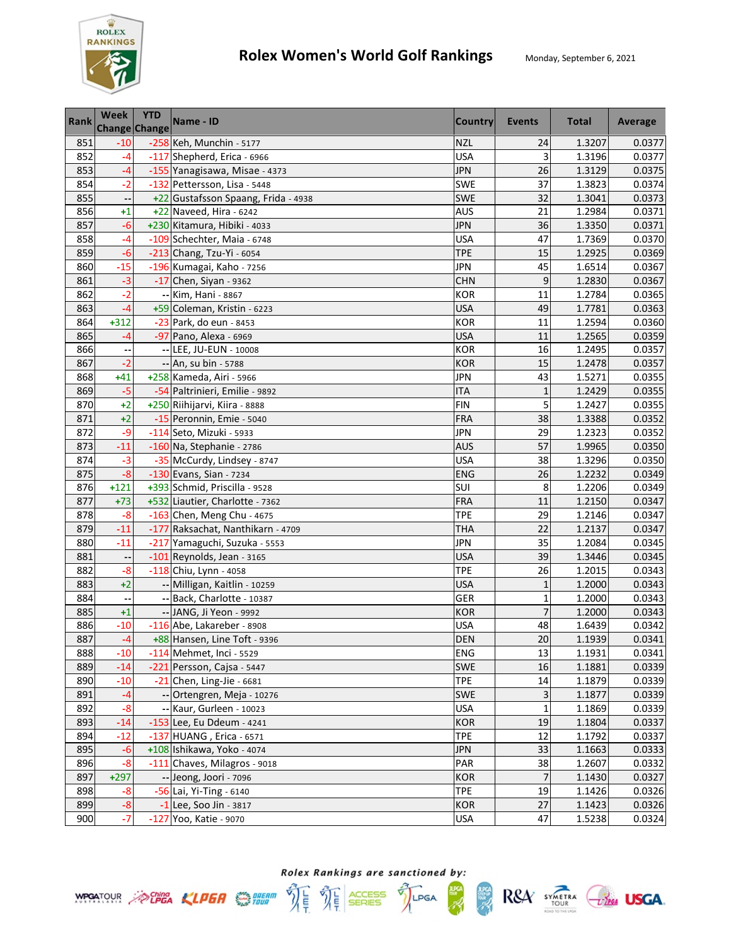

| <b>Rank</b> | <b>Week</b><br><b>Change Change</b> | <b>YTD</b> | Name - ID                                                | <b>Country</b>    | Events             | <b>Total</b>     | Average          |
|-------------|-------------------------------------|------------|----------------------------------------------------------|-------------------|--------------------|------------------|------------------|
| 851         | $-10$                               |            | -258 Keh, Munchin - 5177                                 | <b>NZL</b>        | 24                 | 1.3207           | 0.0377           |
| 852         | $-4$                                |            | -117 Shepherd, Erica - 6966                              | <b>USA</b>        | 3                  | 1.3196           | 0.0377           |
| 853         | $-4$                                |            | -155 Yanagisawa, Misae - 4373                            | <b>JPN</b>        | 26                 | 1.3129           | 0.0375           |
| 854         | $-2$                                |            | -132 Pettersson, Lisa - 5448                             | SWE               | 37                 | 1.3823           | 0.0374           |
| 855         |                                     |            | +22 Gustafsson Spaang, Frida - 4938                      | <b>SWE</b>        | 32                 | 1.3041           | 0.0373           |
| 856         | $+1$                                |            | +22 Naveed, Hira - 6242                                  | <b>AUS</b>        | 21                 | 1.2984           | 0.0371           |
| 857         | $-6$                                |            | +230 Kitamura, Hibiki - 4033                             | <b>JPN</b>        | 36                 | 1.3350           | 0.0371           |
| 858         | $-4$                                |            | -109 Schechter, Maia - 6748                              | <b>USA</b>        | 47                 | 1.7369           | 0.0370           |
| 859         | $-6$                                |            | -213 Chang, Tzu-Yi - 6054                                | <b>TPE</b>        | 15                 | 1.2925           | 0.0369           |
| 860         | $-15$                               |            | -196 Kumagai, Kaho - 7256                                | <b>JPN</b>        | 45                 | 1.6514           | 0.0367           |
| 861         | $-3$                                |            | $-17$ Chen, Siyan - 9362                                 | <b>CHN</b>        | 9                  | 1.2830           | 0.0367           |
| 862         | $-2$                                |            | -- Kim, Hani - 8867                                      | <b>KOR</b>        | 11                 | 1.2784           | 0.0365           |
| 863         | -4                                  |            | +59 Coleman, Kristin - 6223                              | <b>USA</b>        | 49                 | 1.7781           | 0.0363           |
| 864         | $+312$                              |            | -23 Park, do eun - 8453                                  | <b>KOR</b>        | 11                 | 1.2594           | 0.0360           |
| 865         | -4                                  |            | -97 Pano, Alexa - 6969                                   | <b>USA</b>        | 11                 | 1.2565           | 0.0359           |
| 866         |                                     |            | -- LEE, JU-EUN - 10008                                   | <b>KOR</b>        | 16                 | 1.2495           | 0.0357           |
| 867         | $-2$                                |            | -- An, su bin - 5788                                     | <b>KOR</b>        | 15                 | 1.2478           | 0.0357           |
| 868         | $+41$                               |            | +258 Kameda, Airi - 5966                                 | <b>JPN</b>        | 43                 | 1.5271           | 0.0355           |
| 869         | $-5$                                |            | -54 Paltrinieri, Emilie - 9892                           | <b>ITA</b>        | $\mathbf{1}$       | 1.2429           | 0.0355           |
| 870         | $+2$                                |            | +250 Riihijarvi, Kiira - 8888                            | <b>FIN</b>        | 5                  | 1.2427           | 0.0355           |
| 871         | $+2$                                |            | -15 Peronnin, Emie - 5040                                | <b>FRA</b>        | 38                 | 1.3388           | 0.0352           |
| 872         | $-9$                                |            | -114 Seto, Mizuki - 5933                                 | <b>JPN</b>        | 29                 | 1.2323           | 0.0352           |
| 873         | $-11$                               |            | -160 Na, Stephanie - 2786                                | <b>AUS</b>        | 57                 | 1.9965           | 0.0350           |
| 874         | $-3$                                |            | -35 McCurdy, Lindsey - 8747                              | <b>USA</b>        | 38                 | 1.3296           | 0.0350           |
| 875         | $-8$                                |            | -130 Evans, Sian - 7234                                  | ENG               | 26                 | 1.2232           | 0.0349           |
| 876         | $+121$                              |            | +393 Schmid, Priscilla - 9528                            | SUI               | 8                  | 1.2206           | 0.0349           |
| 877         | $+73$                               |            | +532 Liautier, Charlotte - 7362                          | <b>FRA</b>        | 11                 | 1.2150           | 0.0347           |
| 878         | $-8$                                |            | -163 Chen, Meng Chu - 4675                               | <b>TPE</b>        | 29                 | 1.2146           | 0.0347           |
| 879         | $-11$                               |            | -177 Raksachat, Nanthikarn - 4709                        | <b>THA</b>        | 22                 | 1.2137           | 0.0347           |
| 880         | $-11$                               |            | -217 Yamaguchi, Suzuka - 5553                            | <b>JPN</b>        | 35                 | 1.2084           | 0.0345           |
| 881         |                                     |            | -101 Reynolds, Jean - 3165                               | <b>USA</b>        | 39                 | 1.3446           | 0.0345           |
| 882         | $-8$                                |            | -118 Chiu, Lynn - 4058                                   | <b>TPE</b>        | 26                 | 1.2015           | 0.0343           |
| 883         | $+2$                                |            | -- Milligan, Kaitlin - 10259                             | <b>USA</b>        | $\mathbf{1}$       | 1.2000           | 0.0343           |
| 884         |                                     |            | -- Back, Charlotte - 10387                               | GER               | $\overline{1}$     | 1.2000           | 0.0343           |
| 885         | $+1$                                |            | -- JANG, Ji Yeon - 9992                                  | <b>KOR</b>        | $\overline{7}$     | 1.2000           | 0.0343           |
| 886<br>887  | $-10$                               |            | -116 Abe, Lakareber - 8908                               | <b>USA</b>        | 48                 | 1.6439<br>1.1939 | 0.0342           |
|             | $-4$                                |            | +88 Hansen, Line Toft - 9396                             | <b>DEN</b>        | 20                 |                  | 0.0341           |
| 888         | $-10$                               |            | -114 Mehmet, Inci - 5529                                 | ENG               | 13                 | 1.1931           | 0.0341           |
| 889         | $-14$                               |            | -221 Persson, Cajsa - 5447                               | SWE               | 16                 | 1.1881           | 0.0339           |
| 890         | $-10$                               |            | $-21$ Chen, Ling-Jie - 6681                              | <b>TPE</b>        | 14                 | 1.1879           | 0.0339           |
| 891         | $-4$                                |            | -- Ortengren, Meja - 10276<br>-- Kaur, Gurleen - 10023   | SWE<br><b>USA</b> | 3                  | 1.1877           | 0.0339           |
| 892         | $-8$<br>$-14$                       |            |                                                          | <b>KOR</b>        | $\mathbf{1}$<br>19 | 1.1869           | 0.0339           |
| 893<br>894  | $-12$                               |            | -153 Lee, Eu Ddeum - 4241                                | <b>TPE</b>        | 12                 | 1.1804           | 0.0337           |
| 895         | $-6$                                |            | $-137$ HUANG, Erica - 6571<br>+108 Ishikawa, Yoko - 4074 | <b>JPN</b>        | 33                 | 1.1792           | 0.0337<br>0.0333 |
|             | $-8$                                |            | -111 Chaves, Milagros - 9018                             | PAR               | 38                 | 1.1663           |                  |
| 896<br>897  | $+297$                              |            | -- Jeong, Joori - 7096                                   | <b>KOR</b>        | $\overline{7}$     | 1.2607<br>1.1430 | 0.0332<br>0.0327 |
| 898         | $-8$                                |            | -56 Lai, Yi-Ting - 6140                                  | <b>TPE</b>        | 19                 | 1.1426           | 0.0326           |
| 899         | $-8$                                |            | $-1$ Lee, Soo Jin - 3817                                 | <b>KOR</b>        | 27                 | 1.1423           | 0.0326           |
| 900         | $-7$                                |            | -127 Yoo, Katie - 9070                                   | <b>USA</b>        | 47                 | 1.5238           | 0.0324           |





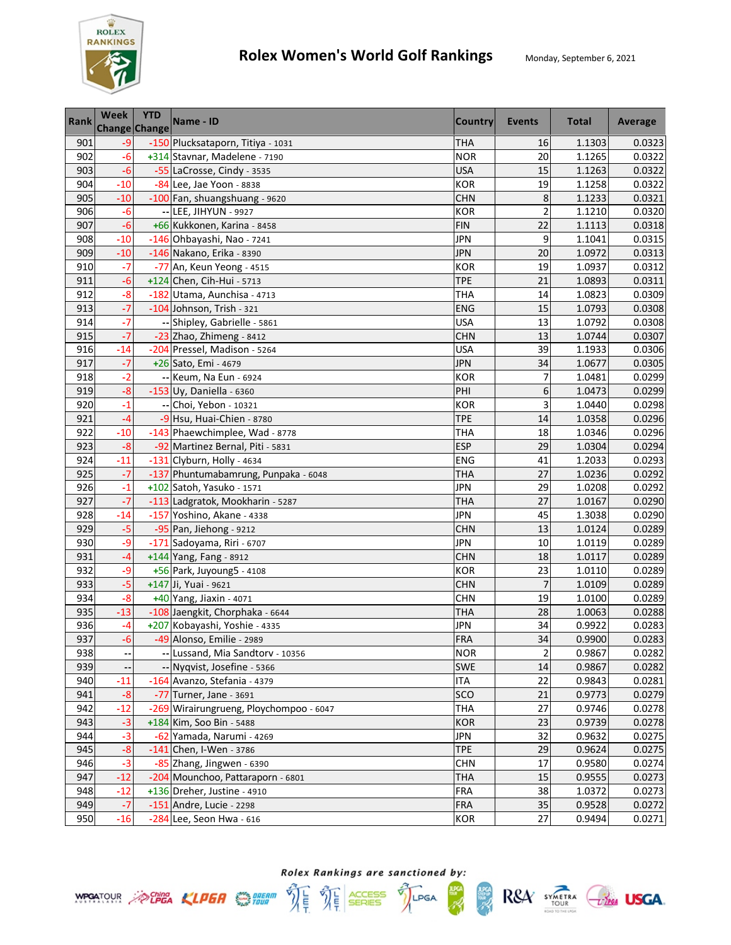

| <b>Rank</b> | Week<br><b>Change Change</b> | <b>YTD</b> | Name - ID                               | <b>Country</b> | <b>Events</b>  | <b>Total</b> | Average |
|-------------|------------------------------|------------|-----------------------------------------|----------------|----------------|--------------|---------|
| 901         | $-9$                         |            | -150 Plucksataporn, Titiya - 1031       | <b>THA</b>     | 16             | 1.1303       | 0.0323  |
| 902         | $-6$                         |            | +314 Stavnar, Madelene - 7190           | <b>NOR</b>     | 20             | 1.1265       | 0.0322  |
| 903         | $-6$                         |            | -55 LaCrosse, Cindy - 3535              | <b>USA</b>     | 15             | 1.1263       | 0.0322  |
| 904         | $-10$                        |            | -84 Lee, Jae Yoon - 8838                | <b>KOR</b>     | 19             | 1.1258       | 0.0322  |
| 905         | $-10$                        |            | -100 Fan, shuangshuang - 9620           | <b>CHN</b>     | 8              | 1.1233       | 0.0321  |
| 906         | $-6$                         |            | -- LEE, JIHYUN - 9927                   | <b>KOR</b>     | $\overline{c}$ | 1.1210       | 0.0320  |
| 907         | $-6$                         |            | +66 Kukkonen, Karina - 8458             | <b>FIN</b>     | 22             | 1.1113       | 0.0318  |
| 908         | $-10$                        |            | -146 Ohbayashi, Nao - 7241              | <b>JPN</b>     | 9              | 1.1041       | 0.0315  |
| 909         | $-10$                        |            | -146 Nakano, Erika - 8390               | <b>JPN</b>     | 20             | 1.0972       | 0.0313  |
| 910         | $-7$                         |            | -77 An, Keun Yeong - 4515               | <b>KOR</b>     | 19             | 1.0937       | 0.0312  |
| 911         | $-6$                         |            | +124 Chen, Cih-Hui - 5713               | <b>TPE</b>     | 21             | 1.0893       | 0.0311  |
| 912         | $-8$                         |            | -182 Utama, Aunchisa - 4713             | THA            | 14             | 1.0823       | 0.0309  |
| 913         | $-7$                         |            | -104 Johnson, Trish - 321               | <b>ENG</b>     | 15             | 1.0793       | 0.0308  |
| 914         | $-7$                         |            | -- Shipley, Gabrielle - 5861            | <b>USA</b>     | 13             | 1.0792       | 0.0308  |
| 915         | $-7$                         |            | -23 Zhao, Zhimeng - 8412                | <b>CHN</b>     | 13             | 1.0744       | 0.0307  |
| 916         | $-14$                        |            | -204 Pressel, Madison - 5264            | <b>USA</b>     | 39             | 1.1933       | 0.0306  |
| 917         | $-7$                         |            | +26 Sato, Emi - 4679                    | <b>JPN</b>     | 34             | 1.0677       | 0.0305  |
| 918         | $-2$                         |            | -- Keum, Na Eun - 6924                  | <b>KOR</b>     | 7              | 1.0481       | 0.0299  |
| 919         | $-8$                         |            | $-153$ Uy, Daniella - 6360              | PHI            | 6              | 1.0473       | 0.0299  |
| 920         | $-1$                         |            | -- Choi, Yebon - 10321                  | <b>KOR</b>     | 3              | 1.0440       | 0.0298  |
| 921         | $-4$                         |            | -9 Hsu, Huai-Chien - 8780               | <b>TPE</b>     | 14             | 1.0358       | 0.0296  |
| 922         | $-10$                        |            | -143 Phaewchimplee, Wad - 8778          | <b>THA</b>     | 18             | 1.0346       | 0.0296  |
| 923         | $-8$                         |            | -92 Martinez Bernal, Piti - 5831        | <b>ESP</b>     | 29             | 1.0304       | 0.0294  |
| 924         | $-11$                        |            | -131 Clyburn, Holly - 4634              | <b>ENG</b>     | 41             | 1.2033       | 0.0293  |
| 925         | $-7$                         |            | -137 Phuntumabamrung, Punpaka - 6048    | <b>THA</b>     | 27             | 1.0236       | 0.0292  |
| 926         | $-1$                         |            | +102 Satoh, Yasuko - 1571               | <b>JPN</b>     | 29             | 1.0208       | 0.0292  |
| 927         | $-7$                         |            | -113 Ladgratok, Mookharin - 5287        | <b>THA</b>     | 27             | 1.0167       | 0.0290  |
| 928         | $-14$                        |            | -157 Yoshino, Akane - 4338              | <b>JPN</b>     | 45             | 1.3038       | 0.0290  |
| 929         | $-5$                         |            | -95 Pan, Jiehong - 9212                 | <b>CHN</b>     | 13             | 1.0124       | 0.0289  |
| 930         | $-9$                         |            | -171 Sadoyama, Riri - 6707              | <b>JPN</b>     | 10             | 1.0119       | 0.0289  |
| 931         | $-4$                         |            | +144 Yang, Fang - 8912                  | <b>CHN</b>     | 18             | 1.0117       | 0.0289  |
| 932         | $-9$                         |            | +56 Park, Juyoung5 - 4108               | <b>KOR</b>     | 23             | 1.0110       | 0.0289  |
| 933         | $-5$                         |            | +147 Ji, Yuai - 9621                    | <b>CHN</b>     | $\overline{7}$ | 1.0109       | 0.0289  |
| 934         | $-8$                         |            | +40 Yang, Jiaxin - 4071                 | <b>CHN</b>     | 19             | 1.0100       | 0.0289  |
| 935         | $-13$                        |            | -108 Jaengkit, Chorphaka - 6644         | <b>THA</b>     | 28             | 1.0063       | 0.0288  |
| 936         | $-4$                         |            | +207 Kobayashi, Yoshie - 4335           | <b>JPN</b>     | 34             | 0.9922       | 0.0283  |
| 937         | $-6$                         |            | -49 Alonso, Emilie - 2989               | FRA            | 34             | 0.9900       | 0.0283  |
| 938         | ۰.                           |            | -- Lussand, Mia Sandtorv - 10356        | <b>NOR</b>     | $\overline{2}$ | 0.9867       | 0.0282  |
| 939         |                              |            | -- Nyqvist, Josefine - 5366             | <b>SWE</b>     | 14             | 0.9867       | 0.0282  |
| 940         | $-11$                        |            | -164 Avanzo, Stefania - 4379            | ITA            | 22             | 0.9843       | 0.0281  |
| 941         | $-8$                         |            | -77 Turner, Jane - 3691                 | SCO            | 21             | 0.9773       | 0.0279  |
| 942         | $-12$                        |            | -269 Wirairungrueng, Ploychompoo - 6047 | <b>THA</b>     | 27             | 0.9746       | 0.0278  |
| 943         | $-3$                         |            | +184 Kim, Soo Bin - 5488                | <b>KOR</b>     | 23             | 0.9739       | 0.0278  |
| 944         | $-3$                         |            | -62 Yamada, Narumi - 4269               | <b>JPN</b>     | 32             | 0.9632       | 0.0275  |
| 945         | $-8$                         |            | $-141$ Chen, I-Wen - 3786               | <b>TPE</b>     | 29             | 0.9624       | 0.0275  |
| 946         | $-3$                         |            | -85 Zhang, Jingwen - 6390               | <b>CHN</b>     | 17             | 0.9580       | 0.0274  |
| 947         | $-12$                        |            | -204 Mounchoo, Pattaraporn - 6801       | THA            | 15             | 0.9555       | 0.0273  |
| 948         | $-12$                        |            | +136 Dreher, Justine - 4910             | <b>FRA</b>     | 38             | 1.0372       | 0.0273  |
| 949         | $-7$                         |            | $-151$ Andre, Lucie - 2298              | <b>FRA</b>     | 35             | 0.9528       | 0.0272  |
| 950         | $-16$                        |            | $-284$ Lee, Seon Hwa - 616              | <b>KOR</b>     | 27             | 0.9494       | 0.0271  |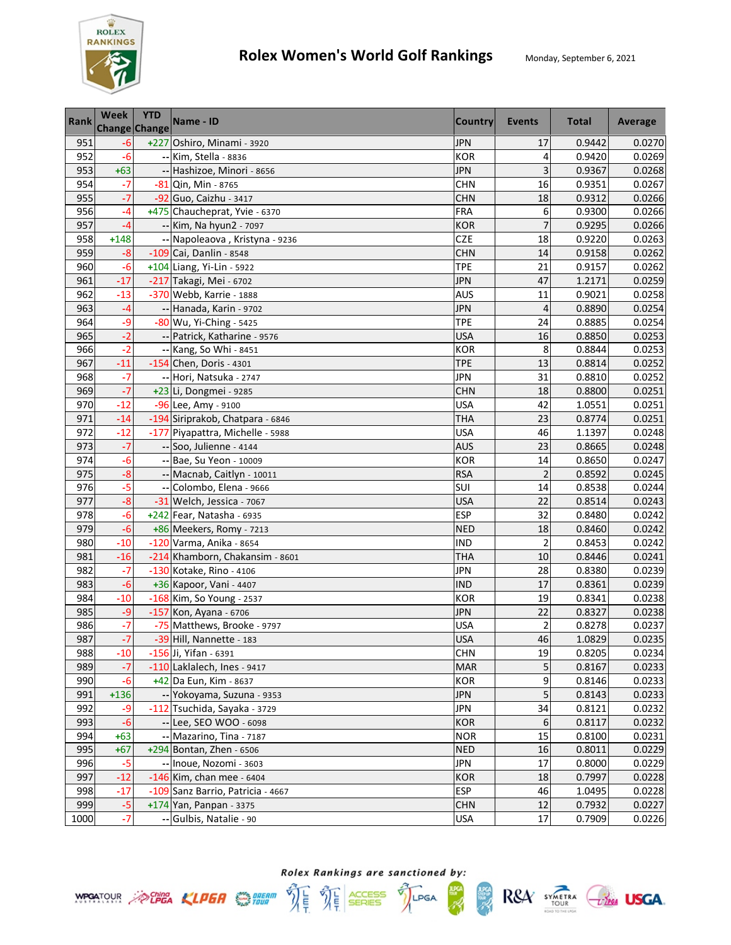

| <b>Rank</b> | <b>Week</b><br><b>Change Change</b> | <b>YTD</b> | Name - ID                         | <b>Country</b> | Events                  | <b>Total</b> | Average |
|-------------|-------------------------------------|------------|-----------------------------------|----------------|-------------------------|--------------|---------|
| 951         | $-6$                                |            | +227 Oshiro, Minami - 3920        | <b>JPN</b>     | 17                      | 0.9442       | 0.0270  |
| 952         | $-6$                                |            | -- Kim, Stella - 8836             | <b>KOR</b>     | 4                       | 0.9420       | 0.0269  |
| 953         | $+63$                               |            | -- Hashizoe, Minori - 8656        | <b>JPN</b>     | 3                       | 0.9367       | 0.0268  |
| 954         | $-7$                                |            | -81 Qin, Min - 8765               | <b>CHN</b>     | 16                      | 0.9351       | 0.0267  |
| 955         | $-7$                                |            | -92 Guo, Caizhu - 3417            | <b>CHN</b>     | 18                      | 0.9312       | 0.0266  |
| 956         | $-4$                                |            | +475 Chaucheprat, Yvie - 6370     | FRA            | 6                       | 0.9300       | 0.0266  |
| 957         | $-4$                                |            | -- Kim, Na hyun2 - 7097           | <b>KOR</b>     | $\overline{7}$          | 0.9295       | 0.0266  |
| 958         | $+148$                              |            | -- Napoleaova, Kristyna - 9236    | CZE            | 18                      | 0.9220       | 0.0263  |
| 959         | $-8$                                |            | $-109$ Cai, Danlin - 8548         | <b>CHN</b>     | 14                      | 0.9158       | 0.0262  |
| 960         | $-6$                                |            | +104 Liang, Yi-Lin - 5922         | <b>TPE</b>     | 21                      | 0.9157       | 0.0262  |
| 961         | $-17$                               |            | -217 Takagi, Mei - 6702           | <b>JPN</b>     | 47                      | 1.2171       | 0.0259  |
| 962         | $-13$                               |            | -370 Webb, Karrie - 1888          | AUS            | 11                      | 0.9021       | 0.0258  |
| 963         | $-4$                                |            | -- Hanada, Karin - 9702           | <b>JPN</b>     | $\overline{4}$          | 0.8890       | 0.0254  |
| 964         | -9                                  |            | -80 Wu, Yi-Ching - 5425           | <b>TPE</b>     | 24                      | 0.8885       | 0.0254  |
| 965         | $-2$                                |            | -- Patrick, Katharine - 9576      | <b>USA</b>     | 16                      | 0.8850       | 0.0253  |
| 966         | $-2$                                |            | -- Kang, So Whi - 8451            | <b>KOR</b>     | 8                       | 0.8844       | 0.0253  |
| 967         | $-11$                               |            | $-154$ Chen, Doris - 4301         | <b>TPE</b>     | 13                      | 0.8814       | 0.0252  |
| 968         | $-7$                                |            | -- Hori, Natsuka - 2747           | <b>JPN</b>     | 31                      | 0.8810       | 0.0252  |
| 969         | $-7$                                |            | +23 Li, Dongmei - 9285            | <b>CHN</b>     | 18                      | 0.8800       | 0.0251  |
| 970         | $-12$                               |            | -96 Lee, Amy - 9100               | <b>USA</b>     | 42                      | 1.0551       | 0.0251  |
| 971         | $-14$                               |            | -194 Siriprakob, Chatpara - 6846  | <b>THA</b>     | 23                      | 0.8774       | 0.0251  |
| 972         | $-12$                               |            | -177 Piyapattra, Michelle - 5988  | <b>USA</b>     | 46                      | 1.1397       | 0.0248  |
| 973         | $-7$                                |            | -- Soo, Julienne - 4144           | <b>AUS</b>     | 23                      | 0.8665       | 0.0248  |
| 974         | $-6$                                |            | -- Bae, Su Yeon - 10009           | <b>KOR</b>     | 14                      | 0.8650       | 0.0247  |
| 975         | $-8$                                |            | -- Macnab, Caitlyn - 10011        | <b>RSA</b>     | $\overline{c}$          | 0.8592       | 0.0245  |
| 976         | -5                                  |            | -- Colombo, Elena - 9666          | SUI            | 14                      | 0.8538       | 0.0244  |
| 977         | $-8$                                |            | -31 Welch, Jessica - 7067         | <b>USA</b>     | 22                      | 0.8514       | 0.0243  |
| 978         | $-6$                                |            | +242 Fear, Natasha - 6935         | <b>ESP</b>     | 32                      | 0.8480       | 0.0242  |
| 979         | $-6$                                |            | +86 Meekers, Romy - 7213          | <b>NED</b>     | 18                      | 0.8460       | 0.0242  |
| 980         | $-10$                               |            | -120 Varma, Anika - 8654          | <b>IND</b>     | $\overline{c}$          | 0.8453       | 0.0242  |
| 981         | $-16$                               |            | -214 Khamborn, Chakansim - 8601   | <b>THA</b>     | 10                      | 0.8446       | 0.0241  |
| 982         | $-7$                                |            | -130 Kotake, Rino - 4106          | <b>JPN</b>     | 28                      | 0.8380       | 0.0239  |
| 983         | $-6$                                |            | +36 Kapoor, Vani - 4407           | <b>IND</b>     | 17                      | 0.8361       | 0.0239  |
| 984         | $-10$                               |            | -168 Kim, So Young - 2537         | <b>KOR</b>     | 19                      | 0.8341       | 0.0238  |
| 985         | $-9$                                |            | -157 Kon, Ayana - 6706            | <b>JPN</b>     | 22                      | 0.8327       | 0.0238  |
| 986         | $-7$                                |            | -75 Matthews, Brooke - 9797       | <b>USA</b>     | $\overline{\mathbf{c}}$ | 0.8278       | 0.0237  |
| 987         | $-7$                                |            | -39 Hill, Nannette - 183          | <b>USA</b>     | 46                      | 1.0829       | 0.0235  |
| 988         | $-10$                               |            | -156 Ji, Yifan - 6391             | <b>CHN</b>     | 19                      | 0.8205       | 0.0234  |
| 989         | $-7$                                |            | -110 Laklalech, Ines - 9417       | <b>MAR</b>     | 5                       | 0.8167       | 0.0233  |
| 990         | $-6$                                |            | +42 Da Eun, Kim - 8637            | KOR            | 9                       | 0.8146       | 0.0233  |
| 991         | $+136$                              |            | -- Yokoyama, Suzuna - 9353        | <b>JPN</b>     | 5                       | 0.8143       | 0.0233  |
| 992         | -9                                  |            | -112 Tsuchida, Sayaka - 3729      | <b>JPN</b>     | 34                      | 0.8121       | 0.0232  |
| 993         | $-6$                                |            | -- Lee, SEO WOO - 6098            | KOR            | 6                       | 0.8117       | 0.0232  |
| 994         | $+63$                               |            | -- Mazarino, Tina - 7187          | <b>NOR</b>     | 15                      | 0.8100       | 0.0231  |
| 995         | $+67$                               |            | +294 Bontan, Zhen - 6506          | <b>NED</b>     | 16                      | 0.8011       | 0.0229  |
| 996         | $-5$                                |            | -- Inoue, Nozomi - 3603           | <b>JPN</b>     | 17                      | 0.8000       | 0.0229  |
| 997         | $-12$                               |            | $-146$ Kim, chan mee - 6404       | <b>KOR</b>     | 18                      | 0.7997       | 0.0228  |
| 998         | $-17$                               |            | -109 Sanz Barrio, Patricia - 4667 | <b>ESP</b>     | 46                      | 1.0495       | 0.0228  |
| 999         | $-5$                                |            | +174 Yan, Panpan - 3375           | <b>CHN</b>     | 12                      | 0.7932       | 0.0227  |
| 1000        | $-7$                                | ٠.         | Gulbis, Natalie - 90              | <b>USA</b>     | 17                      | 0.7909       | 0.0226  |





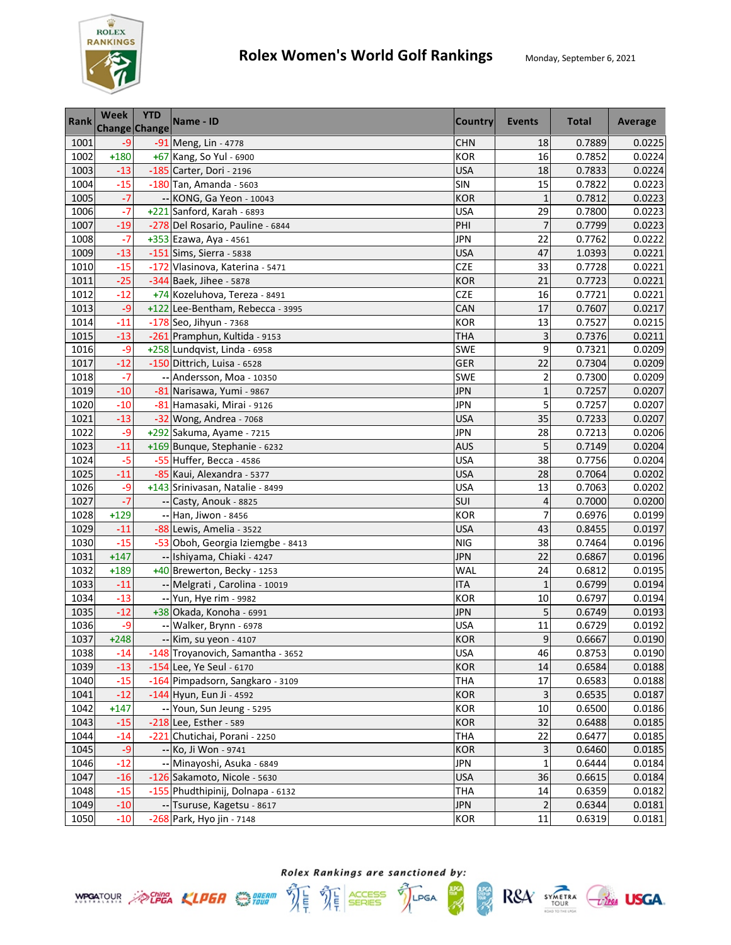

| <b>Rank</b> | <b>Week</b><br><b>Change Change</b> | <b>YTD</b> | Name - ID                         | <b>Country</b> | Events         | <b>Total</b> | Average |
|-------------|-------------------------------------|------------|-----------------------------------|----------------|----------------|--------------|---------|
| 1001        | $-9$                                |            | -91 Meng, Lin - 4778              | <b>CHN</b>     | 18             | 0.7889       | 0.0225  |
| 1002        | $+180$                              |            | +67 Kang, So Yul - 6900           | <b>KOR</b>     | 16             | 0.7852       | 0.0224  |
| 1003        | $-13$                               |            | -185 Carter, Dori - 2196          | <b>USA</b>     | 18             | 0.7833       | 0.0224  |
| 1004        | $-15$                               |            | $-180$ Tan, Amanda - 5603         | SIN            | 15             | 0.7822       | 0.0223  |
| 1005        | $-7$                                |            | -- KONG, Ga Yeon - 10043          | <b>KOR</b>     | $\mathbf{1}$   | 0.7812       | 0.0223  |
| 1006        | $-7$                                |            | +221 Sanford, Karah - 6893        | <b>USA</b>     | 29             | 0.7800       | 0.0223  |
| 1007        | $-19$                               |            | -278 Del Rosario, Pauline - 6844  | PHI            | $\overline{7}$ | 0.7799       | 0.0223  |
| 1008        | $-7$                                |            | +353 Ezawa, Aya - 4561            | <b>JPN</b>     | 22             | 0.7762       | 0.0222  |
| 1009        | $-13$                               |            | $-151$ Sims, Sierra - 5838        | <b>USA</b>     | 47             | 1.0393       | 0.0221  |
| 1010        | $-15$                               |            | -172 Vlasinova, Katerina - 5471   | CZE            | 33             | 0.7728       | 0.0221  |
| 1011        | $-25$                               |            | $-344$ Baek, Jihee - 5878         | <b>KOR</b>     | 21             | 0.7723       | 0.0221  |
| 1012        | $-12$                               |            | +74 Kozeluhova, Tereza - 8491     | <b>CZE</b>     | 16             | 0.7721       | 0.0221  |
| 1013        | $-9$                                |            | +122 Lee-Bentham, Rebecca - 3995  | CAN            | 17             | 0.7607       | 0.0217  |
| 1014        | $-11$                               |            | -178 Seo, Jihyun - 7368           | <b>KOR</b>     | 13             | 0.7527       | 0.0215  |
| 1015        | $-13$                               |            | -261 Pramphun, Kultida - 9153     | <b>THA</b>     | 3              | 0.7376       | 0.0211  |
| 1016        | $-9$                                |            | +258 Lundqvist, Linda - 6958      | SWE            | 9              | 0.7321       | 0.0209  |
| 1017        | $-12$                               |            | -150 Dittrich, Luisa - 6528       | <b>GER</b>     | 22             | 0.7304       | 0.0209  |
| 1018        | $-7$                                |            | -- Andersson, Moa - 10350         | <b>SWE</b>     | $\overline{2}$ | 0.7300       | 0.0209  |
| 1019        | $-10$                               |            | -81 Narisawa, Yumi - 9867         | <b>JPN</b>     | $\mathbf{1}$   | 0.7257       | 0.0207  |
| 1020        | $-10$                               |            | -81 Hamasaki, Mirai - 9126        | <b>JPN</b>     | 5              | 0.7257       | 0.0207  |
| 1021        | $-13$                               |            | -32 Wong, Andrea - 7068           | <b>USA</b>     | 35             | 0.7233       | 0.0207  |
| 1022        | $-9$                                |            | +292 Sakuma, Ayame - 7215         | <b>JPN</b>     | 28             | 0.7213       | 0.0206  |
| 1023        | $-11$                               |            | +169 Bunque, Stephanie - 6232     | <b>AUS</b>     | 5              | 0.7149       | 0.0204  |
| 1024        | $-5$                                |            | -55 Huffer, Becca - 4586          | <b>USA</b>     | 38             | 0.7756       | 0.0204  |
| 1025        | $-11$                               |            | -85 Kaui, Alexandra - 5377        | <b>USA</b>     | 28             | 0.7064       | 0.0202  |
| 1026        | -9                                  |            | +143 Srinivasan, Natalie - 8499   | <b>USA</b>     | 13             | 0.7063       | 0.0202  |
| 1027        | $-7$                                |            | -- Casty, Anouk - 8825            | SUI            | $\overline{4}$ | 0.7000       | 0.0200  |
| 1028        | $+129$                              |            | -- Han, Jiwon - 8456              | <b>KOR</b>     | 7              | 0.6976       | 0.0199  |
| 1029        | $-11$                               |            | -88 Lewis, Amelia - 3522          | <b>USA</b>     | 43             | 0.8455       | 0.0197  |
| 1030        | $-15$                               |            | -53 Oboh, Georgia Iziemgbe - 8413 | <b>NIG</b>     | 38             | 0.7464       | 0.0196  |
| 1031        | $+147$                              |            | -- Ishiyama, Chiaki - 4247        | <b>JPN</b>     | 22             | 0.6867       | 0.0196  |
| 1032        | $+189$                              |            | +40 Brewerton, Becky - 1253       | WAL            | 24             | 0.6812       | 0.0195  |
| 1033        | $-11$                               |            | -- Melgrati, Carolina - 10019     | <b>ITA</b>     | $\mathbf{1}$   | 0.6799       | 0.0194  |
| 1034        | $-13$                               |            | -- Yun, Hye rim - 9982            | <b>KOR</b>     | 10             | 0.6797       | 0.0194  |
| 1035        | $-12$                               |            | +38 Okada, Konoha - 6991          | <b>JPN</b>     | 5              | 0.6749       | 0.0193  |
| 1036        | -9                                  |            | -- Walker, Brynn - 6978           | <b>USA</b>     | 11             | 0.6729       | 0.0192  |
| 1037        | $+248$                              |            | -- Kim, su yeon - 4107            | <b>KOR</b>     | $\mathsf g$    | 0.6667       | 0.0190  |
| 1038        | $-14$                               |            | -148 Troyanovich, Samantha - 3652 | <b>USA</b>     | 46             | 0.8753       | 0.0190  |
| 1039        | $-13$                               |            | -154 Lee, Ye Seul - 6170          | <b>KOR</b>     | 14             | 0.6584       | 0.0188  |
| 1040        | $-15$                               |            | -164 Pimpadsorn, Sangkaro - 3109  | <b>THA</b>     | 17             | 0.6583       | 0.0188  |
| 1041        | $-12$                               |            | -144 Hyun, Eun Ji - 4592          | <b>KOR</b>     | 3              | 0.6535       | 0.0187  |
| 1042        | $+147$                              |            | -- Youn, Sun Jeung - 5295         | <b>KOR</b>     | 10             | 0.6500       | 0.0186  |
| 1043        | $-15$                               |            | -218 Lee, Esther - 589            | <b>KOR</b>     | 32             | 0.6488       | 0.0185  |
| 1044        | $-14$                               |            | -221 Chutichai, Porani - 2250     | <b>THA</b>     | 22             | 0.6477       | 0.0185  |
| 1045        | $-9$                                |            | -- Ko, Ji Won - 9741              | <b>KOR</b>     | 3              | 0.6460       | 0.0185  |
| 1046        | $-12$                               |            | -- Minayoshi, Asuka - 6849        | <b>JPN</b>     | $\mathbf{1}$   | 0.6444       | 0.0184  |
| 1047        | $-16$                               |            | -126 Sakamoto, Nicole - 5630      | <b>USA</b>     | 36             | 0.6615       | 0.0184  |
| 1048        | $-15$                               |            | -155 Phudthipinij, Dolnapa - 6132 | <b>THA</b>     | 14             | 0.6359       | 0.0182  |
| 1049        | $-10$                               |            | -- Tsuruse, Kagetsu - 8617        | <b>JPN</b>     | $\overline{2}$ | 0.6344       | 0.0181  |
| 1050        | $-10$                               |            | -268 Park, Hyo jin - 7148         | <b>KOR</b>     | 11             | 0.6319       | 0.0181  |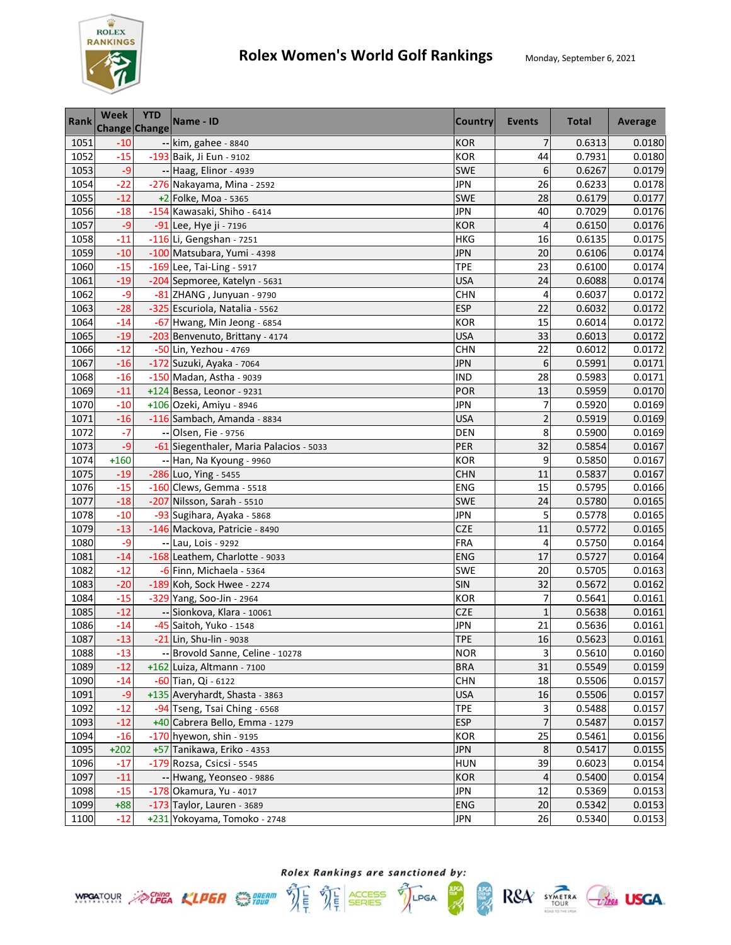

| <b>Rank</b> | Week<br>Change Change | <b>YTD</b> | Name - ID                               | <b>Country</b> | <b>Events</b>  | <b>Total</b> | Average |
|-------------|-----------------------|------------|-----------------------------------------|----------------|----------------|--------------|---------|
| 1051        | $-10$                 |            | -- kim, gahee - 8840                    | <b>KOR</b>     | $\overline{7}$ | 0.6313       | 0.0180  |
| 1052        | $-15$                 |            | -193 Baik, Ji Eun - 9102                | <b>KOR</b>     | 44             | 0.7931       | 0.0180  |
| 1053        | $-9$                  |            | -- Haag, Elinor - 4939                  | SWE            | 6              | 0.6267       | 0.0179  |
| 1054        | $-22$                 |            | -276 Nakayama, Mina - 2592              | <b>JPN</b>     | 26             | 0.6233       | 0.0178  |
| 1055        | $-12$                 |            | +2 Folke, Moa - 5365                    | SWE            | 28             | 0.6179       | 0.0177  |
| 1056        | $-18$                 |            | -154 Kawasaki, Shiho - 6414             | <b>JPN</b>     | 40             | 0.7029       | 0.0176  |
| 1057        | $-9$                  |            | -91 Lee, Hye ji - 7196                  | <b>KOR</b>     | $\overline{4}$ | 0.6150       | 0.0176  |
| 1058        | $-11$                 |            | $-116$ Li, Gengshan - 7251              | <b>HKG</b>     | 16             | 0.6135       | 0.0175  |
| 1059        | $-10$                 |            | -100 Matsubara, Yumi - 4398             | <b>JPN</b>     | 20             | 0.6106       | 0.0174  |
| 1060        | $-15$                 |            | $-169$ Lee, Tai-Ling - 5917             | <b>TPE</b>     | 23             | 0.6100       | 0.0174  |
| 1061        | $-19$                 |            | -204 Sepmoree, Katelyn - 5631           | <b>USA</b>     | 24             | 0.6088       | 0.0174  |
| 1062        | -9                    |            | -81 ZHANG, Junyuan - 9790               | <b>CHN</b>     | 4              | 0.6037       | 0.0172  |
| 1063        | $-28$                 |            | -325 Escuriola, Natalia - 5562          | <b>ESP</b>     | 22             | 0.6032       | 0.0172  |
| 1064        | $-14$                 |            | -67 Hwang, Min Jeong - 6854             | <b>KOR</b>     | 15             | 0.6014       | 0.0172  |
| 1065        | $-19$                 |            | -203 Benvenuto, Brittany - 4174         | <b>USA</b>     | 33             | 0.6013       | 0.0172  |
| 1066        | $-12$                 |            | -50 Lin, Yezhou - 4769                  | <b>CHN</b>     | 22             | 0.6012       | 0.0172  |
| 1067        | $-16$                 |            | -172 Suzuki, Ayaka - 7064               | <b>JPN</b>     | 6              | 0.5991       | 0.0171  |
| 1068        | $-16$                 |            | -150 Madan, Astha - 9039                | <b>IND</b>     | 28             | 0.5983       | 0.0171  |
| 1069        | $-11$                 |            | $+124$ Bessa, Leonor - 9231             | POR            | 13             | 0.5959       | 0.0170  |
| 1070        | $-10$                 |            | +106 Ozeki, Amiyu - 8946                | <b>JPN</b>     | 7              | 0.5920       | 0.0169  |
| 1071        | $-16$                 |            | -116 Sambach, Amanda - 8834             | <b>USA</b>     | $\overline{c}$ | 0.5919       | 0.0169  |
| 1072        | $-7$                  |            | -- Olsen, Fie - 9756                    | <b>DEN</b>     | 8              | 0.5900       | 0.0169  |
| 1073        | $-9$                  |            | -61 Siegenthaler, Maria Palacios - 5033 | PER            | 32             | 0.5854       | 0.0167  |
| 1074        | $+160$                |            | -- Han, Na Kyoung - 9960                | <b>KOR</b>     | 9              | 0.5850       | 0.0167  |
| 1075        | $-19$                 |            | $-286$ Luo, Ying - 5455                 | <b>CHN</b>     | 11             | 0.5837       | 0.0167  |
| 1076        | $-15$                 |            | -160 Clews, Gemma - 5518                | <b>ENG</b>     | 15             | 0.5795       | 0.0166  |
| 1077        | $-18$                 |            | -207 Nilsson, Sarah - 5510              | <b>SWE</b>     | 24             | 0.5780       | 0.0165  |
| 1078        | $-10$                 |            | -93 Sugihara, Ayaka - 5868              | <b>JPN</b>     | 5              | 0.5778       | 0.0165  |
| 1079        | $-13$                 |            | -146 Mackova, Patricie - 8490           | <b>CZE</b>     | 11             | 0.5772       | 0.0165  |
| 1080        | -9                    |            | -- Lau, Lois - 9292                     | <b>FRA</b>     | 4              | 0.5750       | 0.0164  |
| 1081        | $-14$                 |            | -168 Leathem, Charlotte - 9033          | <b>ENG</b>     | 17             | 0.5727       | 0.0164  |
| 1082        | $-12$                 |            | -6 Finn, Michaela - 5364                | SWE            | 20             | 0.5705       | 0.0163  |
| 1083        | $-20$                 |            | -189 Koh, Sock Hwee - 2274              | <b>SIN</b>     | 32             | 0.5672       | 0.0162  |
| 1084        | $-15$                 |            | -329 Yang, Soo-Jin - 2964               | <b>KOR</b>     | $\overline{7}$ | 0.5641       | 0.0161  |
| 1085        | $-12$                 |            | -- Sionkova, Klara - 10061              | <b>CZE</b>     | $\mathbf{1}$   | 0.5638       | 0.0161  |
| 1086        | $-14$                 |            | -45 Saitoh, Yuko - 1548                 | <b>JPN</b>     | 21             | 0.5636       | 0.0161  |
| 1087        | $-13$                 |            | -21 Lin. Shu-lin - 9038                 | <b>TPE</b>     | 16             | 0.5623       | 0.0161  |
| 1088        | $-13$                 |            | -- Brovold Sanne, Celine - 10278        | <b>NOR</b>     | 3              | 0.5610       | 0.0160  |
| 1089        | $-12$                 |            | +162 Luiza, Altmann - 7100              | <b>BRA</b>     | 31             | 0.5549       | 0.0159  |
| 1090        | $-14$                 |            | -60 Tian, Qi - 6122                     | <b>CHN</b>     | 18             | 0.5506       | 0.0157  |
| 1091        | $-9$                  |            | +135 Averyhardt, Shasta - 3863          | <b>USA</b>     | 16             | 0.5506       | 0.0157  |
| 1092        | $-12$                 |            | -94 Tseng, Tsai Ching - 6568            | <b>TPE</b>     | 3              | 0.5488       | 0.0157  |
| 1093        | $-12$                 |            | +40 Cabrera Bello, Emma - 1279          | <b>ESP</b>     | $\overline{7}$ | 0.5487       | 0.0157  |
| 1094        | $-16$                 |            | -170 hyewon, shin - 9195                | <b>KOR</b>     | 25             | 0.5461       | 0.0156  |
| 1095        | $+202$                |            | +57 Tanikawa, Eriko - 4353              | <b>JPN</b>     | $\bf 8$        | 0.5417       | 0.0155  |
| 1096        | $-17$                 |            | -179 Rozsa, Csicsi - 5545               | <b>HUN</b>     | 39             | 0.6023       | 0.0154  |
| 1097        | $-11$                 |            | -- Hwang, Yeonseo - 9886                | <b>KOR</b>     | 4              | 0.5400       | 0.0154  |
| 1098        | $-15$                 |            | -178 Okamura, Yu - 4017                 | <b>JPN</b>     | 12             | 0.5369       | 0.0153  |
| 1099        | $+88$                 |            | -173 Taylor, Lauren - 3689              | <b>ENG</b>     | 20             | 0.5342       | 0.0153  |
| 1100        | $-12$                 |            | +231 Yokoyama, Tomoko - 2748            | <b>JPN</b>     | 26             | 0.5340       | 0.0153  |





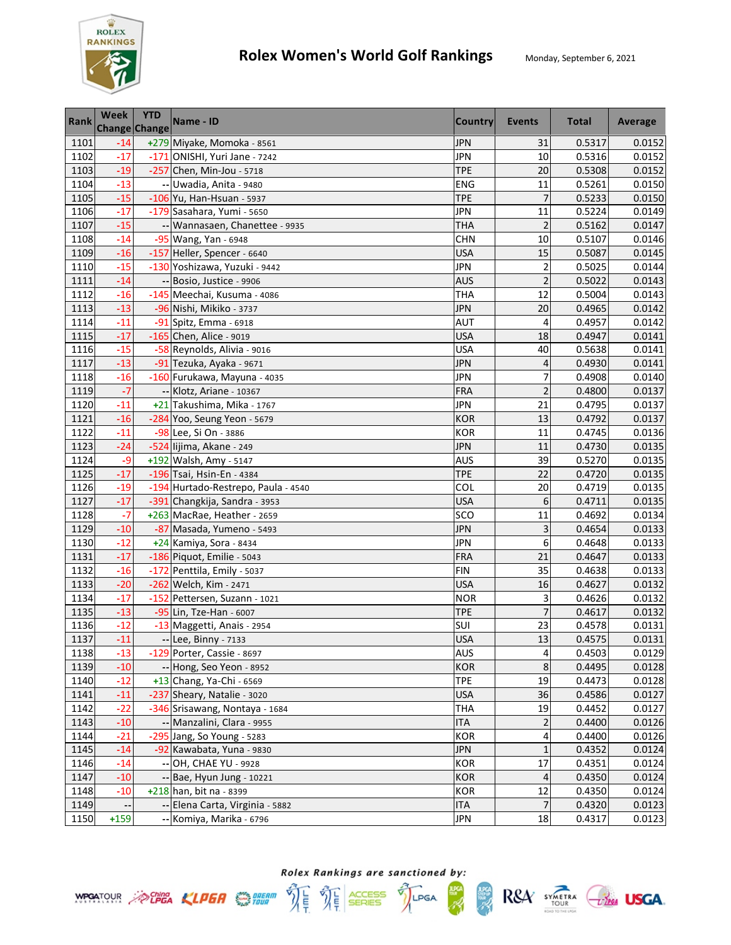

| <b>Rank</b> | <b>Week</b><br>Change Change | <b>YTD</b> | Name - ID                           | Country    | <b>Events</b>  | <b>Total</b> | Average |
|-------------|------------------------------|------------|-------------------------------------|------------|----------------|--------------|---------|
| 1101        | $-14$                        |            | +279 Miyake, Momoka - 8561          | <b>JPN</b> | 31             | 0.5317       | 0.0152  |
| 1102        | $-17$                        |            | -171 ONISHI, Yuri Jane - 7242       | <b>JPN</b> | 10             | 0.5316       | 0.0152  |
| 1103        | $-19$                        |            | -257 Chen, Min-Jou - 5718           | <b>TPE</b> | 20             | 0.5308       | 0.0152  |
| 1104        | $-13$                        |            | -- Uwadia, Anita - 9480             | <b>ENG</b> | 11             | 0.5261       | 0.0150  |
| 1105        | $-15$                        |            | -106 Yu, Han-Hsuan - 5937           | <b>TPE</b> | $\overline{7}$ | 0.5233       | 0.0150  |
| 1106        | $-17$                        |            | -179 Sasahara, Yumi - 5650          | <b>JPN</b> | 11             | 0.5224       | 0.0149  |
| 1107        | $-15$                        |            | -- Wannasaen, Chanettee - 9935      | <b>THA</b> | $\overline{c}$ | 0.5162       | 0.0147  |
| 1108        | $-14$                        |            | -95 Wang, Yan - 6948                | <b>CHN</b> | 10             | 0.5107       | 0.0146  |
| 1109        | $-16$                        |            | -157 Heller, Spencer - 6640         | <b>USA</b> | 15             | 0.5087       | 0.0145  |
| 1110        | $-15$                        |            | -130 Yoshizawa, Yuzuki - 9442       | <b>JPN</b> | $\overline{2}$ | 0.5025       | 0.0144  |
| 1111        | $-14$                        |            | -- Bosio, Justice - 9906            | <b>AUS</b> | $\overline{c}$ | 0.5022       | 0.0143  |
| 1112        | $-16$                        |            | -145 Meechai, Kusuma - 4086         | <b>THA</b> | 12             | 0.5004       | 0.0143  |
| 1113        | $-13$                        |            | -96 Nishi, Mikiko - 3737            | <b>JPN</b> | 20             | 0.4965       | 0.0142  |
| 1114        | $-11$                        |            | -91 Spitz, Emma - 6918              | <b>AUT</b> | 4              | 0.4957       | 0.0142  |
| 1115        | $-17$                        |            | -165 Chen, Alice - 9019             | <b>USA</b> | 18             | 0.4947       | 0.0141  |
| 1116        | $-15$                        |            | -58 Reynolds, Alivia - 9016         | <b>USA</b> | 40             | 0.5638       | 0.0141  |
| 1117        | $-13$                        |            | -91 Tezuka, Ayaka - 9671            | <b>JPN</b> | 4              | 0.4930       | 0.0141  |
| 1118        | $-16$                        |            | -160 Furukawa, Mayuna - 4035        | <b>JPN</b> | 7              | 0.4908       | 0.0140  |
| 1119        | $-7$                         |            | -- Klotz, Ariane - 10367            | FRA        | $\overline{c}$ | 0.4800       | 0.0137  |
| 1120        | $-11$                        |            | +21 Takushima, Mika - 1767          | <b>JPN</b> | 21             | 0.4795       | 0.0137  |
| 1121        | $-16$                        |            | -284 Yoo, Seung Yeon - 5679         | <b>KOR</b> | 13             | 0.4792       | 0.0137  |
| 1122        | $-11$                        |            | -98 Lee, Si On - 3886               | <b>KOR</b> | 11             | 0.4745       | 0.0136  |
| 1123        | $-24$                        |            | -524 lijima, Akane - 249            | <b>JPN</b> | 11             | 0.4730       | 0.0135  |
| 1124        | $-9$                         |            | +192 Walsh, Amy - 5147              | AUS        | 39             | 0.5270       | 0.0135  |
| 1125        | $-17$                        |            | -196 Tsai, Hsin-En - 4384           | <b>TPE</b> | 22             | 0.4720       | 0.0135  |
| 1126        | $-19$                        |            | -194 Hurtado-Restrepo, Paula - 4540 | COL        | 20             | 0.4719       | 0.0135  |
| 1127        | $-17$                        |            | -391 Changkija, Sandra - 3953       | <b>USA</b> | 6              | 0.4711       | 0.0135  |
| 1128        | $-7$                         |            | +263 MacRae, Heather - 2659         | SCO        | 11             | 0.4692       | 0.0134  |
| 1129        | $-10$                        |            | -87 Masada, Yumeno - 5493           | <b>JPN</b> | 3              | 0.4654       | 0.0133  |
| 1130        | $-12$                        |            | +24 Kamiya, Sora - 8434             | <b>JPN</b> | 6              | 0.4648       | 0.0133  |
| 1131        | $-17$                        |            | -186 Piquot, Emilie - 5043          | <b>FRA</b> | 21             | 0.4647       | 0.0133  |
| 1132        | $-16$                        |            | -172 Penttila, Emily - 5037         | <b>FIN</b> | 35             | 0.4638       | 0.0133  |
| 1133        | $-20$                        |            | -262 Welch, Kim - 2471              | <b>USA</b> | 16             | 0.4627       | 0.0132  |
| 1134        | $-17$                        |            | -152 Pettersen, Suzann - 1021       | <b>NOR</b> | 3              | 0.4626       | 0.0132  |
| 1135        | $-13$                        |            | -95 Lin, Tze-Han - 6007             | <b>TPE</b> | $\overline{7}$ | 0.4617       | 0.0132  |
| 1136        | $-12$                        |            | -13 Maggetti, Anais - 2954          | SUI        | 23             | 0.4578       | 0.0131  |
| 1137        | $-11$                        |            | -- Lee, Binny - 7133                | <b>USA</b> | 13             | 0.4575       | 0.0131  |
| 1138        | $-13$                        |            | -129 Porter, Cassie - 8697          | <b>AUS</b> | 4              | 0.4503       | 0.0129  |
| 1139        | $-10$                        |            | -- Hong, Seo Yeon - 8952            | KOR        | 8              | 0.4495       | 0.0128  |
| 1140        | $-12$                        |            | +13 Chang, Ya-Chi - 6569            | <b>TPE</b> | 19             | 0.4473       | 0.0128  |
| 1141        | $-11$                        |            | -237 Sheary, Natalie - 3020         | <b>USA</b> | 36             | 0.4586       | 0.0127  |
| 1142        | $-22$                        |            | -346 Srisawang, Nontaya - 1684      | <b>THA</b> | 19             | 0.4452       | 0.0127  |
| 1143        | $-10$                        |            | -- Manzalini, Clara - 9955          | <b>ITA</b> | 2              | 0.4400       | 0.0126  |
| 1144        | $-21$                        |            | -295 Jang, So Young - 5283          | <b>KOR</b> | 4              | 0.4400       | 0.0126  |
| 1145        | $-14$                        |            | -92 Kawabata, Yuna - 9830           | <b>JPN</b> | $\mathbf{1}$   | 0.4352       | 0.0124  |
| 1146        | $-14$                        |            | -- OH, CHAE YU - 9928               | <b>KOR</b> | 17             | 0.4351       | 0.0124  |
| 1147        | $-10$                        |            | -- Bae, Hyun Jung - 10221           | <b>KOR</b> | 4              | 0.4350       | 0.0124  |
| 1148        | $-10$                        |            | $+218$ han, bit na - 8399           | <b>KOR</b> | 12             | 0.4350       | 0.0124  |
| 1149        |                              |            | -- Elena Carta, Virginia - 5882     | <b>ITA</b> | 7              | 0.4320       | 0.0123  |
| 1150        | $+159$                       |            | -- Komiya, Marika - 6796            | <b>JPN</b> | 18             | 0.4317       | 0.0123  |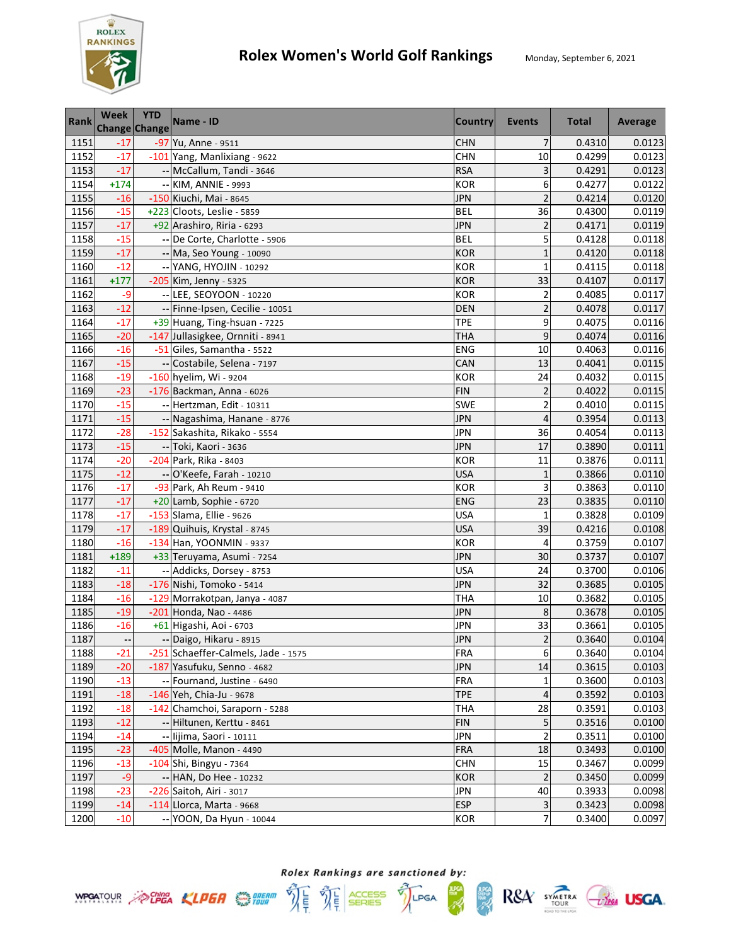

| <b>Rank</b> | Week<br>Change Change    | <b>YTD</b> | Name - ID                           | <b>Country</b> | <b>Events</b>           | <b>Total</b> | Average |
|-------------|--------------------------|------------|-------------------------------------|----------------|-------------------------|--------------|---------|
| 1151        | $-17$                    |            | -97 Yu, Anne - 9511                 | <b>CHN</b>     | $\overline{7}$          | 0.4310       | 0.0123  |
| 1152        | $-17$                    |            | -101 Yang, Manlixiang - 9622        | <b>CHN</b>     | 10                      | 0.4299       | 0.0123  |
| 1153        | $-17$                    |            | -- McCallum, Tandi - 3646           | <b>RSA</b>     | 3                       | 0.4291       | 0.0123  |
| 1154        | $+174$                   |            | -- KIM, ANNIE - 9993                | <b>KOR</b>     | 6                       | 0.4277       | 0.0122  |
| 1155        | $-16$                    |            | -150 Kiuchi, Mai - 8645             | <b>JPN</b>     | $\overline{2}$          | 0.4214       | 0.0120  |
| 1156        | $-15$                    |            | +223 Cloots, Leslie - 5859          | <b>BEL</b>     | 36                      | 0.4300       | 0.0119  |
| 1157        | $-17$                    |            | +92 Arashiro, Riria - 6293          | <b>JPN</b>     | $\overline{c}$          | 0.4171       | 0.0119  |
| 1158        | $-15$                    |            | -- De Corte, Charlotte - 5906       | <b>BEL</b>     | 5                       | 0.4128       | 0.0118  |
| 1159        | $-17$                    |            | -- Ma, Seo Young - 10090            | <b>KOR</b>     | $\mathbf{1}$            | 0.4120       | 0.0118  |
| 1160        | $-12$                    |            | -- YANG, HYOJIN - 10292             | <b>KOR</b>     | 1                       | 0.4115       | 0.0118  |
| 1161        | $+177$                   |            | -205 Kim, Jenny - 5325              | <b>KOR</b>     | 33                      | 0.4107       | 0.0117  |
| 1162        | $-9$                     |            | -- LEE, SEOYOON - 10220             | KOR            | $\overline{\mathbf{c}}$ | 0.4085       | 0.0117  |
| 1163        | $-12$                    |            | -- Finne-Ipsen, Cecilie - 10051     | <b>DEN</b>     | $\overline{c}$          | 0.4078       | 0.0117  |
| 1164        | $-17$                    |            | +39 Huang, Ting-hsuan - 7225        | <b>TPE</b>     | 9                       | 0.4075       | 0.0116  |
| 1165        | $-20$                    |            | -147 Jullasigkee, Ornniti - 8941    | <b>THA</b>     | 9                       | 0.4074       | 0.0116  |
| 1166        | $-16$                    |            | -51 Giles, Samantha - 5522          | ENG            | 10                      | 0.4063       | 0.0116  |
| 1167        | $-15$                    |            | -- Costabile, Selena - 7197         | CAN            | 13                      | 0.4041       | 0.0115  |
| 1168        | $-19$                    |            | $-160$ hyelim, Wi - 9204            | <b>KOR</b>     | 24                      | 0.4032       | 0.0115  |
| 1169        | $-23$                    |            | -176 Backman, Anna - 6026           | <b>FIN</b>     | $\overline{2}$          | 0.4022       | 0.0115  |
| 1170        | $-15$                    |            | -- Hertzman, Edit - 10311           | SWE            | 2                       | 0.4010       | 0.0115  |
| 1171        | $-15$                    |            | -- Nagashima, Hanane - 8776         | <b>JPN</b>     | 4                       | 0.3954       | 0.0113  |
| 1172        | $-28$                    |            | -152 Sakashita, Rikako - 5554       | <b>JPN</b>     | 36                      | 0.4054       | 0.0113  |
| 1173        | $-15$                    |            | -- Toki, Kaori - 3636               | <b>JPN</b>     | 17                      | 0.3890       | 0.0111  |
| 1174        | $-20$                    |            | -204 Park, Rika - 8403              | <b>KOR</b>     | 11                      | 0.3876       | 0.0111  |
| 1175        | $-12$                    |            | -- O'Keefe, Farah - 10210           | <b>USA</b>     | $\mathbf{1}$            | 0.3866       | 0.0110  |
| 1176        | $-17$                    |            | -93 Park, Ah Reum - 9410            | <b>KOR</b>     | 3                       | 0.3863       | 0.0110  |
| 1177        | $-17$                    |            | +20 Lamb, Sophie - 6720             | <b>ENG</b>     | 23                      | 0.3835       | 0.0110  |
| 1178        | $-17$                    |            | -153 Slama, Ellie - 9626            | <b>USA</b>     | $\mathbf{1}$            | 0.3828       | 0.0109  |
| 1179        | $-17$                    |            | -189 Quihuis, Krystal - 8745        | <b>USA</b>     | 39                      | 0.4216       | 0.0108  |
| 1180        | $-16$                    |            | -134 Han, YOONMIN - 9337            | <b>KOR</b>     | 4                       | 0.3759       | 0.0107  |
| 1181        | $+189$                   |            | +33 Teruyama, Asumi - 7254          | <b>JPN</b>     | 30                      | 0.3737       | 0.0107  |
| 1182        | $-11$                    |            | -- Addicks, Dorsey - 8753           | <b>USA</b>     | 24                      | 0.3700       | 0.0106  |
| 1183        | $-18$                    |            | -176 Nishi, Tomoko - 5414           | <b>JPN</b>     | 32                      | 0.3685       | 0.0105  |
| 1184        | $-16$                    |            | -129 Morrakotpan, Janya - 4087      | <b>THA</b>     | 10                      | 0.3682       | 0.0105  |
| 1185        | $-19$                    |            | -201 Honda, Nao - 4486              | <b>JPN</b>     | 8                       | 0.3678       | 0.0105  |
| 1186        | $-16$                    |            | +61 Higashi, Aoi - 6703             | <b>JPN</b>     | 33                      | 0.3661       | 0.0105  |
| 1187        | $\overline{\phantom{a}}$ |            | -- Daigo, Hikaru - 8915             | <b>JPN</b>     | $\overline{2}$          | 0.3640       | 0.0104  |
| 1188        | $-21$                    |            | -251 Schaeffer-Calmels, Jade - 1575 | <b>FRA</b>     | 6                       | 0.3640       | 0.0104  |
| 1189        | $-20$                    |            | -187 Yasufuku, Senno - 4682         | <b>JPN</b>     | 14                      | 0.3615       | 0.0103  |
| 1190        | $-13$                    |            | -- Fournand, Justine - 6490         | FRA            | 1                       | 0.3600       | 0.0103  |
| 1191        | $-18$                    |            | -146 Yeh, Chia-Ju - 9678            | <b>TPE</b>     | 4                       | 0.3592       | 0.0103  |
| 1192        | $-18$                    |            | -142 Chamchoi, Saraporn - 5288      | <b>THA</b>     | 28                      | 0.3591       | 0.0103  |
| 1193        | $-12$                    |            | -- Hiltunen, Kerttu - 8461          | <b>FIN</b>     | 5                       | 0.3516       | 0.0100  |
| 1194        | $-14$                    |            | -- lijima, Saori - 10111            | <b>JPN</b>     | 2                       | 0.3511       | 0.0100  |
| 1195        | $-23$                    |            | -405 Molle, Manon - 4490            | <b>FRA</b>     | 18                      | 0.3493       | 0.0100  |
| 1196        | $-13$                    |            | $-104$ Shi, Bingyu - 7364           | <b>CHN</b>     | 15                      | 0.3467       | 0.0099  |
| 1197        | $-9$                     |            | -- HAN, Do Hee - 10232              | <b>KOR</b>     | $\overline{c}$          | 0.3450       | 0.0099  |
| 1198        | $-23$                    |            | -226 Saitoh, Airi - 3017            | <b>JPN</b>     | 40                      | 0.3933       | 0.0098  |
| 1199        | $-14$                    |            | $-114$  Llorca, Marta - 9668        | <b>ESP</b>     | 3                       | 0.3423       | 0.0098  |
| 1200        | $-10$                    |            | -- YOON, Da Hyun - 10044            | <b>KOR</b>     | 7                       | 0.3400       | 0.0097  |





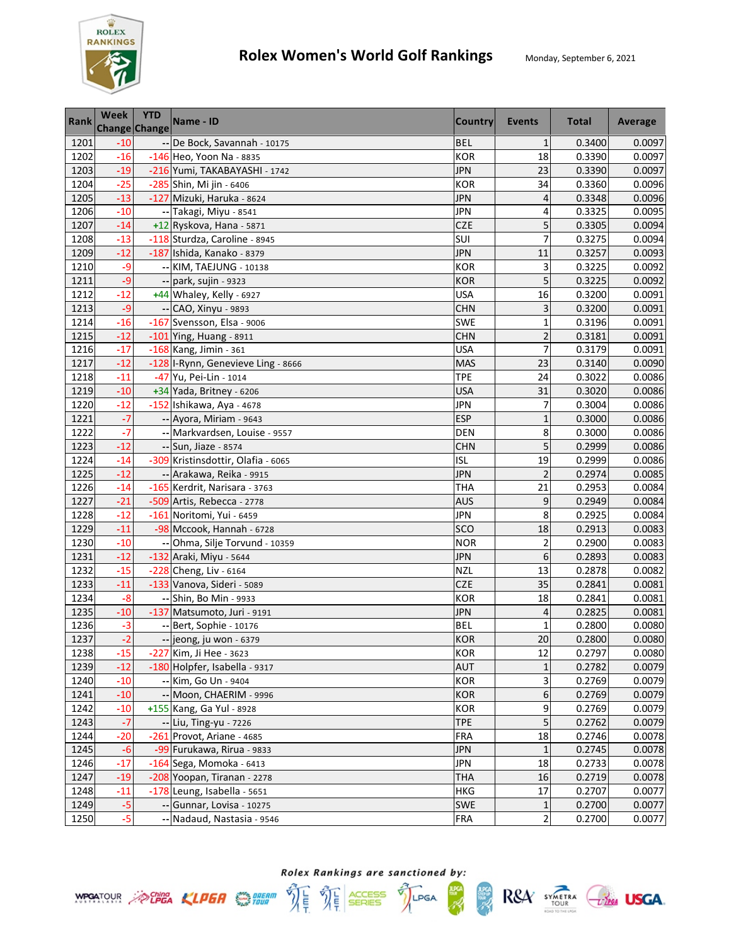

| <b>Rank</b> | <b>Week</b><br>Change Change | <b>YTD</b> | Name - ID                          | <b>Country</b> | <b>Events</b>           | <b>Total</b> | Average |
|-------------|------------------------------|------------|------------------------------------|----------------|-------------------------|--------------|---------|
| 1201        | $-10$                        |            | -- De Bock, Savannah - 10175       | <b>BEL</b>     | $\mathbf{1}$            | 0.3400       | 0.0097  |
| 1202        | $-16$                        |            | -146 Heo, Yoon Na - 8835           | <b>KOR</b>     | 18                      | 0.3390       | 0.0097  |
| 1203        | $-19$                        |            | -216 Yumi, TAKABAYASHI - 1742      | <b>JPN</b>     | 23                      | 0.3390       | 0.0097  |
| 1204        | $-25$                        |            | -285 Shin, Mi jin - 6406           | <b>KOR</b>     | 34                      | 0.3360       | 0.0096  |
| 1205        | $-13$                        |            | -127 Mizuki, Haruka - 8624         | <b>JPN</b>     | 4                       | 0.3348       | 0.0096  |
| 1206        | $-10$                        |            | -- Takagi, Miyu - 8541             | <b>JPN</b>     | 4                       | 0.3325       | 0.0095  |
| 1207        | $-14$                        |            | +12 Ryskova, Hana - 5871           | <b>CZE</b>     | 5                       | 0.3305       | 0.0094  |
| 1208        | $-13$                        |            | -118 Sturdza, Caroline - 8945      | SUI            | $\overline{7}$          | 0.3275       | 0.0094  |
| 1209        | $-12$                        |            | -187 Ishida, Kanako - 8379         | <b>JPN</b>     | 11                      | 0.3257       | 0.0093  |
| 1210        | $-9$                         |            | -- KIM, TAEJUNG - 10138            | <b>KOR</b>     | 3                       | 0.3225       | 0.0092  |
| 1211        | -9                           |            | -- park, sujin - 9323              | <b>KOR</b>     | 5                       | 0.3225       | 0.0092  |
| 1212        | $-12$                        |            | +44 Whaley, Kelly - 6927           | <b>USA</b>     | 16                      | 0.3200       | 0.0091  |
| 1213        | $-9$                         |            | -- CAO, Xinyu - 9893               | <b>CHN</b>     | 3                       | 0.3200       | 0.0091  |
| 1214        | $-16$                        |            | -167 Svensson, Elsa - 9006         | SWE            | $\mathbf{1}$            | 0.3196       | 0.0091  |
| 1215        | $-12$                        |            | $-101$ Ying, Huang - 8911          | <b>CHN</b>     | $\overline{2}$          | 0.3181       | 0.0091  |
| 1216        | $-17$                        |            | -168 Kang, Jimin - 361             | <b>USA</b>     | $\overline{7}$          | 0.3179       | 0.0091  |
| 1217        | $-12$                        |            | -128 I-Rynn, Genevieve Ling - 8666 | <b>MAS</b>     | 23                      | 0.3140       | 0.0090  |
| 1218        | $-11$                        |            | -47 Yu, Pei-Lin - 1014             | TPE            | 24                      | 0.3022       | 0.0086  |
| 1219        | $-10$                        |            | +34 Yada, Britney - 6206           | <b>USA</b>     | 31                      | 0.3020       | 0.0086  |
| 1220        | $-12$                        |            | -152 Ishikawa, Aya - 4678          | <b>JPN</b>     | 7                       | 0.3004       | 0.0086  |
| 1221        | $-7$                         |            | -- Ayora, Miriam - 9643            | <b>ESP</b>     | $\mathbf{1}$            | 0.3000       | 0.0086  |
| 1222        | $-7$                         |            | -- Markvardsen, Louise - 9557      | <b>DEN</b>     | 8                       | 0.3000       | 0.0086  |
| 1223        | $-12$                        |            | -- Sun, Jiaze - 8574               | <b>CHN</b>     | 5                       | 0.2999       | 0.0086  |
| 1224        | $-14$                        |            | -309 Kristinsdottir, Olafia - 6065 | <b>ISL</b>     | 19                      | 0.2999       | 0.0086  |
| 1225        | $-12$                        |            | -- Arakawa, Reika - 9915           | <b>JPN</b>     | $\overline{2}$          | 0.2974       | 0.0085  |
| 1226        | $-14$                        |            | -165 Kerdrit, Narisara - 3763      | <b>THA</b>     | 21                      | 0.2953       | 0.0084  |
| 1227        | $-21$                        |            | -509 Artis, Rebecca - 2778         | <b>AUS</b>     | 9                       | 0.2949       | 0.0084  |
| 1228        | $-12$                        |            | -161 Noritomi, Yui - 6459          | JPN            | 8                       | 0.2925       | 0.0084  |
| 1229        | $-11$                        |            | -98 Mccook, Hannah - 6728          | SCO            | 18                      | 0.2913       | 0.0083  |
| 1230        | $-10$                        |            | -- Ohma, Silje Torvund - 10359     | <b>NOR</b>     | $\overline{\mathbf{c}}$ | 0.2900       | 0.0083  |
| 1231        | $-12$                        |            | -132 Araki, Miyu - 5644            | <b>JPN</b>     | 6                       | 0.2893       | 0.0083  |
| 1232        | $-15$                        |            | -228 Cheng, Liv - 6164             | <b>NZL</b>     | 13                      | 0.2878       | 0.0082  |
| 1233        | $-11$                        |            | -133 Vanova, Sideri - 5089         | <b>CZE</b>     | 35                      | 0.2841       | 0.0081  |
| 1234        | $-8$                         |            | -- Shin, Bo Min - 9933             | <b>KOR</b>     | 18                      | 0.2841       | 0.0081  |
| 1235        | $-10$                        |            | -137 Matsumoto, Juri - 9191        | <b>JPN</b>     | 4                       | 0.2825       | 0.0081  |
| 1236        | $-3$                         |            | -- Bert, Sophie - 10176            | <b>BEL</b>     | $\mathbf{1}$            | 0.2800       | 0.0080  |
| 1237        | $-2$                         |            | -- jeong, ju won - 6379            | KOR            | 20                      | 0.2800       | 0.0080  |
| 1238        | $-15$                        |            | -227 Kim, Ji Hee - 3623            | <b>KOR</b>     | 12                      | 0.2797       | 0.0080  |
| 1239        | $-12$                        |            | -180 Holpfer, Isabella - 9317      | <b>AUT</b>     | 1                       | 0.2782       | 0.0079  |
| 1240        | $-10$                        |            | -- Kim, Go Un - 9404               | <b>KOR</b>     | 3                       | 0.2769       | 0.0079  |
| 1241        | $-10$                        |            | -- Moon, CHAERIM - 9996            | KOR            | 6                       | 0.2769       | 0.0079  |
| 1242        | $-10$                        |            | +155 Kang, Ga Yul - 8928           | KOR            | 9                       | 0.2769       | 0.0079  |
| 1243        | $-7$                         |            | -- Liu, Ting-yu - 7226             | <b>TPE</b>     | 5                       | 0.2762       | 0.0079  |
| 1244        | $-20$                        |            | -261 Provot, Ariane - 4685         | FRA            | 18                      | 0.2746       | 0.0078  |
| 1245        | $-6$                         |            | -99 Furukawa, Rirua - 9833         | <b>JPN</b>     | $\mathbf 1$             | 0.2745       | 0.0078  |
| 1246        | $-17$                        |            | -164 Sega, Momoka - 6413           | <b>JPN</b>     | 18                      | 0.2733       | 0.0078  |
| 1247        | $-19$                        |            | -208 Yoopan, Tiranan - 2278        | <b>THA</b>     | 16                      | 0.2719       | 0.0078  |
| 1248        | $-11$                        |            | -178 Leung, Isabella - 5651        | HKG            | 17                      | 0.2707       | 0.0077  |
| 1249        | $-5$                         |            | -- Gunnar, Lovisa - 10275          | SWE            | 1                       | 0.2700       | 0.0077  |
| 1250        | $-5$                         |            | -- Nadaud, Nastasia - 9546         | <b>FRA</b>     | 2                       | 0.2700       | 0.0077  |



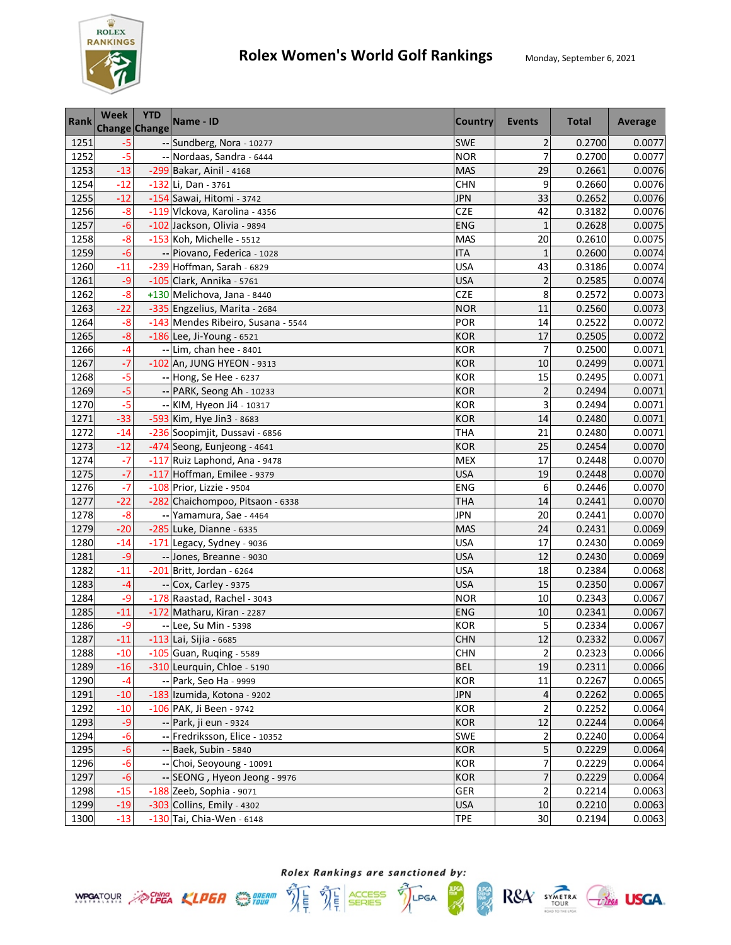

| <b>Rank</b> | <b>Week</b><br><b>Change Change</b> | <b>YTD</b> | Name - ID                          | <b>Country</b> | <b>Events</b>           | <b>Total</b> | Average |
|-------------|-------------------------------------|------------|------------------------------------|----------------|-------------------------|--------------|---------|
| 1251        | $-5$                                |            | -- Sundberg, Nora - 10277          | SWE            | $\overline{2}$          | 0.2700       | 0.0077  |
| 1252        | $-5$                                |            | -- Nordaas, Sandra - 6444          | <b>NOR</b>     | $\overline{7}$          | 0.2700       | 0.0077  |
| 1253        | $-13$                               |            | -299 Bakar, Ainil - 4168           | <b>MAS</b>     | 29                      | 0.2661       | 0.0076  |
| 1254        | $-12$                               |            | $-132$ Li, Dan - 3761              | <b>CHN</b>     | 9                       | 0.2660       | 0.0076  |
| 1255        | $-12$                               |            | -154 Sawai, Hitomi - 3742          | <b>JPN</b>     | 33                      | 0.2652       | 0.0076  |
| 1256        | $-8$                                |            | -119 Vlckova, Karolina - 4356      | CZE            | 42                      | 0.3182       | 0.0076  |
| 1257        | $-6$                                |            | -102 Jackson, Olivia - 9894        | <b>ENG</b>     | $\mathbf{1}$            | 0.2628       | 0.0075  |
| 1258        | $-8$                                |            | -153 Koh, Michelle - 5512          | <b>MAS</b>     | 20                      | 0.2610       | 0.0075  |
| 1259        | $-6$                                |            | -- Piovano, Federica - 1028        | <b>ITA</b>     | $\mathbf{1}$            | 0.2600       | 0.0074  |
| 1260        | $-11$                               |            | -239 Hoffman, Sarah - 6829         | <b>USA</b>     | 43                      | 0.3186       | 0.0074  |
| 1261        | $-9$                                |            | $-105$ Clark, Annika - 5761        | <b>USA</b>     | $\overline{c}$          | 0.2585       | 0.0074  |
| 1262        | $-8$                                |            | +130 Melichova, Jana - 8440        | <b>CZE</b>     | 8                       | 0.2572       | 0.0073  |
| 1263        | $-22$                               |            | -335 Engzelius, Marita - 2684      | <b>NOR</b>     | 11                      | 0.2560       | 0.0073  |
| 1264        | $-8$                                |            | -143 Mendes Ribeiro, Susana - 5544 | POR            | 14                      | 0.2522       | 0.0072  |
| 1265        | $-8$                                |            | $-186$ Lee, Ji-Young - 6521        | <b>KOR</b>     | 17                      | 0.2505       | 0.0072  |
| 1266        | -4                                  |            | -- Lim, chan hee - 8401            | <b>KOR</b>     | 7                       | 0.2500       | 0.0071  |
| 1267        | $-7$                                |            | -102 An, JUNG HYEON - 9313         | <b>KOR</b>     | 10                      | 0.2499       | 0.0071  |
| 1268        | $-5$                                |            | -- Hong, Se Hee - 6237             | <b>KOR</b>     | 15                      | 0.2495       | 0.0071  |
| 1269        | $-5$                                |            | -- PARK, Seong Ah - 10233          | <b>KOR</b>     | $\overline{2}$          | 0.2494       | 0.0071  |
| 1270        | $-5$                                |            | -- KIM, Hyeon Ji4 - 10317          | <b>KOR</b>     | 3                       | 0.2494       | 0.0071  |
| 1271        | $-33$                               |            | -593 Kim, Hye Jin3 - 8683          | <b>KOR</b>     | 14                      | 0.2480       | 0.0071  |
| 1272        | $-14$                               |            | -236 Soopimjit, Dussavi - 6856     | <b>THA</b>     | 21                      | 0.2480       | 0.0071  |
| 1273        | $-12$                               |            | -474 Seong, Eunjeong - 4641        | <b>KOR</b>     | 25                      | 0.2454       | 0.0070  |
| 1274        | $-7$                                |            | -117 Ruiz Laphond, Ana - 9478      | <b>MEX</b>     | 17                      | 0.2448       | 0.0070  |
| 1275        | $-7$                                |            | -117 Hoffman, Emilee - 9379        | <b>USA</b>     | 19                      | 0.2448       | 0.0070  |
| 1276        | $-7$                                |            | -108 Prior, Lizzie - 9504          | <b>ENG</b>     | 6                       | 0.2446       | 0.0070  |
| 1277        | $-22$                               |            | -282 Chaichompoo, Pitsaon - 6338   | <b>THA</b>     | 14                      | 0.2441       | 0.0070  |
| 1278        | $-8$                                |            | -- Yamamura, Sae - 4464            | <b>JPN</b>     | 20                      | 0.2441       | 0.0070  |
| 1279        | $-20$                               |            | -285 Luke, Dianne - 6335           | <b>MAS</b>     | 24                      | 0.2431       | 0.0069  |
| 1280        | $-14$                               |            | -171 Legacy, Sydney - 9036         | <b>USA</b>     | 17                      | 0.2430       | 0.0069  |
| 1281        | $-9$                                |            | -- Jones, Breanne - 9030           | <b>USA</b>     | 12                      | 0.2430       | 0.0069  |
| 1282        | $-11$                               |            | -201 Britt, Jordan - 6264          | <b>USA</b>     | 18                      | 0.2384       | 0.0068  |
| 1283        | $-4$                                |            | -- Cox, Carley - 9375              | <b>USA</b>     | 15                      | 0.2350       | 0.0067  |
| 1284        | $-9$                                |            | -178 Raastad, Rachel - 3043        | <b>NOR</b>     | 10                      | 0.2343       | 0.0067  |
| 1285        | $-11$                               |            | -172 Matharu, Kiran - 2287         | <b>ENG</b>     | 10                      | 0.2341       | 0.0067  |
| 1286        | -9                                  |            | -- Lee, Su Min - 5398              | <b>KOR</b>     | 5                       | 0.2334       | 0.0067  |
| 1287        | $-11$                               |            | $-113$ Lai, Sijia - 6685           | <b>CHN</b>     | 12                      | 0.2332       | 0.0067  |
| 1288        | $-10$                               |            | $-105$ Guan, Ruqing - 5589         | <b>CHN</b>     | $\overline{2}$          | 0.2323       | 0.0066  |
| 1289        | $-16$                               |            | -310 Leurquin, Chloe - 5190        | <b>BEL</b>     | 19                      | 0.2311       | 0.0066  |
| 1290        | $-4$                                |            | -- Park, Seo Ha - 9999             | <b>KOR</b>     | 11                      | 0.2267       | 0.0065  |
| 1291        | $-10$                               |            | -183 Izumida, Kotona - 9202        | <b>JPN</b>     | 4                       | 0.2262       | 0.0065  |
| 1292        | $-10$                               |            | -106 PAK, Ji Been - 9742           | <b>KOR</b>     | $\overline{\mathbf{c}}$ | 0.2252       | 0.0064  |
| 1293        | $-9$                                |            | -- Park, ji eun - 9324             | <b>KOR</b>     | 12                      | 0.2244       | 0.0064  |
| 1294        | $-6$                                |            | -- Fredriksson, Elice - 10352      | <b>SWE</b>     | $\overline{\mathbf{c}}$ | 0.2240       | 0.0064  |
| 1295        | $-6$                                |            | -- Baek, Subin - 5840              | <b>KOR</b>     | 5                       | 0.2229       | 0.0064  |
| 1296        | $-6$                                |            | -- Choi, Seoyoung - 10091          | <b>KOR</b>     | $\overline{7}$          | 0.2229       | 0.0064  |
| 1297        | $-6$                                |            | -- SEONG, Hyeon Jeong - 9976       | <b>KOR</b>     | $\overline{7}$          | 0.2229       | 0.0064  |
| 1298        | $-15$                               |            | -188 Zeeb, Sophia - 9071           | <b>GER</b>     | $\overline{\mathbf{c}}$ | 0.2214       | 0.0063  |
| 1299        | $-19$                               |            | -303 Collins, Emily - 4302         | <b>USA</b>     | 10                      | 0.2210       | 0.0063  |
| 1300        | $-13$                               |            | -130 Tai, Chia-Wen - 6148          | <b>TPE</b>     | 30                      | 0.2194       | 0.0063  |





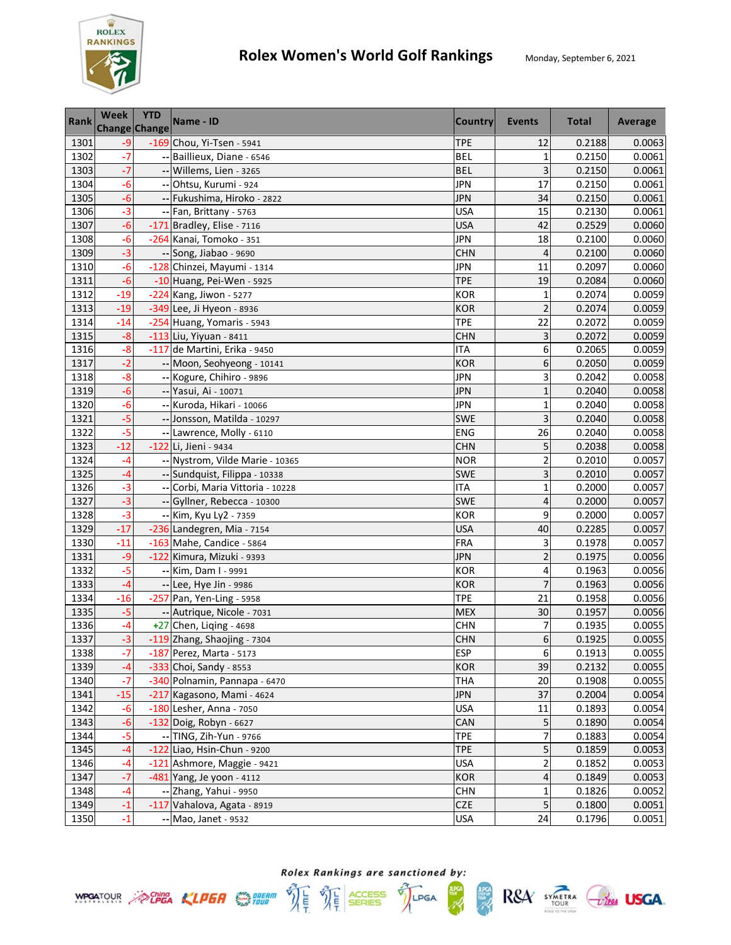

| <b>Rank</b> | <b>Week</b><br><b>Change Change</b> | <b>YTD</b> | Name - ID                        | <b>Country</b> | Events                  | <b>Total</b> | Average |
|-------------|-------------------------------------|------------|----------------------------------|----------------|-------------------------|--------------|---------|
| 1301        | $-9$                                |            | -169 Chou, Yi-Tsen - 5941        | <b>TPE</b>     | 12                      | 0.2188       | 0.0063  |
| 1302        | $-7$                                |            | -- Baillieux, Diane - 6546       | <b>BEL</b>     | 1                       | 0.2150       | 0.0061  |
| 1303        | $-7$                                |            | -- Willems, Lien - 3265          | <b>BEL</b>     | 3                       | 0.2150       | 0.0061  |
| 1304        | $-6$                                |            | -- Ohtsu, Kurumi - 924           | <b>JPN</b>     | 17                      | 0.2150       | 0.0061  |
| 1305        | $-6$                                |            | -- Fukushima, Hiroko - 2822      | <b>JPN</b>     | 34                      | 0.2150       | 0.0061  |
| 1306        | $-3$                                |            | -- Fan, Brittany - 5763          | <b>USA</b>     | 15                      | 0.2130       | 0.0061  |
| 1307        | $-6$                                |            | $-171$ Bradley, Elise - 7116     | <b>USA</b>     | 42                      | 0.2529       | 0.0060  |
| 1308        | $-6$                                |            | -264 Kanai, Tomoko - 351         | <b>JPN</b>     | 18                      | 0.2100       | 0.0060  |
| 1309        | $-3$                                |            | -- Song, Jiabao - 9690           | <b>CHN</b>     | 4                       | 0.2100       | 0.0060  |
| 1310        | $-6$                                |            | -128 Chinzei, Mayumi - 1314      | <b>JPN</b>     | 11                      | 0.2097       | 0.0060  |
| 1311        | $-6$                                |            | -10 Huang, Pei-Wen - 5925        | <b>TPE</b>     | 19                      | 0.2084       | 0.0060  |
| 1312        | $-19$                               |            | -224 Kang, Jiwon - 5277          | <b>KOR</b>     | $\mathbf{1}$            | 0.2074       | 0.0059  |
| 1313        | $-19$                               |            | -349 Lee, Ji Hyeon - 8936        | <b>KOR</b>     | $\overline{2}$          | 0.2074       | 0.0059  |
| 1314        | $-14$                               |            | -254 Huang, Yomaris - 5943       | <b>TPE</b>     | 22                      | 0.2072       | 0.0059  |
| 1315        | $-8$                                |            | $-113$ Liu, Yiyuan - 8411        | <b>CHN</b>     | 3                       | 0.2072       | 0.0059  |
| 1316        | $-8$                                |            | -117 de Martini, Erika - 9450    | <b>ITA</b>     | 6                       | 0.2065       | 0.0059  |
| 1317        | $-2$                                |            | -- Moon, Seohyeong - 10141       | <b>KOR</b>     | 6                       | 0.2050       | 0.0059  |
| 1318        | $-8$                                |            | -- Kogure, Chihiro - 9896        | <b>JPN</b>     | 3                       | 0.2042       | 0.0058  |
| 1319        | $-6$                                |            | -- Yasui, Ai - 10071             | <b>JPN</b>     | $\mathbf{1}$            | 0.2040       | 0.0058  |
| 1320        | $-6$                                |            | -- Kuroda, Hikari - 10066        | <b>JPN</b>     | $\mathbf{1}$            | 0.2040       | 0.0058  |
| 1321        | $-5$                                |            | -- Jonsson, Matilda - 10297      | SWE            | 3                       | 0.2040       | 0.0058  |
| 1322        | $-5$                                |            | -- Lawrence, Molly - 6110        | ENG            | 26                      | 0.2040       | 0.0058  |
| 1323        | $-12$                               |            | -122 Li, Jieni - 9434            | <b>CHN</b>     | 5                       | 0.2038       | 0.0058  |
| 1324        | $-4$                                |            | -- Nystrom, Vilde Marie - 10365  | <b>NOR</b>     | $\overline{c}$          | 0.2010       | 0.0057  |
| 1325        | $-4$                                |            | -- Sundquist, Filippa - 10338    | <b>SWE</b>     | 3                       | 0.2010       | 0.0057  |
| 1326        | $-3$                                |            | -- Corbi, Maria Vittoria - 10228 | <b>ITA</b>     | $\mathbf 1$             | 0.2000       | 0.0057  |
| 1327        | $-3$                                |            | -- Gyllner, Rebecca - 10300      | SWE            | 4                       | 0.2000       | 0.0057  |
| 1328        | $-3$                                |            | -- Kim, Kyu Ly2 - 7359           | <b>KOR</b>     | 9                       | 0.2000       | 0.0057  |
| 1329        | $-17$                               |            | -236 Landegren, Mia - 7154       | <b>USA</b>     | 40                      | 0.2285       | 0.0057  |
| 1330        | $-11$                               |            | -163 Mahe, Candice - 5864        | <b>FRA</b>     | 3                       | 0.1978       | 0.0057  |
| 1331        | $-9$                                |            | -122 Kimura, Mizuki - 9393       | <b>JPN</b>     | $\overline{\mathbf{c}}$ | 0.1975       | 0.0056  |
| 1332        | $-5$                                |            | -- Kim, Dam I - 9991             | <b>KOR</b>     | 4                       | 0.1963       | 0.0056  |
| 1333        | $-4$                                |            | -- Lee, Hye Jin - 9986           | <b>KOR</b>     | $\overline{7}$          | 0.1963       | 0.0056  |
| 1334        | $-16$                               |            | -257 Pan, Yen-Ling - 5958        | <b>TPE</b>     | 21                      | 0.1958       | 0.0056  |
| 1335        | $-5$                                |            | -- Autrique, Nicole - 7031       | <b>MEX</b>     | 30                      | 0.1957       | 0.0056  |
| 1336        | -4                                  |            | +27 Chen, Liqing - 4698          | <b>CHN</b>     | 7                       | 0.1935       | 0.0055  |
| 1337        | $-3$                                |            | -119 Zhang, Shaojing - 7304      | <b>CHN</b>     | 6                       | 0.1925       | 0.0055  |
| 1338        | -7                                  |            | -187 Perez, Marta - 5173         | <b>ESP</b>     | 6                       | 0.1913       | 0.0055  |
| 1339        | $-4$                                |            | $-333$ Choi, Sandy - 8553        | KOR            | 39                      | 0.2132       | 0.0055  |
| 1340        | $-7$                                |            | -340 Polnamin, Pannapa - 6470    | <b>THA</b>     | 20                      | 0.1908       | 0.0055  |
| 1341        | $-15$                               |            | -217 Kagasono, Mami - 4624       | <b>JPN</b>     | 37                      | 0.2004       | 0.0054  |
| 1342        | $-6$                                |            | -180 Lesher, Anna - 7050         | <b>USA</b>     | 11                      | 0.1893       | 0.0054  |
| 1343        | $-6$                                |            | -132 Doig, Robyn - 6627          | CAN            | 5                       | 0.1890       | 0.0054  |
| 1344        | $-5$                                |            | -- TING, Zih-Yun - 9766          | <b>TPE</b>     | 7                       | 0.1883       | 0.0054  |
| 1345        | $-4$                                |            | -122 Liao, Hsin-Chun - 9200      | <b>TPE</b>     | 5                       | 0.1859       | 0.0053  |
| 1346        | -4                                  |            | -121 Ashmore, Maggie - 9421      | <b>USA</b>     | $\overline{\mathbf{c}}$ | 0.1852       | 0.0053  |
| 1347        | $-7$                                |            | -481 Yang, Je yoon - 4112        | <b>KOR</b>     | 4                       | 0.1849       | 0.0053  |
| 1348        | $-4$                                |            | -- Zhang, Yahui - 9950           | <b>CHN</b>     | 1                       | 0.1826       | 0.0052  |
| 1349        | $-1$                                |            | -117 Vahalova, Agata - 8919      | <b>CZE</b>     | 5                       | 0.1800       | 0.0051  |
| 1350        | $-1$                                |            | -- Mao, Janet - 9532             | <b>USA</b>     | 24                      | 0.1796       | 0.0051  |





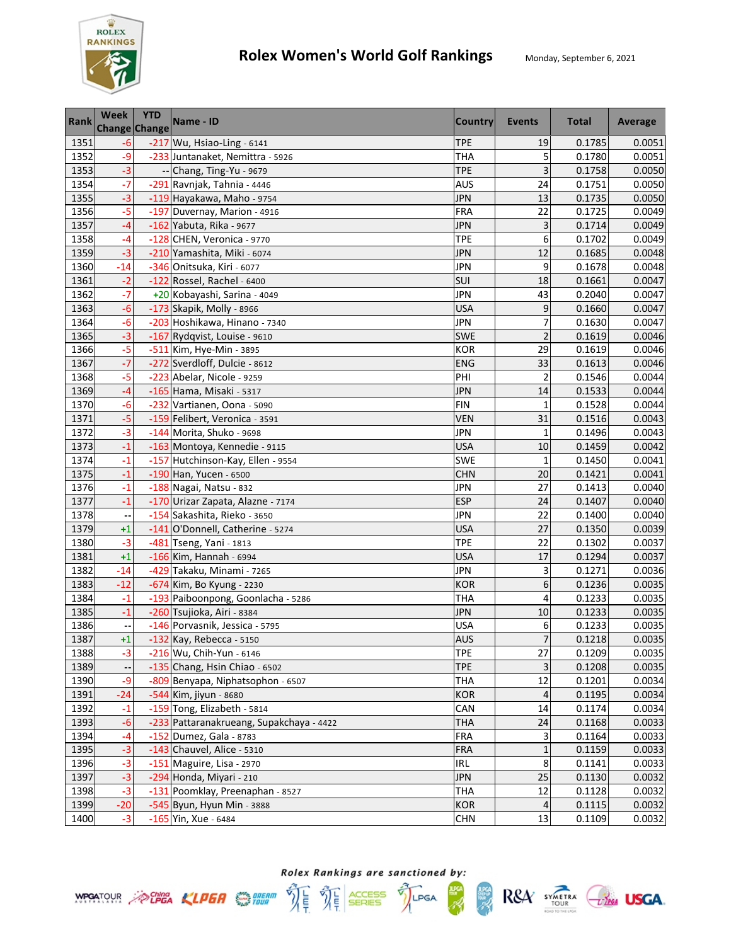

| <b>Rank</b> | <b>Week</b><br><b>Change Change</b> | <b>YTD</b> | Name - ID                                | <b>Country</b> | Events         | <b>Total</b> | Average |
|-------------|-------------------------------------|------------|------------------------------------------|----------------|----------------|--------------|---------|
| 1351        | $-6$                                |            | -217 Wu, Hsiao-Ling - 6141               | <b>TPE</b>     | 19             | 0.1785       | 0.0051  |
| 1352        | -9                                  |            | -233 Juntanaket, Nemittra - 5926         | <b>THA</b>     | 5              | 0.1780       | 0.0051  |
| 1353        | $-3$                                |            | -- Chang, Ting-Yu - 9679                 | <b>TPE</b>     | 3              | 0.1758       | 0.0050  |
| 1354        | $-7$                                |            | -291 Ravnjak, Tahnia - 4446              | <b>AUS</b>     | 24             | 0.1751       | 0.0050  |
| 1355        | $-3$                                |            | -119 Hayakawa, Maho - 9754               | <b>JPN</b>     | 13             | 0.1735       | 0.0050  |
| 1356        | $-5$                                |            | -197 Duvernay, Marion - 4916             | <b>FRA</b>     | 22             | 0.1725       | 0.0049  |
| 1357        | $-4$                                |            | -162 Yabuta, Rika - 9677                 | <b>JPN</b>     | 3              | 0.1714       | 0.0049  |
| 1358        | $-4$                                |            | -128 CHEN, Veronica - 9770               | <b>TPE</b>     | 6              | 0.1702       | 0.0049  |
| 1359        | $-3$                                |            | -210 Yamashita, Miki - 6074              | <b>JPN</b>     | 12             | 0.1685       | 0.0048  |
| 1360        | $-14$                               |            | -346 Onitsuka, Kiri - 6077               | <b>JPN</b>     | 9              | 0.1678       | 0.0048  |
| 1361        | $-2$                                |            | -122 Rossel, Rachel - 6400               | SUI            | 18             | 0.1661       | 0.0047  |
| 1362        | $-7$                                |            | +20 Kobayashi, Sarina - 4049             | JPN            | 43             | 0.2040       | 0.0047  |
| 1363        | $-6$                                |            | -173 Skapik, Molly - 8966                | <b>USA</b>     | 9              | 0.1660       | 0.0047  |
| 1364        | -6                                  |            | -203 Hoshikawa, Hinano - 7340            | <b>JPN</b>     | 7              | 0.1630       | 0.0047  |
| 1365        | $-3$                                |            | -167 Rydqvist, Louise - 9610             | SWE            | $\overline{2}$ | 0.1619       | 0.0046  |
| 1366        | $-5$                                |            | -511 Kim, Hye-Min - 3895                 | <b>KOR</b>     | 29             | 0.1619       | 0.0046  |
| 1367        | $-7$                                |            | -272 Sverdloff, Dulcie - 8612            | ENG            | 33             | 0.1613       | 0.0046  |
| 1368        | $-5$                                |            | -223 Abelar, Nicole - 9259               | PHI            | $\overline{2}$ | 0.1546       | 0.0044  |
| 1369        | $-4$                                |            | -165 Hama, Misaki - 5317                 | <b>JPN</b>     | 14             | 0.1533       | 0.0044  |
| 1370        | $-6$                                |            | -232 Vartianen, Oona - 5090              | <b>FIN</b>     | $\mathbf{1}$   | 0.1528       | 0.0044  |
| 1371        | $-5$                                |            | -159 Felibert, Veronica - 3591           | <b>VEN</b>     | 31             | 0.1516       | 0.0043  |
| 1372        | $-3$                                |            | -144 Morita, Shuko - 9698                | <b>JPN</b>     | $\mathbf{1}$   | 0.1496       | 0.0043  |
| 1373        | $-1$                                |            | -163 Montoya, Kennedie - 9115            | <b>USA</b>     | 10             | 0.1459       | 0.0042  |
| 1374        | $-1$                                |            | -157 Hutchinson-Kay, Ellen - 9554        | SWE            | $\mathbf{1}$   | 0.1450       | 0.0041  |
| 1375        | $-1$                                |            | $-190$ Han, Yucen - 6500                 | <b>CHN</b>     | 20             | 0.1421       | 0.0041  |
| 1376        | $-1$                                |            | -188 Nagai, Natsu - 832                  | JPN            | 27             | 0.1413       | 0.0040  |
| 1377        | $-1$                                |            | -170 Urizar Zapata, Alazne - 7174        | ESP            | 24             | 0.1407       | 0.0040  |
| 1378        |                                     |            | -154 Sakashita, Rieko - 3650             | <b>JPN</b>     | 22             | 0.1400       | 0.0040  |
| 1379        | $+1$                                |            | -141 O'Donnell, Catherine - 5274         | <b>USA</b>     | 27             | 0.1350       | 0.0039  |
| 1380        | $-3$                                |            | -481 Tseng, Yani - 1813                  | <b>TPE</b>     | 22             | 0.1302       | 0.0037  |
| 1381        | $+1$                                |            | -166 Kim, Hannah - 6994                  | <b>USA</b>     | 17             | 0.1294       | 0.0037  |
| 1382        | $-14$                               |            | -429 Takaku, Minami - 7265               | <b>JPN</b>     | 3              | 0.1271       | 0.0036  |
| 1383        | $-12$                               |            | -674 Kim, Bo Kyung - 2230                | <b>KOR</b>     | 6              | 0.1236       | 0.0035  |
| 1384        | $-1$                                |            | -193 Paiboonpong, Goonlacha - 5286       | <b>THA</b>     | 4              | 0.1233       | 0.0035  |
| 1385        | $-1$                                |            | -260 Tsujioka, Airi - 8384               | <b>JPN</b>     | 10             | 0.1233       | 0.0035  |
| 1386        | --                                  |            | -146 Porvasnik, Jessica - 5795           | <b>USA</b>     | 6              | 0.1233       | 0.0035  |
| 1387        | $+1$                                |            | $-132$ Kay, Rebecca - 5150               | <b>AUS</b>     | $\overline{7}$ | 0.1218       | 0.0035  |
| 1388        | $-3$                                |            | -216 Wu, Chih-Yun - 6146                 | TPE            | 27             | 0.1209       | 0.0035  |
| 1389        |                                     |            | -135 Chang, Hsin Chiao - 6502            | <b>TPE</b>     | 3              | 0.1208       | 0.0035  |
| 1390        | -9                                  |            | -809 Benyapa, Niphatsophon - 6507        | <b>THA</b>     | 12             | 0.1201       | 0.0034  |
| 1391        | $-24$                               |            | -544 Kim, jiyun - 8680                   | <b>KOR</b>     | 4              | 0.1195       | 0.0034  |
| 1392        | $-1$                                |            | -159 Tong, Elizabeth - 5814              | CAN            | 14             | 0.1174       | 0.0034  |
| 1393        | $-6$                                |            | -233 Pattaranakrueang, Supakchaya - 4422 | <b>THA</b>     | 24             | 0.1168       | 0.0033  |
| 1394        | $-4$                                |            | -152 Dumez, Gala - 8783                  | <b>FRA</b>     | 3              | 0.1164       | 0.0033  |
| 1395        | $-3$                                |            | -143 Chauvel, Alice - 5310               | <b>FRA</b>     | $\mathbf{1}$   | 0.1159       | 0.0033  |
| 1396        | $-3$                                |            | -151 Maguire, Lisa - 2970                | IRL            | 8              | 0.1141       | 0.0033  |
| 1397        | $-3$                                |            | -294 Honda, Miyari - 210                 | <b>JPN</b>     | 25             | 0.1130       | 0.0032  |
| 1398        | $-3$                                |            | -131 Poomklay, Preenaphan - 8527         | <b>THA</b>     | 12             | 0.1128       | 0.0032  |
| 1399        | $-20$                               |            | -545 Byun, Hyun Min - 3888               | <b>KOR</b>     | 4              | 0.1115       | 0.0032  |
| 1400        | $-3$                                |            | -165 Yin, Xue - 6484                     | <b>CHN</b>     | 13             | 0.1109       | 0.0032  |



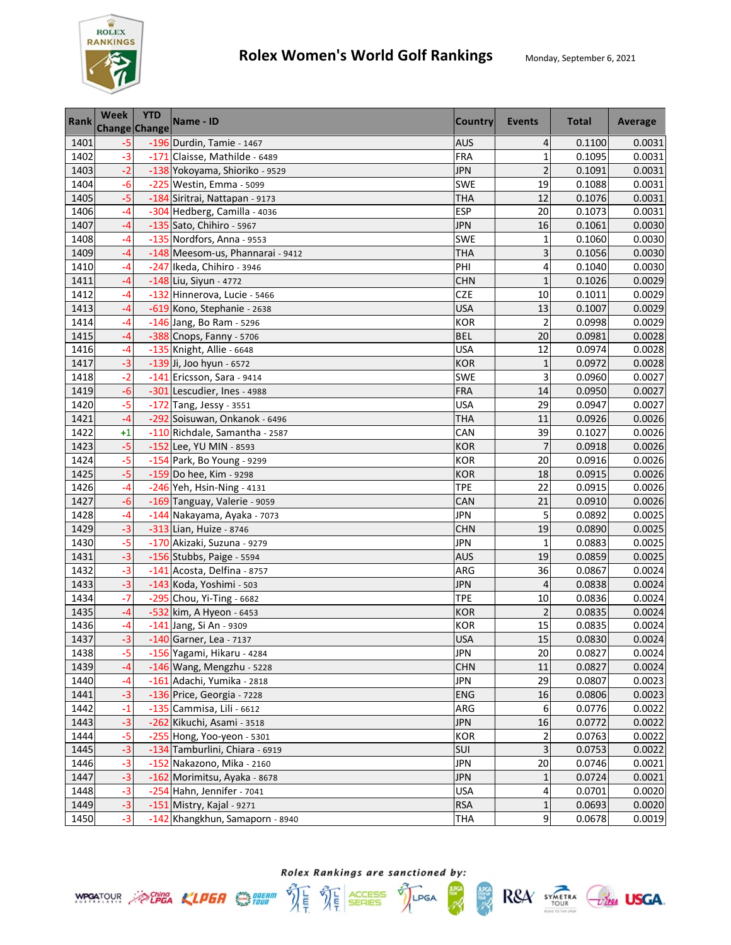

| <b>Rank</b> | Week<br><b>Change Change</b> | <b>YTD</b> | Name - ID                        | <b>Country</b> | Events         | <b>Total</b> | Average |
|-------------|------------------------------|------------|----------------------------------|----------------|----------------|--------------|---------|
| 1401        | $-5$                         |            | -196 Durdin, Tamie - 1467        | <b>AUS</b>     | 4              | 0.1100       | 0.0031  |
| 1402        | $-3$                         |            | -171 Claisse, Mathilde - 6489    | FRA            | $\mathbf{1}$   | 0.1095       | 0.0031  |
| 1403        | $-2$                         |            | -138 Yokoyama, Shioriko - 9529   | <b>JPN</b>     | $\overline{c}$ | 0.1091       | 0.0031  |
| 1404        | $-6$                         |            | -225 Westin, Emma - 5099         | SWE            | 19             | 0.1088       | 0.0031  |
| 1405        | $-5$                         |            | -184 Siritrai, Nattapan - 9173   | <b>THA</b>     | 12             | 0.1076       | 0.0031  |
| 1406        | -4                           |            | -304 Hedberg, Camilla - 4036     | <b>ESP</b>     | 20             | 0.1073       | 0.0031  |
| 1407        | $-4$                         |            | -135 Sato, Chihiro - 5967        | <b>JPN</b>     | 16             | 0.1061       | 0.0030  |
| 1408        | $-4$                         |            | -135 Nordfors, Anna - 9553       | <b>SWE</b>     | $\mathbf{1}$   | 0.1060       | 0.0030  |
| 1409        | -4                           |            | -148 Meesom-us, Phannarai - 9412 | <b>THA</b>     | 3              | 0.1056       | 0.0030  |
| 1410        | -4                           |            | -247 Ikeda, Chihiro - 3946       | PHI            | 4              | 0.1040       | 0.0030  |
| 1411        | -4                           |            | $-148$ Liu, Siyun - 4772         | <b>CHN</b>     | $\mathbf{1}$   | 0.1026       | 0.0029  |
| 1412        | -4                           |            | -132 Hinnerova, Lucie - 5466     | <b>CZE</b>     | 10             | 0.1011       | 0.0029  |
| 1413        | -4                           |            | -619 Kono, Stephanie - 2638      | <b>USA</b>     | 13             | 0.1007       | 0.0029  |
| 1414        | -4                           |            | -146 Jang, Bo Ram - 5296         | <b>KOR</b>     | $\overline{c}$ | 0.0998       | 0.0029  |
| 1415        | -4                           |            | -388 Cnops, Fanny - 5706         | <b>BEL</b>     | 20             | 0.0981       | 0.0028  |
| 1416        | -4                           |            | -135 Knight, Allie - 6648        | <b>USA</b>     | 12             | 0.0974       | 0.0028  |
| 1417        | $-3$                         |            | -139 Ji, Joo hyun - 6572         | <b>KOR</b>     | $\mathbf{1}$   | 0.0972       | 0.0028  |
| 1418        | $-2$                         |            | -141 Ericsson, Sara - 9414       | SWE            | 3              | 0.0960       | 0.0027  |
| 1419        | $-6$                         |            | -301 Lescudier, Ines - 4988      | <b>FRA</b>     | 14             | 0.0950       | 0.0027  |
| 1420        | $-5$                         |            | -172 Tang, Jessy - 3551          | <b>USA</b>     | 29             | 0.0947       | 0.0027  |
| 1421        | $-4$                         |            | -292 Soisuwan, Onkanok - 6496    | <b>THA</b>     | 11             | 0.0926       | 0.0026  |
| 1422        | $+1$                         |            | -110 Richdale, Samantha - 2587   | CAN            | 39             | 0.1027       | 0.0026  |
| 1423        | $-5$                         |            | -152 Lee, YU MIN - 8593          | <b>KOR</b>     | $\overline{7}$ | 0.0918       | 0.0026  |
| 1424        | $-5$                         |            | -154 Park, Bo Young - 9299       | <b>KOR</b>     | 20             | 0.0916       | 0.0026  |
| 1425        | $-5$                         |            | -159 Do hee, Kim - 9298          | <b>KOR</b>     | 18             | 0.0915       | 0.0026  |
| 1426        | -4                           |            | -246 Yeh, Hsin-Ning - 4131       | TPE            | 22             | 0.0915       | 0.0026  |
| 1427        | $-6$                         |            | -169 Tanguay, Valerie - 9059     | CAN            | 21             | 0.0910       | 0.0026  |
| 1428        | $-4$                         |            | -144 Nakayama, Ayaka - 7073      | <b>JPN</b>     | 5              | 0.0892       | 0.0025  |
| 1429        | $-3$                         |            | -313 Lian, Huize - 8746          | <b>CHN</b>     | 19             | 0.0890       | 0.0025  |
| 1430        | $-5$                         |            | -170 Akizaki, Suzuna - 9279      | JPN            | $\mathbf{1}$   | 0.0883       | 0.0025  |
| 1431        | $-3$                         |            | -156 Stubbs, Paige - 5594        | <b>AUS</b>     | 19             | 0.0859       | 0.0025  |
| 1432        | $-3$                         |            | -141 Acosta, Delfina - 8757      | ARG            | 36             | 0.0867       | 0.0024  |
| 1433        | $-3$                         |            | -143 Koda, Yoshimi - 503         | <b>JPN</b>     | 4              | 0.0838       | 0.0024  |
| 1434        | $-7$                         |            | -295 Chou, Yi-Ting - 6682        | <b>TPE</b>     | 10             | 0.0836       | 0.0024  |
| 1435        | $-4$                         |            | -532 kim, A Hyeon - 6453         | <b>KOR</b>     | $\overline{2}$ | 0.0835       | 0.0024  |
| 1436        | $-4$                         |            | -141 Jang, Si An - 9309          | <b>KOR</b>     | 15             | 0.0835       | 0.0024  |
| 1437        | $-3$                         |            | $-140$ Garner, Lea - 7137        | <b>USA</b>     | 15             | 0.0830       | 0.0024  |
| 1438        | $-5$                         |            | -156 Yagami, Hikaru - 4284       | <b>JPN</b>     | 20             | 0.0827       | 0.0024  |
| 1439        | -4                           |            | -146 Wang, Mengzhu - 5228        | <b>CHN</b>     | 11             | 0.0827       | 0.0024  |
| 1440        | -4                           |            | -161 Adachi, Yumika - 2818       | JPN            | 29             | 0.0807       | 0.0023  |
| 1441        | $-3$                         |            | -136 Price, Georgia - 7228       | ENG            | 16             | 0.0806       | 0.0023  |
| 1442        | $-1$                         |            | -135 Cammisa, Lili - 6612        | ARG            | 6              | 0.0776       | 0.0022  |
| 1443        | $-3$                         |            | -262 Kikuchi, Asami - 3518       | <b>JPN</b>     | 16             | 0.0772       | 0.0022  |
| 1444        | $-5$                         |            | -255 Hong, Yoo-yeon - 5301       | <b>KOR</b>     | 2              | 0.0763       | 0.0022  |
| 1445        | $-3$                         |            | -134 Tamburlini, Chiara - 6919   | SUI            | 3              | 0.0753       | 0.0022  |
| 1446        | $-3$                         |            | -152 Nakazono, Mika - 2160       | <b>JPN</b>     | 20             | 0.0746       | 0.0021  |
| 1447        | $-3$                         |            | -162 Morimitsu, Ayaka - 8678     | <b>JPN</b>     | 1              | 0.0724       | 0.0021  |
| 1448        | $-3$                         |            | -254 Hahn, Jennifer - 7041       | <b>USA</b>     | 4              | 0.0701       | 0.0020  |
| 1449        | $-3$                         |            | -151 Mistry, Kajal - 9271        | <b>RSA</b>     | $\mathbf 1$    | 0.0693       | 0.0020  |
| 1450        | $-3$                         |            | -142 Khangkhun, Samaporn - 8940  | <b>THA</b>     | 9              | 0.0678       | 0.0019  |

Rolex Rankings are sanctioned by: **WPOATOUR** ACHEA KLPER SUPER THE THE SERIES TILPGA

體

 $RSA$  SYMETRA  $C$ lega USGA.